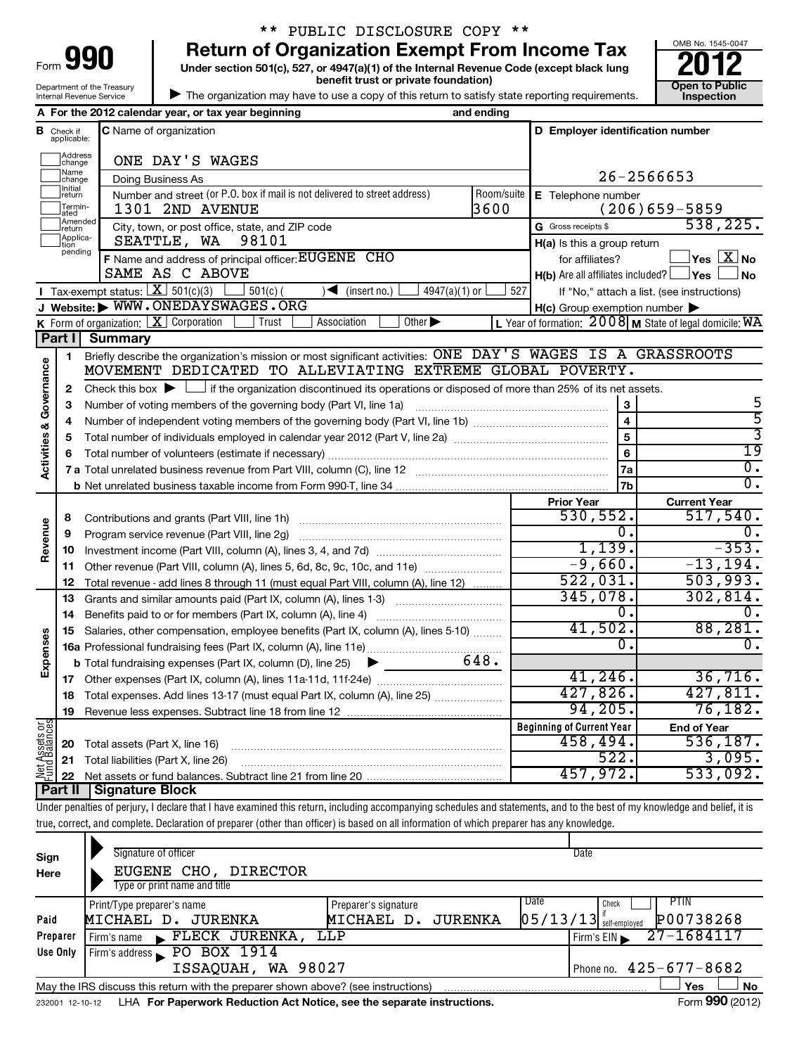| Form 990                   |
|----------------------------|
| Department of the Treasury |

# \*\* PUBLIC DISCLOSURE COPY \*\*

**Under section 501(c), 527, or 4947(a)(1) of the Internal Revenue Code (except black lung benefit trust or private foundation) Construction Construction Construction Construction 990** Return of Organization Exempt From Income Tax  $\frac{6008 \text{ No. 1545-004}}{2012}$ 



 $\blacktriangleright$ The organization may have to use a copy of this return to satisfy state reporting requirements.

|                                    |                               | Internal Revenue Service | The organization may have to use a copy of this return to satisfy state reporting requirements.                                                                            |                             |            |                                                                   | <b>Inspection</b>                                         |
|------------------------------------|-------------------------------|--------------------------|----------------------------------------------------------------------------------------------------------------------------------------------------------------------------|-----------------------------|------------|-------------------------------------------------------------------|-----------------------------------------------------------|
|                                    |                               |                          | A For the 2012 calendar year, or tax year beginning                                                                                                                        |                             | and ending |                                                                   |                                                           |
|                                    | <b>B</b> Check if applicable: |                          | <b>C</b> Name of organization                                                                                                                                              |                             |            | D Employer identification number                                  |                                                           |
|                                    | Address<br>change             |                          | ONE DAY'S WAGES                                                                                                                                                            |                             |            |                                                                   |                                                           |
|                                    | Name<br>change                |                          | Doing Business As                                                                                                                                                          |                             |            |                                                                   | 26-2566653                                                |
|                                    | <b>Initial</b><br> return     |                          | Number and street (or P.O. box if mail is not delivered to street address)                                                                                                 |                             | Room/suite | E Telephone number                                                |                                                           |
|                                    | Termin-<br>ated<br>Amended    |                          | 1301 2ND AVENUE                                                                                                                                                            |                             | 3600       |                                                                   | $(206)659 - 5859$                                         |
|                                    | Ireturn<br>Applica-           |                          | City, town, or post office, state, and ZIP code                                                                                                                            |                             |            | G Gross receipts \$                                               | 538, 225.                                                 |
|                                    | tion<br>pending               |                          | 98101<br>SEATTLE, WA                                                                                                                                                       |                             |            | H(a) Is this a group return                                       | $\vert$ Yes $\boxed{\text{X}}$ No                         |
|                                    |                               |                          | F Name and address of principal officer: EUGENE CHO<br>SAME AS C ABOVE                                                                                                     |                             |            | for affiliates?<br>$H(b)$ Are all affiliates included? $\Box$ Yes | l No                                                      |
|                                    |                               |                          | Tax-exempt status: $X \overline{3}$ 501(c)(3)<br>$501(c)$ (<br>$\sqrt{\bullet}$ (insert no.)                                                                               | $4947(a)(1)$ or             | 527        |                                                                   | If "No," attach a list. (see instructions)                |
|                                    |                               |                          | J Website: WWW.ONEDAYSWAGES.ORG                                                                                                                                            |                             |            | $H(c)$ Group exemption number $\blacktriangleright$               |                                                           |
|                                    |                               |                          | Association<br>K Form of organization: $X$ Corporation<br>Trust                                                                                                            | Other $\blacktriangleright$ |            |                                                                   | L Year of formation: $2008$ M State of legal domicile: WA |
|                                    | Part I                        | <b>Summary</b>           |                                                                                                                                                                            |                             |            |                                                                   |                                                           |
|                                    | 1                             |                          | Briefly describe the organization's mission or most significant activities: ONE DAY 'S WAGES IS A GRASSROOTS                                                               |                             |            |                                                                   |                                                           |
|                                    |                               |                          | MOVEMENT DEDICATED TO ALLEVIATING EXTREME GLOBAL POVERTY.                                                                                                                  |                             |            |                                                                   |                                                           |
| <b>Activities &amp; Governance</b> | 2                             |                          | Check this box $\blacktriangleright$ $\Box$ if the organization discontinued its operations or disposed of more than 25% of its net assets.                                |                             |            |                                                                   |                                                           |
|                                    | З                             |                          | Number of voting members of the governing body (Part VI, line 1a)                                                                                                          |                             |            | $\mathbf{3}$                                                      | 5                                                         |
|                                    | 4                             |                          |                                                                                                                                                                            |                             |            | $\overline{\mathbf{4}}$                                           | 5                                                         |
|                                    | 5                             |                          |                                                                                                                                                                            |                             |            | 5<br>6                                                            | 3<br>$\overline{19}$                                      |
|                                    | 6                             |                          | σ.                                                                                                                                                                         |                             |            |                                                                   |                                                           |
|                                    |                               |                          |                                                                                                                                                                            |                             |            | 7a<br>7b                                                          | σ.                                                        |
|                                    |                               |                          |                                                                                                                                                                            |                             |            |                                                                   | <b>Current Year</b>                                       |
|                                    | 8                             |                          |                                                                                                                                                                            |                             |            | <b>Prior Year</b><br>530, 552.                                    | 517,540.                                                  |
|                                    | 9                             |                          | Program service revenue (Part VIII, line 2g)                                                                                                                               |                             |            | 0.                                                                | 0.                                                        |
| Revenue                            | 10                            |                          |                                                                                                                                                                            |                             |            | 1,139.                                                            | $-353.$                                                   |
|                                    | 11                            |                          | Other revenue (Part VIII, column (A), lines 5, 6d, 8c, 9c, 10c, and 11e)                                                                                                   |                             |            | $-9,660.$                                                         | $-13, 194.$                                               |
|                                    | 12                            |                          | Total revenue - add lines 8 through 11 (must equal Part VIII, column (A), line 12)                                                                                         |                             |            | 522,031.                                                          | 503,993.                                                  |
|                                    | 13                            |                          | Grants and similar amounts paid (Part IX, column (A), lines 1-3)                                                                                                           |                             |            | 345,078.                                                          | 302,814.                                                  |
|                                    | 14                            |                          |                                                                                                                                                                            |                             |            | 0.                                                                | υ.                                                        |
|                                    | 15                            |                          | Salaries, other compensation, employee benefits (Part IX, column (A), lines 5-10)                                                                                          |                             |            | 41,502.                                                           | 88,281.                                                   |
| Expenses                           |                               |                          |                                                                                                                                                                            |                             |            | σ.                                                                | Ο.                                                        |
|                                    |                               |                          | <b>b</b> Total fundraising expenses (Part IX, column (D), line 25)<br>▶                                                                                                    |                             | 648.       | 41, 246.                                                          | 36,716.                                                   |
|                                    |                               |                          | 18 Total expenses. Add lines 13-17 (must equal Part IX, column (A), line 25)                                                                                               |                             |            | 427,826.                                                          | 427,811.                                                  |
|                                    | 19                            |                          |                                                                                                                                                                            |                             |            | 94, 205.                                                          | 76,182.                                                   |
|                                    |                               |                          |                                                                                                                                                                            |                             |            | <b>Beginning of Current Year</b>                                  | <b>End of Year</b>                                        |
| Net Assets or<br>Fund Balances     | 20                            |                          | Total assets (Part X, line 16)                                                                                                                                             |                             |            | 458,494.                                                          | 536, 187.                                                 |
|                                    | 21                            |                          | Total liabilities (Part X, line 26)                                                                                                                                        |                             |            | 522.                                                              | 3,095.                                                    |
|                                    | 22                            |                          |                                                                                                                                                                            |                             |            | 457,972.                                                          | 533,092.                                                  |
|                                    | Part II                       | Signature Block          |                                                                                                                                                                            |                             |            |                                                                   |                                                           |
|                                    |                               |                          | Under penalties of perjury, I declare that I have examined this return, including accompanying schedules and statements, and to the best of my knowledge and belief, it is |                             |            |                                                                   |                                                           |
|                                    |                               |                          | true, correct, and complete. Declaration of preparer (other than officer) is based on all information of which preparer has any knowledge.                                 |                             |            |                                                                   |                                                           |
|                                    |                               |                          | Signature of officer                                                                                                                                                       |                             |            | Date                                                              |                                                           |
| Sign                               |                               |                          | EUGENE CHO, DIRECTOR                                                                                                                                                       |                             |            |                                                                   |                                                           |
| Here                               |                               |                          | Type or print name and title                                                                                                                                               |                             |            |                                                                   |                                                           |

|                                                                                                       | Print/Type preparer's name                                                                                   | Preparer's signature  | Date | Check                                 | <b>PTIN</b>                  |  |  |  |  |
|-------------------------------------------------------------------------------------------------------|--------------------------------------------------------------------------------------------------------------|-----------------------|------|---------------------------------------|------------------------------|--|--|--|--|
| Paid                                                                                                  | MICHAEL D. JURENKA                                                                                           | JURENKA<br>MICHAEL D. |      | $\left[05/13/13\right]$ self-employed | P00738268                    |  |  |  |  |
| Preparer                                                                                              | Firm's EIN 27-1684117<br>$\blacktriangleright$ FLECK JURENKA,<br>LLP<br>Firm's name                          |                       |      |                                       |                              |  |  |  |  |
| Use Only                                                                                              | Firm's address PO BOX 1914                                                                                   |                       |      |                                       |                              |  |  |  |  |
|                                                                                                       | ISSAQUAH, WA 98027                                                                                           |                       |      |                                       | Phone no. $425 - 677 - 8682$ |  |  |  |  |
| <b>No</b><br>Yes<br>May the IRS discuss this return with the preparer shown above? (see instructions) |                                                                                                              |                       |      |                                       |                              |  |  |  |  |
|                                                                                                       | Form 990 (2012)<br>LHA For Paperwork Reduction Act Notice, see the separate instructions.<br>232001 12-10-12 |                       |      |                                       |                              |  |  |  |  |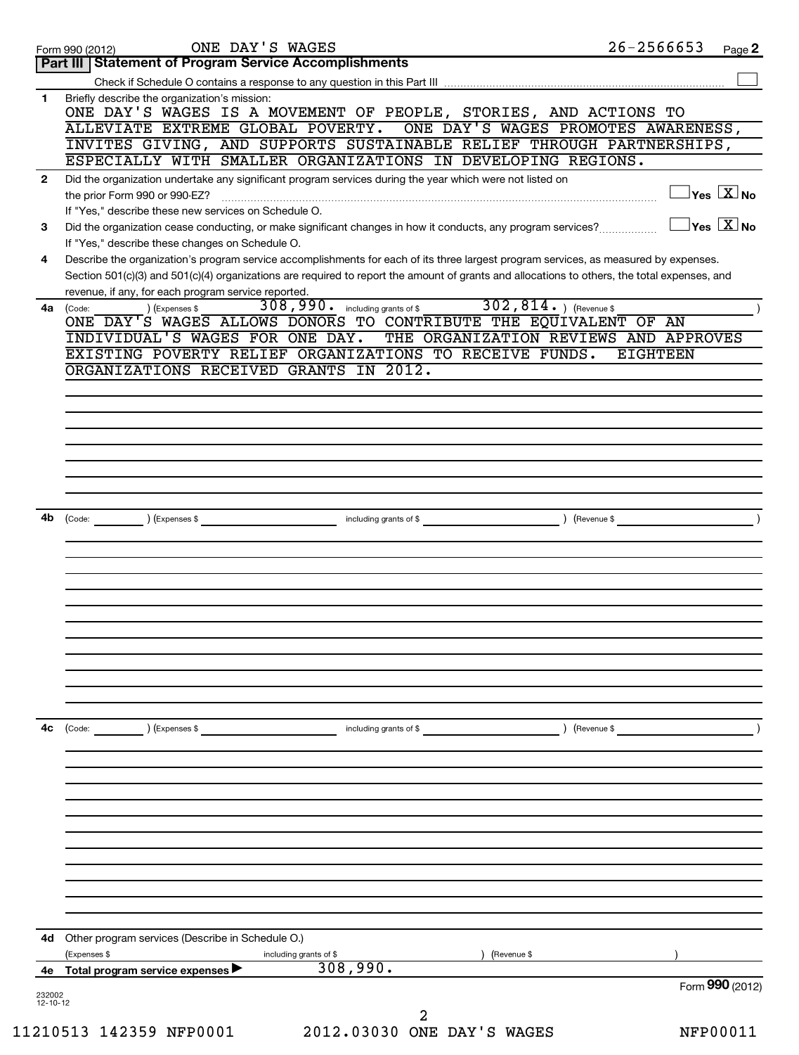|                | ONE DAY'S WAGES<br>Form 990 (2012)                                                                                                                                                                                                                                                                                                                                                                                                                   | $26 - 2566653$  | Page 2                                  |
|----------------|------------------------------------------------------------------------------------------------------------------------------------------------------------------------------------------------------------------------------------------------------------------------------------------------------------------------------------------------------------------------------------------------------------------------------------------------------|-----------------|-----------------------------------------|
|                | Part III   Statement of Program Service Accomplishments                                                                                                                                                                                                                                                                                                                                                                                              |                 |                                         |
|                |                                                                                                                                                                                                                                                                                                                                                                                                                                                      |                 |                                         |
| 1.             | Briefly describe the organization's mission:<br>ONE DAY'S WAGES IS A MOVEMENT OF PEOPLE, STORIES, AND ACTIONS TO                                                                                                                                                                                                                                                                                                                                     |                 |                                         |
|                | ONE DAY'S WAGES PROMOTES AWARENESS,<br>ALLEVIATE EXTREME GLOBAL POVERTY.                                                                                                                                                                                                                                                                                                                                                                             |                 |                                         |
|                | INVITES GIVING, AND SUPPORTS SUSTAINABLE RELIEF THROUGH PARTNERSHIPS,                                                                                                                                                                                                                                                                                                                                                                                |                 |                                         |
|                | ESPECIALLY WITH SMALLER ORGANIZATIONS IN DEVELOPING REGIONS.                                                                                                                                                                                                                                                                                                                                                                                         |                 |                                         |
| $\mathbf{2}$   | Did the organization undertake any significant program services during the year which were not listed on                                                                                                                                                                                                                                                                                                                                             |                 |                                         |
|                |                                                                                                                                                                                                                                                                                                                                                                                                                                                      |                 | $\Box$ Yes $[\overline{\mathrm{X}}]$ No |
|                | If "Yes," describe these new services on Schedule O.                                                                                                                                                                                                                                                                                                                                                                                                 |                 |                                         |
| 3              | Did the organization cease conducting, or make significant changes in how it conducts, any program services?                                                                                                                                                                                                                                                                                                                                         |                 | $\Box$ Yes $[\overline{\mathrm{X}}]$ No |
|                | If "Yes," describe these changes on Schedule O.                                                                                                                                                                                                                                                                                                                                                                                                      |                 |                                         |
| 4              | Describe the organization's program service accomplishments for each of its three largest program services, as measured by expenses.<br>Section 501(c)(3) and 501(c)(4) organizations are required to report the amount of grants and allocations to others, the total expenses, and                                                                                                                                                                 |                 |                                         |
|                | revenue, if any, for each program service reported.                                                                                                                                                                                                                                                                                                                                                                                                  |                 |                                         |
| 4a             | 308,990. including grants of \$ 302,814. ) (Revenue \$<br>) (Expenses \$<br>(Code:                                                                                                                                                                                                                                                                                                                                                                   |                 |                                         |
|                | ONE DAY'S WAGES ALLOWS DONORS TO CONTRIBUTE THE EQUIVALENT OF AN                                                                                                                                                                                                                                                                                                                                                                                     |                 |                                         |
|                | INDIVIDUAL'S WAGES FOR ONE DAY. THE ORGANIZATION REVIEWS AND APPROVES                                                                                                                                                                                                                                                                                                                                                                                |                 |                                         |
|                | EXISTING POVERTY RELIEF ORGANIZATIONS TO RECEIVE FUNDS.                                                                                                                                                                                                                                                                                                                                                                                              | <b>EIGHTEEN</b> |                                         |
|                | ORGANIZATIONS RECEIVED GRANTS IN 2012.                                                                                                                                                                                                                                                                                                                                                                                                               |                 |                                         |
|                |                                                                                                                                                                                                                                                                                                                                                                                                                                                      |                 |                                         |
|                |                                                                                                                                                                                                                                                                                                                                                                                                                                                      |                 |                                         |
|                |                                                                                                                                                                                                                                                                                                                                                                                                                                                      |                 |                                         |
|                |                                                                                                                                                                                                                                                                                                                                                                                                                                                      |                 |                                         |
|                |                                                                                                                                                                                                                                                                                                                                                                                                                                                      |                 |                                         |
|                |                                                                                                                                                                                                                                                                                                                                                                                                                                                      |                 |                                         |
|                |                                                                                                                                                                                                                                                                                                                                                                                                                                                      |                 |                                         |
| 4b l           | including grants of \$ (Revenue \$)<br>) (Expenses \$<br>$\begin{picture}(15,10) \put(0,0){\dashbox{0.5}(10,0){ }} \put(15,0){\circle{10}} \put(15,0){\circle{10}} \put(15,0){\circle{10}} \put(15,0){\circle{10}} \put(15,0){\circle{10}} \put(15,0){\circle{10}} \put(15,0){\circle{10}} \put(15,0){\circle{10}} \put(15,0){\circle{10}} \put(15,0){\circle{10}} \put(15,0){\circle{10}} \put(15,0){\circle{10}} \put(15,0){\circle{10}} \put(15,$ |                 |                                         |
|                |                                                                                                                                                                                                                                                                                                                                                                                                                                                      |                 |                                         |
|                |                                                                                                                                                                                                                                                                                                                                                                                                                                                      |                 |                                         |
|                |                                                                                                                                                                                                                                                                                                                                                                                                                                                      |                 |                                         |
|                |                                                                                                                                                                                                                                                                                                                                                                                                                                                      |                 |                                         |
|                |                                                                                                                                                                                                                                                                                                                                                                                                                                                      |                 |                                         |
|                |                                                                                                                                                                                                                                                                                                                                                                                                                                                      |                 |                                         |
|                |                                                                                                                                                                                                                                                                                                                                                                                                                                                      |                 |                                         |
|                |                                                                                                                                                                                                                                                                                                                                                                                                                                                      |                 |                                         |
|                |                                                                                                                                                                                                                                                                                                                                                                                                                                                      |                 |                                         |
|                |                                                                                                                                                                                                                                                                                                                                                                                                                                                      |                 |                                         |
| 4c             | (Revenue \$                                                                                                                                                                                                                                                                                                                                                                                                                                          |                 |                                         |
|                | (Code:<br>) (Expenses \$<br>including grants of \$                                                                                                                                                                                                                                                                                                                                                                                                   |                 |                                         |
|                |                                                                                                                                                                                                                                                                                                                                                                                                                                                      |                 |                                         |
|                |                                                                                                                                                                                                                                                                                                                                                                                                                                                      |                 |                                         |
|                |                                                                                                                                                                                                                                                                                                                                                                                                                                                      |                 |                                         |
|                |                                                                                                                                                                                                                                                                                                                                                                                                                                                      |                 |                                         |
|                |                                                                                                                                                                                                                                                                                                                                                                                                                                                      |                 |                                         |
|                |                                                                                                                                                                                                                                                                                                                                                                                                                                                      |                 |                                         |
|                |                                                                                                                                                                                                                                                                                                                                                                                                                                                      |                 |                                         |
|                |                                                                                                                                                                                                                                                                                                                                                                                                                                                      |                 |                                         |
|                |                                                                                                                                                                                                                                                                                                                                                                                                                                                      |                 |                                         |
|                |                                                                                                                                                                                                                                                                                                                                                                                                                                                      |                 |                                         |
| 4d -           | Other program services (Describe in Schedule O.)                                                                                                                                                                                                                                                                                                                                                                                                     |                 |                                         |
|                | (Expenses \$<br>including grants of \$<br>(Revenue \$                                                                                                                                                                                                                                                                                                                                                                                                |                 |                                         |
| 4е             | 308,990.<br>Total program service expenses ▶                                                                                                                                                                                                                                                                                                                                                                                                         |                 |                                         |
| 232002         |                                                                                                                                                                                                                                                                                                                                                                                                                                                      |                 | Form 990 (2012)                         |
| $12 - 10 - 12$ |                                                                                                                                                                                                                                                                                                                                                                                                                                                      |                 |                                         |
|                | 2                                                                                                                                                                                                                                                                                                                                                                                                                                                    |                 |                                         |
|                | 11210513 142359 NFP0001<br>2012.03030 ONE DAY'S WAGES                                                                                                                                                                                                                                                                                                                                                                                                |                 | <b>NFP00011</b>                         |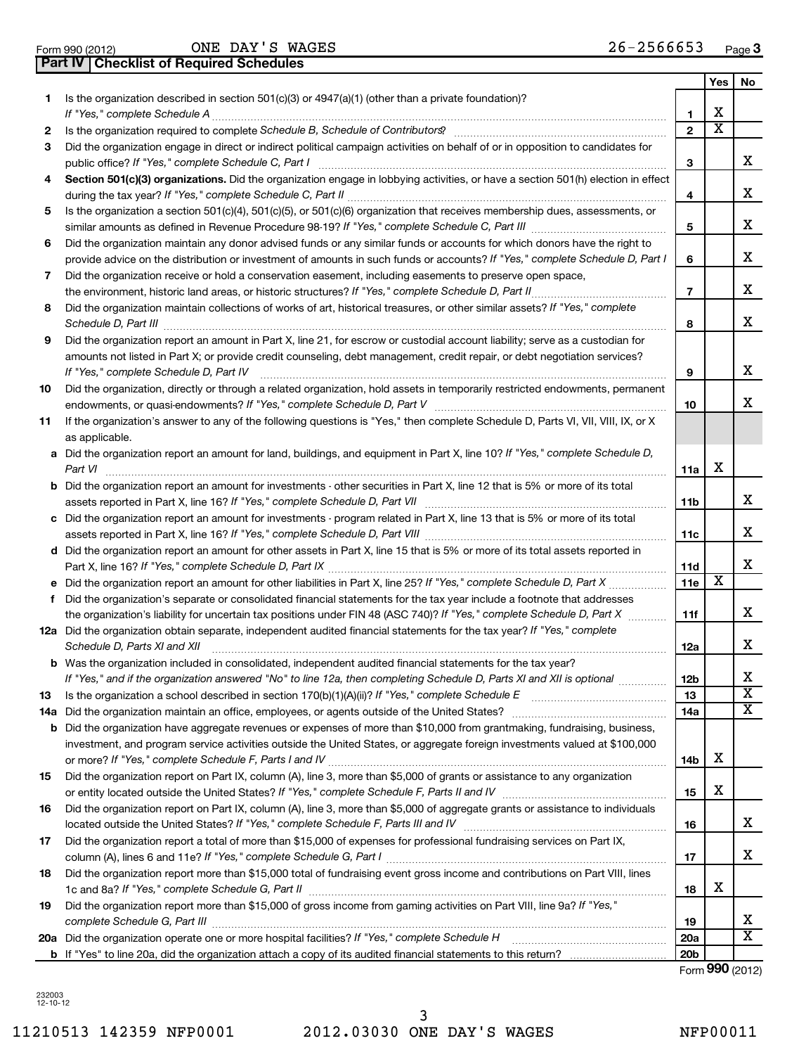|                 | <b>Part IV   Checklist of Required Schedules</b> |              |  |
|-----------------|--------------------------------------------------|--------------|--|
| Form 990 (2012) |                                                  | ONE DAY'S WA |  |

ONE DAY'S WAGES

|    |                                                                                                                                                                                                                                             |                 | Yes                     | No                      |
|----|---------------------------------------------------------------------------------------------------------------------------------------------------------------------------------------------------------------------------------------------|-----------------|-------------------------|-------------------------|
| 1. | Is the organization described in section $501(c)(3)$ or $4947(a)(1)$ (other than a private foundation)?                                                                                                                                     |                 |                         |                         |
|    |                                                                                                                                                                                                                                             | 1               | х                       |                         |
| 2  | Is the organization required to complete Schedule B, Schedule of Contributors? [111] [12] the organization required to complete Schedule B, Schedule of Contributors?                                                                       | $\overline{2}$  | $\overline{\textbf{x}}$ |                         |
| 3  | Did the organization engage in direct or indirect political campaign activities on behalf of or in opposition to candidates for                                                                                                             |                 |                         |                         |
|    |                                                                                                                                                                                                                                             | 3               |                         | x                       |
| 4  | Section 501(c)(3) organizations. Did the organization engage in lobbying activities, or have a section 501(h) election in effect                                                                                                            |                 |                         |                         |
|    |                                                                                                                                                                                                                                             | 4               |                         | x                       |
| 5  | Is the organization a section 501(c)(4), 501(c)(5), or 501(c)(6) organization that receives membership dues, assessments, or                                                                                                                | 5               |                         | x.                      |
| 6  | Did the organization maintain any donor advised funds or any similar funds or accounts for which donors have the right to                                                                                                                   |                 |                         |                         |
|    | provide advice on the distribution or investment of amounts in such funds or accounts? If "Yes," complete Schedule D, Part I                                                                                                                | 6               |                         | x                       |
| 7  | Did the organization receive or hold a conservation easement, including easements to preserve open space,                                                                                                                                   |                 |                         |                         |
|    |                                                                                                                                                                                                                                             | 7               |                         | x                       |
| 8  | Did the organization maintain collections of works of art, historical treasures, or other similar assets? If "Yes," complete                                                                                                                |                 |                         |                         |
|    |                                                                                                                                                                                                                                             | 8               |                         | x                       |
| 9  | Did the organization report an amount in Part X, line 21, for escrow or custodial account liability; serve as a custodian for                                                                                                               |                 |                         |                         |
|    | amounts not listed in Part X; or provide credit counseling, debt management, credit repair, or debt negotiation services?                                                                                                                   |                 |                         |                         |
|    | If "Yes," complete Schedule D, Part IV                                                                                                                                                                                                      | 9               |                         | x.                      |
| 10 | Did the organization, directly or through a related organization, hold assets in temporarily restricted endowments, permanent                                                                                                               | 10              |                         | x                       |
| 11 | If the organization's answer to any of the following questions is "Yes," then complete Schedule D, Parts VI, VII, VIII, IX, or X                                                                                                            |                 |                         |                         |
|    | as applicable.                                                                                                                                                                                                                              |                 |                         |                         |
|    | a Did the organization report an amount for land, buildings, and equipment in Part X, line 10? If "Yes," complete Schedule D,                                                                                                               |                 |                         |                         |
|    | Part VI                                                                                                                                                                                                                                     | 11a             | х                       |                         |
|    | <b>b</b> Did the organization report an amount for investments - other securities in Part X, line 12 that is 5% or more of its total                                                                                                        |                 |                         |                         |
|    |                                                                                                                                                                                                                                             | 11b             |                         | x.                      |
|    | c Did the organization report an amount for investments - program related in Part X, line 13 that is 5% or more of its total                                                                                                                |                 |                         | x                       |
|    | d Did the organization report an amount for other assets in Part X, line 15 that is 5% or more of its total assets reported in                                                                                                              | 11c             |                         |                         |
|    |                                                                                                                                                                                                                                             | 11d             |                         | x                       |
|    | e Did the organization report an amount for other liabilities in Part X, line 25? If "Yes," complete Schedule D, Part X                                                                                                                     | 11e             | х                       |                         |
| f  | Did the organization's separate or consolidated financial statements for the tax year include a footnote that addresses                                                                                                                     |                 |                         |                         |
|    | the organization's liability for uncertain tax positions under FIN 48 (ASC 740)? If "Yes," complete Schedule D, Part X                                                                                                                      | 11f             |                         | x                       |
|    | 12a Did the organization obtain separate, independent audited financial statements for the tax year? If "Yes," complete                                                                                                                     |                 |                         |                         |
|    | Schedule D, Parts XI and XII                                                                                                                                                                                                                | 12a             |                         | x                       |
|    | <b>b</b> Was the organization included in consolidated, independent audited financial statements for the tax year?<br>If "Yes," and if the organization answered "No" to line 12a, then completing Schedule D, Parts XI and XII is optional |                 |                         | x                       |
|    |                                                                                                                                                                                                                                             | 12b<br>13       |                         | $\overline{\text{x}}$   |
| 13 |                                                                                                                                                                                                                                             | 14a             |                         | $\overline{\mathtt{x}}$ |
|    | <b>b</b> Did the organization have aggregate revenues or expenses of more than \$10,000 from grantmaking, fundraising, business,                                                                                                            |                 |                         |                         |
|    | investment, and program service activities outside the United States, or aggregate foreign investments valued at \$100,000                                                                                                                  |                 |                         |                         |
|    |                                                                                                                                                                                                                                             | 14b             | х                       |                         |
| 15 | Did the organization report on Part IX, column (A), line 3, more than \$5,000 of grants or assistance to any organization                                                                                                                   |                 |                         |                         |
|    |                                                                                                                                                                                                                                             | 15              | х                       |                         |
| 16 | Did the organization report on Part IX, column (A), line 3, more than \$5,000 of aggregate grants or assistance to individuals                                                                                                              |                 |                         | x                       |
| 17 | Did the organization report a total of more than \$15,000 of expenses for professional fundraising services on Part IX,                                                                                                                     | 16              |                         |                         |
|    |                                                                                                                                                                                                                                             | 17              |                         | x                       |
| 18 | Did the organization report more than \$15,000 total of fundraising event gross income and contributions on Part VIII, lines                                                                                                                |                 |                         |                         |
|    |                                                                                                                                                                                                                                             | 18              | х                       |                         |
| 19 | Did the organization report more than \$15,000 of gross income from gaming activities on Part VIII, line 9a? If "Yes,"                                                                                                                      |                 |                         |                         |
|    |                                                                                                                                                                                                                                             | 19              |                         | х                       |
|    |                                                                                                                                                                                                                                             | <b>20a</b>      |                         | $\overline{\mathtt{x}}$ |
|    |                                                                                                                                                                                                                                             | 20 <sub>b</sub> |                         |                         |

Form (2012) **990**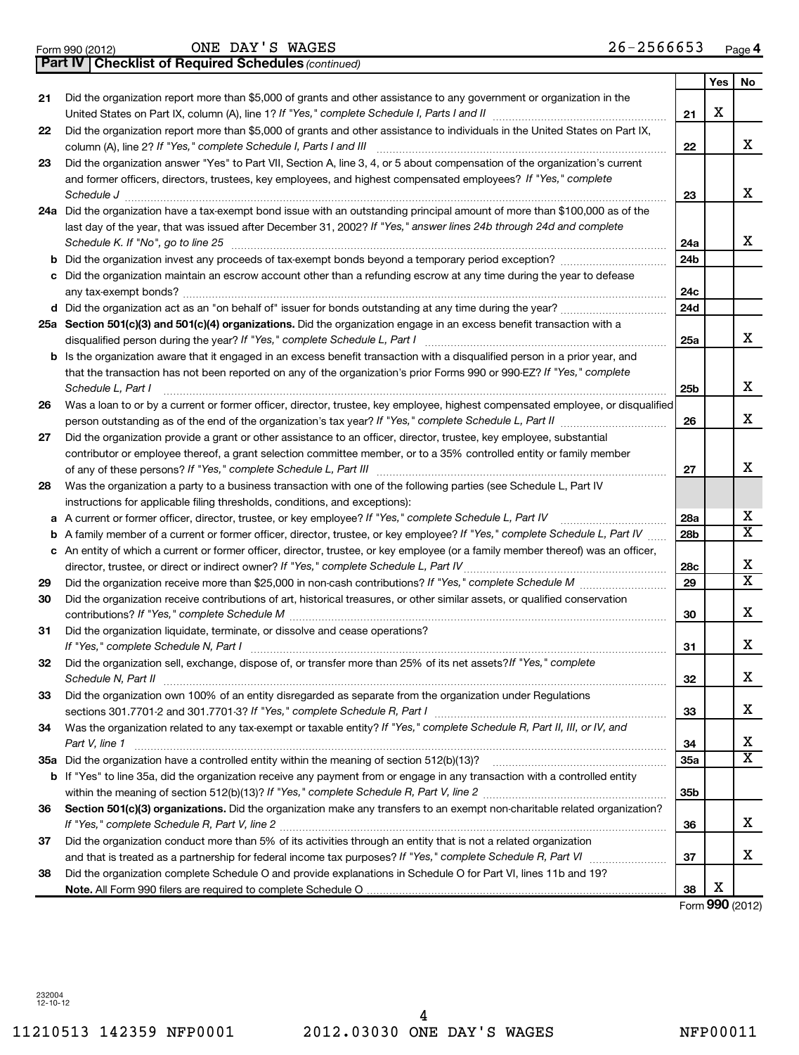Form 990 (2012) ONE DAY'S WAGES 2 6-2 5 6 6 6 5 3 <sub>Page</sub>

|    | <b>Part IV   Checklist of Required Schedules (continued)</b>                                                                                                                |                 |     |                         |
|----|-----------------------------------------------------------------------------------------------------------------------------------------------------------------------------|-----------------|-----|-------------------------|
|    |                                                                                                                                                                             |                 | Yes | No                      |
| 21 | Did the organization report more than \$5,000 of grants and other assistance to any government or organization in the                                                       |                 |     |                         |
|    |                                                                                                                                                                             | 21              | х   |                         |
| 22 | Did the organization report more than \$5,000 of grants and other assistance to individuals in the United States on Part IX,                                                |                 |     |                         |
|    |                                                                                                                                                                             | 22              |     | x                       |
| 23 | Did the organization answer "Yes" to Part VII, Section A, line 3, 4, or 5 about compensation of the organization's current                                                  |                 |     |                         |
|    | and former officers, directors, trustees, key employees, and highest compensated employees? If "Yes," complete                                                              |                 |     |                         |
|    | Schedule J                                                                                                                                                                  | 23              |     | x                       |
|    | 24a Did the organization have a tax-exempt bond issue with an outstanding principal amount of more than \$100,000 as of the                                                 |                 |     |                         |
|    | last day of the year, that was issued after December 31, 2002? If "Yes," answer lines 24b through 24d and complete                                                          |                 |     |                         |
|    | Schedule K. If "No", go to line 25                                                                                                                                          | 24a             |     | x                       |
|    |                                                                                                                                                                             | 24 <sub>b</sub> |     |                         |
|    | c Did the organization maintain an escrow account other than a refunding escrow at any time during the year to defease                                                      |                 |     |                         |
|    |                                                                                                                                                                             | 24c             |     |                         |
|    |                                                                                                                                                                             | 24d             |     |                         |
|    | 25a Section 501(c)(3) and 501(c)(4) organizations. Did the organization engage in an excess benefit transaction with a                                                      |                 |     |                         |
|    |                                                                                                                                                                             | 25a             |     | x                       |
|    | <b>b</b> Is the organization aware that it engaged in an excess benefit transaction with a disqualified person in a prior year, and                                         |                 |     |                         |
|    | that the transaction has not been reported on any of the organization's prior Forms 990 or 990-EZ? If "Yes," complete                                                       |                 |     |                         |
|    | Schedule L, Part I                                                                                                                                                          | 25b             |     | x                       |
| 26 | Was a loan to or by a current or former officer, director, trustee, key employee, highest compensated employee, or disqualified                                             |                 |     |                         |
|    |                                                                                                                                                                             | 26              |     | x                       |
| 27 | Did the organization provide a grant or other assistance to an officer, director, trustee, key employee, substantial                                                        |                 |     |                         |
|    | contributor or employee thereof, a grant selection committee member, or to a 35% controlled entity or family member                                                         |                 |     |                         |
|    |                                                                                                                                                                             | 27              |     | x                       |
| 28 | Was the organization a party to a business transaction with one of the following parties (see Schedule L, Part IV                                                           |                 |     |                         |
|    | instructions for applicable filing thresholds, conditions, and exceptions):                                                                                                 |                 |     |                         |
|    | a A current or former officer, director, trustee, or key employee? If "Yes," complete Schedule L, Part IV                                                                   | 28a             |     | х                       |
|    | <b>b</b> A family member of a current or former officer, director, trustee, or key employee? If "Yes," complete Schedule L, Part IV                                         | 28 <sub>b</sub> |     | $\overline{\textbf{x}}$ |
|    | c An entity of which a current or former officer, director, trustee, or key employee (or a family member thereof) was an officer,                                           |                 |     |                         |
|    |                                                                                                                                                                             | 28c             |     | х                       |
| 29 |                                                                                                                                                                             | 29              |     | $\overline{\text{x}}$   |
| 30 | Did the organization receive contributions of art, historical treasures, or other similar assets, or qualified conservation                                                 |                 |     |                         |
|    |                                                                                                                                                                             | 30              |     | x                       |
| 31 | Did the organization liquidate, terminate, or dissolve and cease operations?                                                                                                |                 |     |                         |
|    |                                                                                                                                                                             | 31              |     | x                       |
| 32 | Did the organization sell, exchange, dispose of, or transfer more than 25% of its net assets? If "Yes," complete                                                            |                 |     |                         |
|    | Schedule N, Part II                                                                                                                                                         | 32              |     | х                       |
| 33 | Did the organization own 100% of an entity disregarded as separate from the organization under Regulations                                                                  |                 |     |                         |
|    | sections 301.7701-2 and 301.7701-3? If "Yes," complete Schedule R, Part I [1] [1] [1] [1] [1] [1] sections 301.7701-2 and 301.7701-3? If "Yes," complete Schedule R, Part I | 33              |     | х                       |
| 34 | Was the organization related to any tax-exempt or taxable entity? If "Yes," complete Schedule R, Part II, III, or IV, and                                                   |                 |     |                         |
|    | Part V, line 1                                                                                                                                                              | 34              |     | х                       |
|    |                                                                                                                                                                             | <b>35a</b>      |     | $\overline{\textbf{x}}$ |
|    | b If "Yes" to line 35a, did the organization receive any payment from or engage in any transaction with a controlled entity                                                 |                 |     |                         |
|    |                                                                                                                                                                             | 35b             |     |                         |
| 36 | Section 501(c)(3) organizations. Did the organization make any transfers to an exempt non-charitable related organization?                                                  |                 |     |                         |
|    | If "Yes," complete Schedule R, Part V, line 2                                                                                                                               | 36              |     | x                       |
| 37 | Did the organization conduct more than 5% of its activities through an entity that is not a related organization                                                            |                 |     |                         |
|    |                                                                                                                                                                             | 37              |     | x                       |
| 38 | Did the organization complete Schedule O and provide explanations in Schedule O for Part VI, lines 11b and 19?                                                              |                 |     |                         |
|    |                                                                                                                                                                             | 38              | х   |                         |
|    |                                                                                                                                                                             |                 |     | Form 990 (2012)         |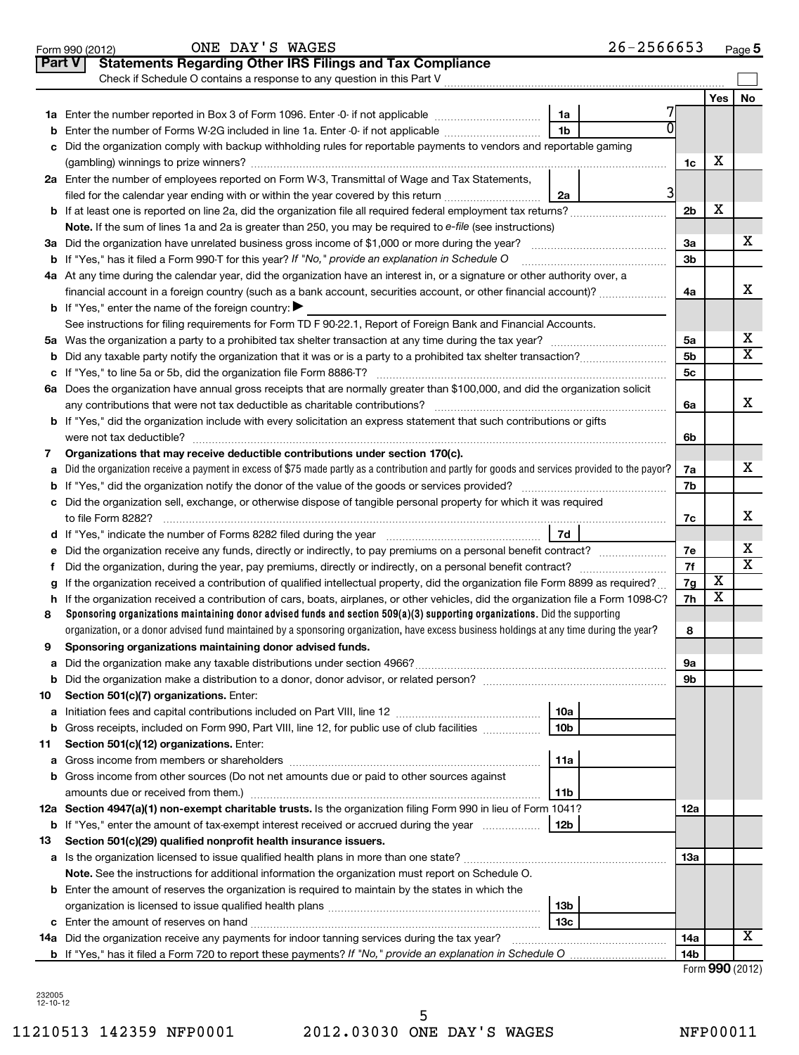|               | $26 - 2566653$<br>ONE DAY'S WAGES<br>Form 990 (2012)                                                                                                       |                 |     | Page 5                  |
|---------------|------------------------------------------------------------------------------------------------------------------------------------------------------------|-----------------|-----|-------------------------|
| <b>Part V</b> | <b>Statements Regarding Other IRS Filings and Tax Compliance</b>                                                                                           |                 |     |                         |
|               | Check if Schedule O contains a response to any question in this Part V                                                                                     |                 |     |                         |
|               |                                                                                                                                                            |                 | Yes | No                      |
|               | 1a                                                                                                                                                         |                 |     |                         |
|               | 1 <sub>b</sub><br>Enter the number of Forms W-2G included in line 1a. Enter -0- if not applicable                                                          |                 |     |                         |
|               | Did the organization comply with backup withholding rules for reportable payments to vendors and reportable gaming                                         |                 |     |                         |
|               |                                                                                                                                                            | 1c              | х   |                         |
|               | 2a Enter the number of employees reported on Form W-3, Transmittal of Wage and Tax Statements,                                                             |                 |     |                         |
|               | 31<br>filed for the calendar year ending with or within the year covered by this return <i>manumumumum</i><br>2a                                           |                 |     |                         |
|               |                                                                                                                                                            | 2 <sub>b</sub>  | х   |                         |
|               | Note. If the sum of lines 1a and 2a is greater than 250, you may be required to e-file (see instructions)                                                  |                 |     |                         |
|               |                                                                                                                                                            | За              |     | х                       |
|               | <b>b</b> If "Yes," has it filed a Form 990-T for this year? If "No," provide an explanation in Schedule O                                                  | 3 <sub>b</sub>  |     |                         |
|               | 4a At any time during the calendar year, did the organization have an interest in, or a signature or other authority over, a                               |                 |     |                         |
|               |                                                                                                                                                            | 4a              |     | х                       |
|               | <b>b</b> If "Yes," enter the name of the foreign country:                                                                                                  |                 |     |                         |
|               | See instructions for filing requirements for Form TD F 90-22.1, Report of Foreign Bank and Financial Accounts.                                             |                 |     |                         |
|               |                                                                                                                                                            | 5a              |     | х                       |
| b             |                                                                                                                                                            | 5 <sub>b</sub>  |     | $\overline{\mathtt{x}}$ |
| c             |                                                                                                                                                            | 5c              |     |                         |
|               | 6a Does the organization have annual gross receipts that are normally greater than \$100,000, and did the organization solicit                             |                 |     |                         |
|               |                                                                                                                                                            | 6a              |     | x                       |
|               | <b>b</b> If "Yes," did the organization include with every solicitation an express statement that such contributions or gifts                              |                 |     |                         |
|               | Organizations that may receive deductible contributions under section 170(c).                                                                              | 6b              |     |                         |
| 7<br>a        | Did the organization receive a payment in excess of \$75 made partly as a contribution and partly for goods and services provided to the payor?            | 7a              |     | x                       |
| b             |                                                                                                                                                            | 7b              |     |                         |
|               | c Did the organization sell, exchange, or otherwise dispose of tangible personal property for which it was required                                        |                 |     |                         |
|               |                                                                                                                                                            | 7c              |     | х                       |
|               | 7d<br>d If "Yes," indicate the number of Forms 8282 filed during the year manufactured in the set of the number of Forms 8282 filed during the year        |                 |     |                         |
| е             | Did the organization receive any funds, directly or indirectly, to pay premiums on a personal benefit contract?                                            | 7е              |     | х                       |
|               |                                                                                                                                                            | 7f              |     | $\overline{\mathtt{x}}$ |
| g             | If the organization received a contribution of qualified intellectual property, did the organization file Form 8899 as required?                           | 7g              | х   |                         |
| h             | If the organization received a contribution of cars, boats, airplanes, or other vehicles, did the organization file a Form 1098-C?                         | 7h              | х   |                         |
| 8             | Sponsoring organizations maintaining donor advised funds and section $509(a)(3)$ supporting organizations. Did the supporting                              |                 |     |                         |
|               | organization, or a donor advised fund maintained by a sponsoring organization, have excess business holdings at any time during the year?                  | 8               |     |                         |
|               | Sponsoring organizations maintaining donor advised funds.                                                                                                  |                 |     |                         |
| а             |                                                                                                                                                            | 9а              |     |                         |
| b             |                                                                                                                                                            | 9b              |     |                         |
| 10            | Section 501(c)(7) organizations. Enter:                                                                                                                    |                 |     |                         |
| а             | 10a                                                                                                                                                        |                 |     |                         |
| b             | 10 <sub>b</sub><br>Gross receipts, included on Form 990, Part VIII, line 12, for public use of club facilities                                             |                 |     |                         |
| 11            | Section 501(c)(12) organizations. Enter:                                                                                                                   |                 |     |                         |
| а             | 11a                                                                                                                                                        |                 |     |                         |
|               | b Gross income from other sources (Do not net amounts due or paid to other sources against                                                                 |                 |     |                         |
|               | 11 <sub>b</sub>                                                                                                                                            |                 |     |                         |
|               | 12a Section 4947(a)(1) non-exempt charitable trusts. Is the organization filing Form 990 in lieu of Form 1041?                                             | <b>12a</b>      |     |                         |
|               | 12 <sub>b</sub><br><b>b</b> If "Yes," enter the amount of tax-exempt interest received or accrued during the year                                          |                 |     |                         |
| 13            | Section 501(c)(29) qualified nonprofit health insurance issuers.<br>a Is the organization licensed to issue qualified health plans in more than one state? | <b>13a</b>      |     |                         |
|               | Note. See the instructions for additional information the organization must report on Schedule O.                                                          |                 |     |                         |
|               | <b>b</b> Enter the amount of reserves the organization is required to maintain by the states in which the                                                  |                 |     |                         |
|               | 13 <sub>b</sub>                                                                                                                                            |                 |     |                         |
|               | 13 <sub>c</sub>                                                                                                                                            |                 |     |                         |
|               | 14a Did the organization receive any payments for indoor tanning services during the tax year?                                                             | 14a             |     | X                       |
|               |                                                                                                                                                            | 14 <sub>b</sub> |     |                         |
|               |                                                                                                                                                            |                 |     |                         |

| Form 990 (2012) |  |
|-----------------|--|
|-----------------|--|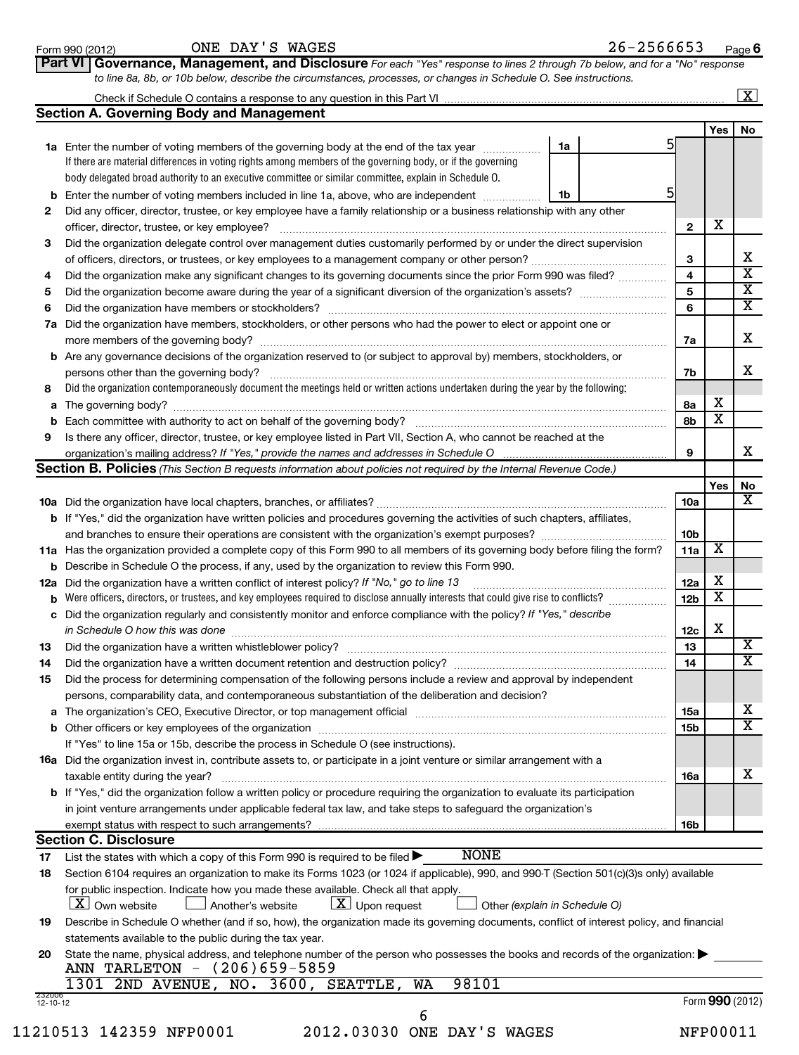**Part VI Governance, Management, and Disclosure** 

*For each "Yes" response to lines 2 through 7b below, and for a "No" response*

|                |                                                                                                                                            |    |                 |                         | $\boxed{\textbf{X}}$    |
|----------------|--------------------------------------------------------------------------------------------------------------------------------------------|----|-----------------|-------------------------|-------------------------|
|                | <b>Section A. Governing Body and Management</b>                                                                                            |    |                 |                         |                         |
|                |                                                                                                                                            |    |                 | Yes                     | No                      |
|                | 1a Enter the number of voting members of the governing body at the end of the tax year                                                     | 1a | 51              |                         |                         |
|                | If there are material differences in voting rights among members of the governing body, or if the governing                                |    |                 |                         |                         |
|                | body delegated broad authority to an executive committee or similar committee, explain in Schedule O.                                      |    |                 |                         |                         |
|                | <b>b</b> Enter the number of voting members included in line 1a, above, who are independent                                                | 1b | 5               |                         |                         |
| 2              | Did any officer, director, trustee, or key employee have a family relationship or a business relationship with any other                   |    |                 |                         |                         |
|                |                                                                                                                                            |    | $\mathbf{2}$    | X                       |                         |
|                | Did the organization delegate control over management duties customarily performed by or under the direct supervision                      |    |                 |                         |                         |
| 3              |                                                                                                                                            |    |                 |                         | х                       |
|                |                                                                                                                                            |    | 3<br>4          |                         | X                       |
| 4              | Did the organization make any significant changes to its governing documents since the prior Form 990 was filed?                           |    |                 |                         | X                       |
| 5              |                                                                                                                                            |    | 5               |                         | X                       |
| 6              |                                                                                                                                            |    | 6               |                         |                         |
|                | 7a Did the organization have members, stockholders, or other persons who had the power to elect or appoint one or                          |    |                 |                         |                         |
|                |                                                                                                                                            |    | 7a              |                         | x                       |
|                | <b>b</b> Are any governance decisions of the organization reserved to (or subject to approval by) members, stockholders, or                |    |                 |                         |                         |
|                | persons other than the governing body?                                                                                                     |    | 7b              |                         | x                       |
| 8              | Did the organization contemporaneously document the meetings held or written actions undertaken during the year by the following:          |    |                 |                         |                         |
|                |                                                                                                                                            |    | 8a              | Х                       |                         |
|                |                                                                                                                                            |    | 8b              | x                       |                         |
| 9              | Is there any officer, director, trustee, or key employee listed in Part VII, Section A, who cannot be reached at the                       |    |                 |                         |                         |
|                |                                                                                                                                            |    | 9               |                         | X                       |
|                | <b>Section B. Policies</b> (This Section B requests information about policies not required by the Internal Revenue Code.)                 |    |                 |                         |                         |
|                |                                                                                                                                            |    |                 | Yes                     | No                      |
|                |                                                                                                                                            |    | 10a             |                         | х                       |
|                | <b>b</b> If "Yes," did the organization have written policies and procedures governing the activities of such chapters, affiliates,        |    |                 |                         |                         |
|                |                                                                                                                                            |    | 10 <sub>b</sub> |                         |                         |
|                | 11a Has the organization provided a complete copy of this Form 990 to all members of its governing body before filing the form?            |    | 11a             | X                       |                         |
|                | <b>b</b> Describe in Schedule O the process, if any, used by the organization to review this Form 990.                                     |    |                 |                         |                         |
|                | 12a Did the organization have a written conflict of interest policy? If "No," go to line 13                                                |    | 12a             | х                       |                         |
|                |                                                                                                                                            |    | 12 <sub>b</sub> | $\overline{\textbf{x}}$ |                         |
|                | c Did the organization regularly and consistently monitor and enforce compliance with the policy? If "Yes," describe                       |    |                 |                         |                         |
|                | in Schedule O how this was done encounteral contracts and a set of the set of the set of the set of the set of                             |    | 12c             | X                       |                         |
| 13             |                                                                                                                                            |    | 13              |                         | Х                       |
| 14             | Did the organization have a written document retention and destruction policy? [11] manufaction manufaction in                             |    | 14              |                         | $\overline{\textbf{x}}$ |
|                | Did the process for determining compensation of the following persons include a review and approval by independent                         |    |                 |                         |                         |
| 15             |                                                                                                                                            |    |                 |                         |                         |
|                | persons, comparability data, and contemporaneous substantiation of the deliberation and decision?                                          |    |                 |                         | х                       |
|                |                                                                                                                                            |    | 15a             |                         | $\overline{\text{X}}$   |
|                |                                                                                                                                            |    | 15 <sub>b</sub> |                         |                         |
|                | If "Yes" to line 15a or 15b, describe the process in Schedule O (see instructions).                                                        |    |                 |                         |                         |
|                | 16a Did the organization invest in, contribute assets to, or participate in a joint venture or similar arrangement with a                  |    |                 |                         |                         |
|                | taxable entity during the year?                                                                                                            |    | <b>16a</b>      |                         | х                       |
|                | b If "Yes," did the organization follow a written policy or procedure requiring the organization to evaluate its participation             |    |                 |                         |                         |
|                | in joint venture arrangements under applicable federal tax law, and take steps to safeguard the organization's                             |    |                 |                         |                         |
|                | exempt status with respect to such arrangements?                                                                                           |    | 16b             |                         |                         |
|                | <b>Section C. Disclosure</b>                                                                                                               |    |                 |                         |                         |
| 17             | <b>NONE</b><br>List the states with which a copy of this Form 990 is required to be filed $\blacktriangleright$                            |    |                 |                         |                         |
| 18             | Section 6104 requires an organization to make its Forms 1023 (or 1024 if applicable), 990, and 990-T (Section 501(c)(3)s only) available   |    |                 |                         |                         |
|                | for public inspection. Indicate how you made these available. Check all that apply.                                                        |    |                 |                         |                         |
|                | $\lfloor x \rfloor$ Own website<br>$ \underline{X} $ Upon request<br>Another's website<br>Other (explain in Schedule O)                    |    |                 |                         |                         |
| 19             | Describe in Schedule O whether (and if so, how), the organization made its governing documents, conflict of interest policy, and financial |    |                 |                         |                         |
|                | statements available to the public during the tax year.                                                                                    |    |                 |                         |                         |
| 20             | State the name, physical address, and telephone number of the person who possesses the books and records of the organization:              |    |                 |                         |                         |
|                | ANN TARLETON - (206)659-5859                                                                                                               |    |                 |                         |                         |
|                | 1301 2ND AVENUE, NO. 3600, SEATTLE,<br><b>WA</b><br>98101                                                                                  |    |                 |                         |                         |
| 232006         |                                                                                                                                            |    |                 |                         |                         |
| $12 - 10 - 12$ |                                                                                                                                            |    |                 | Form 990 (2012)         |                         |
|                | 6<br>11210513 142359 NFP0001<br>2012.03030 ONE DAY'S WAGES                                                                                 |    |                 | NFP00011                |                         |
|                |                                                                                                                                            |    |                 |                         |                         |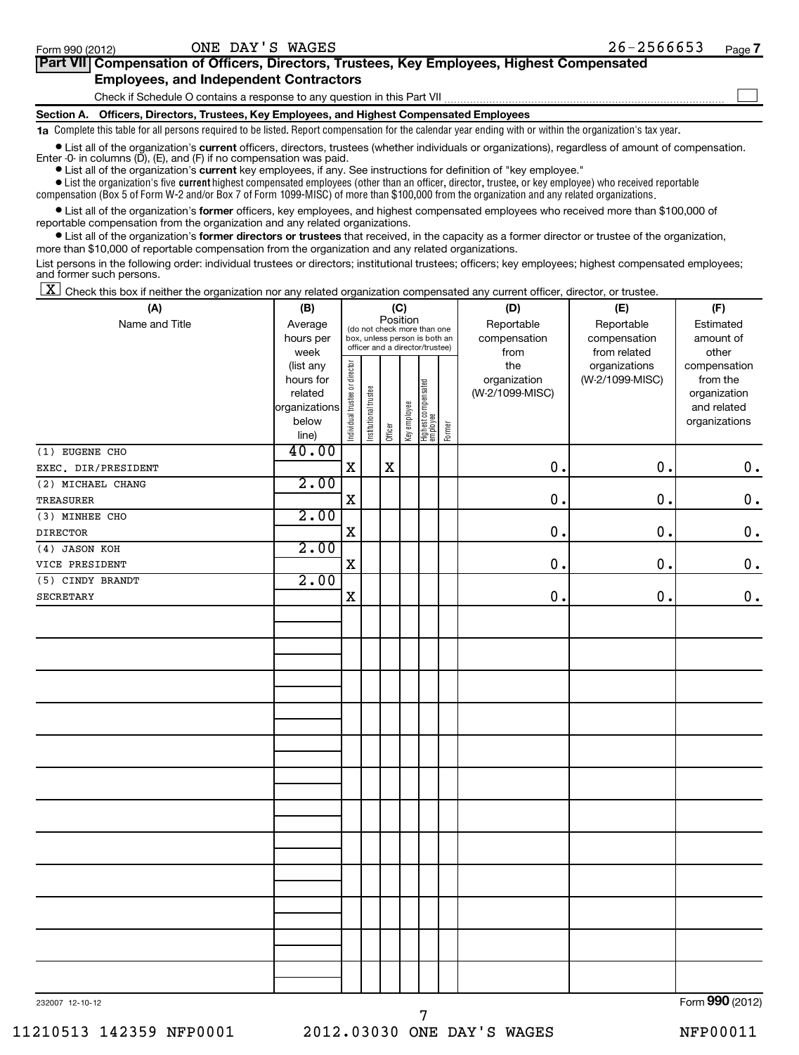| Part VII Compensation of Officers, Directors, Trustees, Key Employees, Highest Compensated |  |
|--------------------------------------------------------------------------------------------|--|
| <b>Employees, and Independent Contractors</b>                                              |  |
| Check if Schedule O contains a response to any question in this Part VII                   |  |
| Section A. Officers, Directors, Trustees, Key Employees, and Highest Compensated Employees |  |

**1a**  Complete this table for all persons required to be listed. Report compensation for the calendar year ending with or within the organization's tax year.

**•** List all of the organization's current officers, directors, trustees (whether individuals or organizations), regardless of amount of compensation. Enter -0- in columns (D), (E), and (F) if no compensation was paid.

**•** List all of the organization's **current** key employees, if any. See instructions for definition of "key employee."

 $\bullet$  List the organization's five  $\tt current$  highest compensated employees (other than an officer, director, trustee, or key employee) who received reportable compensation (Box 5 of Form W-2 and/or Box 7 of Form 1099-MISC) of more than \$100,000 from the organization and any related organizations .

 $\bullet$  List all of the organization's former officers, key employees, and highest compensated employees who received more than \$100,000 of reportable compensation from the organization and any related organizations.

**•** List all of the organization's former directors or trustees that received, in the capacity as a former director or trustee of the organization, more than \$10,000 of reportable compensation from the organization and any related organizations.

List persons in the following order: individual trustees or directors; institutional trustees; officers; key employees; highest compensated employees; and former such persons.

 $\boxed{\textbf{X}}$  Check this box if neither the organization nor any related organization compensated any current officer, director, or trustee.

| (A)                 | (B)                                                                          | (C)<br>Position<br>(D)         |                       |         |              |                                                                                                 |        |                                                | (E)                                              | (F)                                                                               |
|---------------------|------------------------------------------------------------------------------|--------------------------------|-----------------------|---------|--------------|-------------------------------------------------------------------------------------------------|--------|------------------------------------------------|--------------------------------------------------|-----------------------------------------------------------------------------------|
| Name and Title      | Average<br>hours per                                                         |                                |                       |         |              | (do not check more than one<br>box, unless person is both an<br>officer and a director/trustee) |        | Reportable<br>compensation                     | Reportable<br>compensation                       | Estimated<br>amount of                                                            |
|                     | week<br>(list any<br>hours for<br>related<br>organizations<br>below<br>line) | Individual trustee or director | Institutional trustee | Officer | Key employee | Highest compensated<br>employee                                                                 | Former | from<br>the<br>organization<br>(W-2/1099-MISC) | from related<br>organizations<br>(W-2/1099-MISC) | other<br>compensation<br>from the<br>organization<br>and related<br>organizations |
| $(1)$ EUGENE CHO    | 40.00                                                                        |                                |                       |         |              |                                                                                                 |        |                                                |                                                  |                                                                                   |
| EXEC. DIR/PRESIDENT |                                                                              | $\mathbf X$                    |                       | X       |              |                                                                                                 |        | 0.                                             | 0.                                               | 0.                                                                                |
| (2) MICHAEL CHANG   | 2.00                                                                         |                                |                       |         |              |                                                                                                 |        |                                                |                                                  |                                                                                   |
| <b>TREASURER</b>    |                                                                              | $\mathbf x$                    |                       |         |              |                                                                                                 |        | 0.                                             | $\mathbf 0$ .                                    | $\mathbf 0$ .                                                                     |
| (3) MINHEE CHO      | 2.00                                                                         |                                |                       |         |              |                                                                                                 |        |                                                |                                                  |                                                                                   |
| <b>DIRECTOR</b>     |                                                                              | $\mathbf X$                    |                       |         |              |                                                                                                 |        | 0.                                             | 0.                                               | $\boldsymbol{0}$ .                                                                |
| (4) JASON KOH       | 2.00                                                                         |                                |                       |         |              |                                                                                                 |        |                                                |                                                  |                                                                                   |
| VICE PRESIDENT      |                                                                              | $\mathbf X$                    |                       |         |              |                                                                                                 |        | 0.                                             | $\mathbf 0$ .                                    | $\boldsymbol{0}$ .                                                                |
| $(5)$ CINDY BRANDT  | 2.00                                                                         |                                |                       |         |              |                                                                                                 |        |                                                |                                                  |                                                                                   |
| <b>SECRETARY</b>    |                                                                              | $\mathbf X$                    |                       |         |              |                                                                                                 |        | 0.                                             | $\mathbf 0$ .                                    | $\mathbf 0$ .                                                                     |
|                     |                                                                              |                                |                       |         |              |                                                                                                 |        |                                                |                                                  |                                                                                   |
|                     |                                                                              |                                |                       |         |              |                                                                                                 |        |                                                |                                                  |                                                                                   |
|                     |                                                                              |                                |                       |         |              |                                                                                                 |        |                                                |                                                  |                                                                                   |
|                     |                                                                              |                                |                       |         |              |                                                                                                 |        |                                                |                                                  |                                                                                   |
|                     |                                                                              |                                |                       |         |              |                                                                                                 |        |                                                |                                                  |                                                                                   |
|                     |                                                                              |                                |                       |         |              |                                                                                                 |        |                                                |                                                  |                                                                                   |
|                     |                                                                              |                                |                       |         |              |                                                                                                 |        |                                                |                                                  |                                                                                   |
|                     |                                                                              |                                |                       |         |              |                                                                                                 |        |                                                |                                                  |                                                                                   |
|                     |                                                                              |                                |                       |         |              |                                                                                                 |        |                                                |                                                  |                                                                                   |
|                     |                                                                              |                                |                       |         |              |                                                                                                 |        |                                                |                                                  |                                                                                   |
|                     |                                                                              |                                |                       |         |              |                                                                                                 |        |                                                |                                                  |                                                                                   |
|                     |                                                                              |                                |                       |         |              |                                                                                                 |        |                                                |                                                  |                                                                                   |
|                     |                                                                              |                                |                       |         |              |                                                                                                 |        |                                                |                                                  |                                                                                   |
|                     |                                                                              |                                |                       |         |              |                                                                                                 |        |                                                |                                                  |                                                                                   |
| 232007 12-10-12     |                                                                              |                                |                       |         |              |                                                                                                 |        |                                                |                                                  | Form 990 (2012)                                                                   |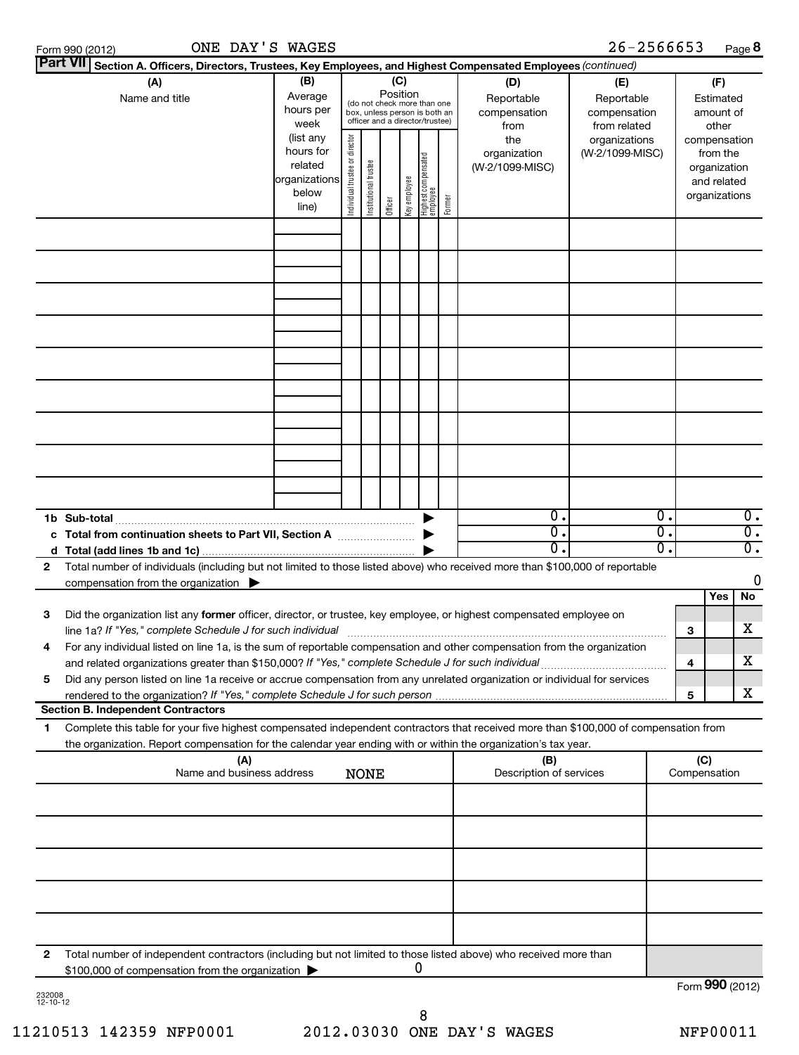| ONE DAY'S WAGES<br>Form 990 (2012)                                                                                                                                                                                                                                                                                    |                                                                      |                                |                       |          |              |                                                                                                 |        |                                            | 26-2566653                                               |                     | Page 8                                                                   |
|-----------------------------------------------------------------------------------------------------------------------------------------------------------------------------------------------------------------------------------------------------------------------------------------------------------------------|----------------------------------------------------------------------|--------------------------------|-----------------------|----------|--------------|-------------------------------------------------------------------------------------------------|--------|--------------------------------------------|----------------------------------------------------------|---------------------|--------------------------------------------------------------------------|
| Part VII Section A. Officers, Directors, Trustees, Key Employees, and Highest Compensated Employees (continued)                                                                                                                                                                                                       |                                                                      |                                |                       |          |              |                                                                                                 |        |                                            |                                                          |                     |                                                                          |
| (A)<br>Name and title                                                                                                                                                                                                                                                                                                 | (B)<br>Average<br>hours per<br>week                                  |                                |                       | Position | (C)          | (do not check more than one<br>box, unless person is both an<br>officer and a director/trustee) |        | (D)<br>Reportable<br>compensation<br>from  | (E)<br>Reportable<br>compensation<br>from related        |                     | (F)<br>Estimated<br>amount of<br>other                                   |
|                                                                                                                                                                                                                                                                                                                       | (list any<br>hours for<br>related<br>organizations<br>below<br>line) | Individual trustee or director | Institutional trustee | Officer  | Key employee | Highest compensated<br>employee                                                                 | Former | the<br>organization<br>(W-2/1099-MISC)     | organizations<br>(W-2/1099-MISC)                         |                     | compensation<br>from the<br>organization<br>and related<br>organizations |
|                                                                                                                                                                                                                                                                                                                       |                                                                      |                                |                       |          |              |                                                                                                 |        |                                            |                                                          |                     |                                                                          |
|                                                                                                                                                                                                                                                                                                                       |                                                                      |                                |                       |          |              |                                                                                                 |        |                                            |                                                          |                     |                                                                          |
|                                                                                                                                                                                                                                                                                                                       |                                                                      |                                |                       |          |              |                                                                                                 |        |                                            |                                                          |                     |                                                                          |
|                                                                                                                                                                                                                                                                                                                       |                                                                      |                                |                       |          |              |                                                                                                 |        |                                            |                                                          |                     |                                                                          |
|                                                                                                                                                                                                                                                                                                                       |                                                                      |                                |                       |          |              |                                                                                                 |        |                                            |                                                          |                     |                                                                          |
|                                                                                                                                                                                                                                                                                                                       |                                                                      |                                |                       |          |              |                                                                                                 |        |                                            |                                                          |                     |                                                                          |
|                                                                                                                                                                                                                                                                                                                       |                                                                      |                                |                       |          |              |                                                                                                 |        |                                            |                                                          |                     |                                                                          |
| 1b Sub-total<br>Total from continuation sheets to Part VII, Section A manuscreed and the Total                                                                                                                                                                                                                        |                                                                      |                                |                       |          |              |                                                                                                 |        | $\overline{0}$ .<br>σ.<br>$\overline{0}$ . | $\overline{0}$ .<br>$\overline{0}$ .<br>$\overline{0}$ . |                     | $0$ .<br>$\overline{0}$ .                                                |
| d<br>Total number of individuals (including but not limited to those listed above) who received more than \$100,000 of reportable<br>2<br>compensation from the organization $\blacktriangleright$                                                                                                                    |                                                                      |                                |                       |          |              |                                                                                                 |        |                                            |                                                          |                     | $\overline{0}$ .<br>$\mathbf 0$                                          |
| 3<br>Did the organization list any former officer, director, or trustee, key employee, or highest compensated employee on                                                                                                                                                                                             |                                                                      |                                |                       |          |              |                                                                                                 |        |                                            |                                                          |                     | Yes<br>No                                                                |
| line 1a? If "Yes," complete Schedule J for such individual<br>For any individual listed on line 1a, is the sum of reportable compensation and other compensation from the organization<br>4                                                                                                                           |                                                                      |                                |                       |          |              |                                                                                                 |        |                                            |                                                          | з                   | x                                                                        |
| and related organizations greater than \$150,000? If "Yes," complete Schedule J for such individual<br>Did any person listed on line 1a receive or accrue compensation from any unrelated organization or individual for services<br>5<br>rendered to the organization? If "Yes," complete Schedule J for such person |                                                                      |                                |                       |          |              |                                                                                                 |        |                                            |                                                          | 4<br>5              | x<br>X.                                                                  |
| <b>Section B. Independent Contractors</b>                                                                                                                                                                                                                                                                             |                                                                      |                                |                       |          |              |                                                                                                 |        |                                            |                                                          |                     |                                                                          |
| Complete this table for your five highest compensated independent contractors that received more than \$100,000 of compensation from<br>1.<br>the organization. Report compensation for the calendar year ending with or within the organization's tax year.                                                          |                                                                      |                                |                       |          |              |                                                                                                 |        |                                            |                                                          |                     |                                                                          |
| (A)<br>Name and business address                                                                                                                                                                                                                                                                                      |                                                                      |                                | <b>NONE</b>           |          |              |                                                                                                 |        | (B)<br>Description of services             |                                                          | (C)<br>Compensation |                                                                          |
|                                                                                                                                                                                                                                                                                                                       |                                                                      |                                |                       |          |              |                                                                                                 |        |                                            |                                                          |                     |                                                                          |
|                                                                                                                                                                                                                                                                                                                       |                                                                      |                                |                       |          |              |                                                                                                 |        |                                            |                                                          |                     |                                                                          |
|                                                                                                                                                                                                                                                                                                                       |                                                                      |                                |                       |          |              |                                                                                                 |        |                                            |                                                          |                     |                                                                          |
|                                                                                                                                                                                                                                                                                                                       |                                                                      |                                |                       |          |              |                                                                                                 |        |                                            |                                                          |                     |                                                                          |

**2** Total number of independent contractors (including but not limited to those listed above) who received more than \$100,000 of compensation from the organization  $\blacktriangleright$ 0

232008 12-10-12

Form (2012) **990**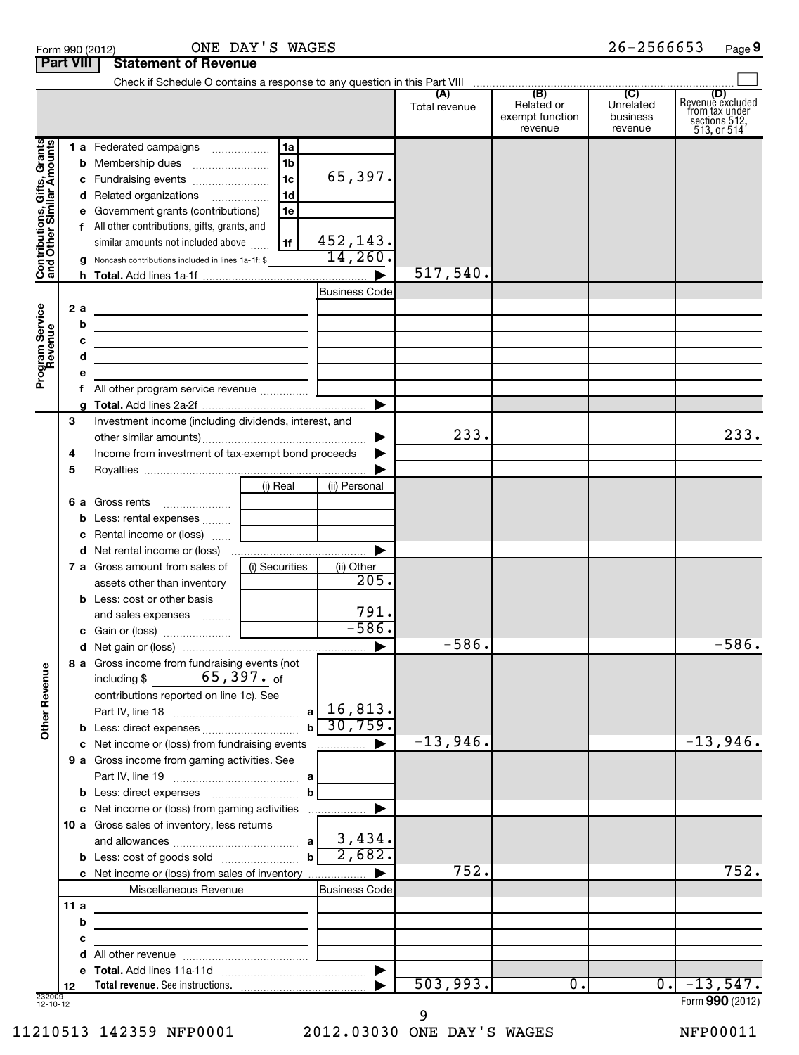|                                                           |     |        |                                                                                 |                |                       | (A)<br>Total revenue | (B)<br>Related or<br>exempt function | (C)<br>Unrelated<br>business | (D)<br>Revenue excluded<br>from tax under |
|-----------------------------------------------------------|-----|--------|---------------------------------------------------------------------------------|----------------|-----------------------|----------------------|--------------------------------------|------------------------------|-------------------------------------------|
|                                                           |     |        |                                                                                 |                |                       |                      | revenue                              | revenue                      | sections $512$ ,<br>$513$ , or $514$      |
| Contributions, Gifts, Grants<br>and Other Similar Amounts |     |        | 1 a Federated campaigns                                                         | 1a             |                       |                      |                                      |                              |                                           |
|                                                           |     |        |                                                                                 | 1 <sub>b</sub> |                       |                      |                                      |                              |                                           |
|                                                           |     |        | c Fundraising events                                                            | 1 <sub>c</sub> | 65,397.               |                      |                                      |                              |                                           |
|                                                           |     |        | d Related organizations                                                         | 1 <sub>d</sub> |                       |                      |                                      |                              |                                           |
|                                                           |     |        | e Government grants (contributions)                                             | 1e             |                       |                      |                                      |                              |                                           |
|                                                           |     |        | f All other contributions, gifts, grants, and                                   |                |                       |                      |                                      |                              |                                           |
|                                                           |     |        | similar amounts not included above www.                                         | 1f             | 452,143.              |                      |                                      |                              |                                           |
|                                                           |     |        | <b>g</b> Noncash contributions included in lines 1a-1f: \$                      |                | 14,260.               | 517,540.             |                                      |                              |                                           |
|                                                           |     |        |                                                                                 |                |                       |                      |                                      |                              |                                           |
|                                                           |     |        |                                                                                 |                | <b>Business Code</b>  |                      |                                      |                              |                                           |
|                                                           | 2a  |        | <u> 1989 - Johann Stein, mars an de Brasilia (b. 1989)</u>                      |                |                       |                      |                                      |                              |                                           |
|                                                           |     | b<br>с | the contract of the contract of the contract of the contract of the contract of |                |                       |                      |                                      |                              |                                           |
|                                                           |     | d      | the contract of the contract of the contract of the contract of the contract of |                |                       |                      |                                      |                              |                                           |
| Program Service<br>Revenue                                |     | е      | <u> 1989 - Johann Stoff, Amerikaansk politiker (</u>                            |                |                       |                      |                                      |                              |                                           |
|                                                           |     |        |                                                                                 |                |                       |                      |                                      |                              |                                           |
|                                                           |     | a      |                                                                                 |                |                       |                      |                                      |                              |                                           |
|                                                           | 3   |        | Investment income (including dividends, interest, and                           |                |                       |                      |                                      |                              |                                           |
|                                                           |     |        |                                                                                 |                |                       | 233.                 |                                      |                              | 233.                                      |
|                                                           | 4   |        | Income from investment of tax-exempt bond proceeds                              |                |                       |                      |                                      |                              |                                           |
|                                                           | 5   |        |                                                                                 |                |                       |                      |                                      |                              |                                           |
|                                                           |     |        |                                                                                 | (i) Real       | (ii) Personal         |                      |                                      |                              |                                           |
|                                                           |     |        |                                                                                 |                |                       |                      |                                      |                              |                                           |
|                                                           |     |        |                                                                                 |                |                       |                      |                                      |                              |                                           |
|                                                           |     |        | c Rental income or (loss)                                                       |                |                       |                      |                                      |                              |                                           |
|                                                           |     |        |                                                                                 |                |                       |                      |                                      |                              |                                           |
|                                                           |     |        | <b>7 a</b> Gross amount from sales of<br>assets other than inventory            | (i) Securities | (ii) Other<br>205.    |                      |                                      |                              |                                           |
|                                                           |     |        | <b>b</b> Less: cost or other basis                                              |                |                       |                      |                                      |                              |                                           |
|                                                           |     |        |                                                                                 |                | $\frac{791}{-586}$    |                      |                                      |                              |                                           |
|                                                           |     |        |                                                                                 |                |                       |                      |                                      |                              |                                           |
|                                                           |     |        |                                                                                 |                |                       | $-586.$              |                                      |                              | $-586.$                                   |
|                                                           |     |        | 8 a Gross income from fundraising events (not                                   |                |                       |                      |                                      |                              |                                           |
| venue                                                     |     |        | including $\frac{2}{3}$ 65, 397. of                                             |                |                       |                      |                                      |                              |                                           |
|                                                           |     |        | contributions reported on line 1c). See                                         |                |                       |                      |                                      |                              |                                           |
| Other Re                                                  |     |        |                                                                                 |                | 16,813.<br>аl         |                      |                                      |                              |                                           |
|                                                           |     |        |                                                                                 |                | 30,759.<br>bl         |                      |                                      |                              |                                           |
|                                                           |     |        | c Net income or (loss) from fundraising events                                  |                |                       | $-13,946$ .          |                                      |                              | $-13,946.$                                |
|                                                           |     |        | 9 a Gross income from gaming activities. See                                    |                |                       |                      |                                      |                              |                                           |
|                                                           |     |        |                                                                                 |                |                       |                      |                                      |                              |                                           |
|                                                           |     |        |                                                                                 |                | b                     |                      |                                      |                              |                                           |
|                                                           |     |        | c Net income or (loss) from gaming activities                                   |                |                       |                      |                                      |                              |                                           |
|                                                           |     |        | 10 a Gross sales of inventory, less returns                                     |                | 3,434.                |                      |                                      |                              |                                           |
|                                                           |     |        | <b>b</b> Less: cost of goods sold                                               |                | 2,682.<br>$\mathbf b$ |                      |                                      |                              |                                           |
|                                                           |     |        | c Net income or (loss) from sales of inventory                                  |                |                       | 752.                 |                                      |                              | 752.                                      |
|                                                           |     |        | Miscellaneous Revenue                                                           |                | <b>Business Code</b>  |                      |                                      |                              |                                           |
|                                                           | 11a |        |                                                                                 |                |                       |                      |                                      |                              |                                           |
|                                                           |     | b      |                                                                                 |                |                       |                      |                                      |                              |                                           |
|                                                           |     | с      |                                                                                 |                |                       |                      |                                      |                              |                                           |
|                                                           |     | d      |                                                                                 |                |                       |                      |                                      |                              |                                           |
|                                                           |     |        |                                                                                 |                | $\blacktriangleright$ |                      |                                      |                              |                                           |
|                                                           | 12  |        |                                                                                 |                |                       | 503,993.             | $\overline{0}$ .                     | $\overline{0}$ .             | $-13,547.$                                |
| 232009<br>12-10-12                                        |     |        |                                                                                 |                |                       |                      |                                      |                              | Form 990 (2012)                           |

Check if Schedule O contains a response to any question in this Part VIII

11210513 142359 NFP0001 2012.03030 ONE DAY'S WAGES NFP00011 9

 $\left| \begin{array}{c} \end{array} \right|$ 

Form 990 (2012) **ONE DAY'S WAGES** 2 6-2 5 6 6 6 5 3 Page

**Part VIII Statement of Revenue**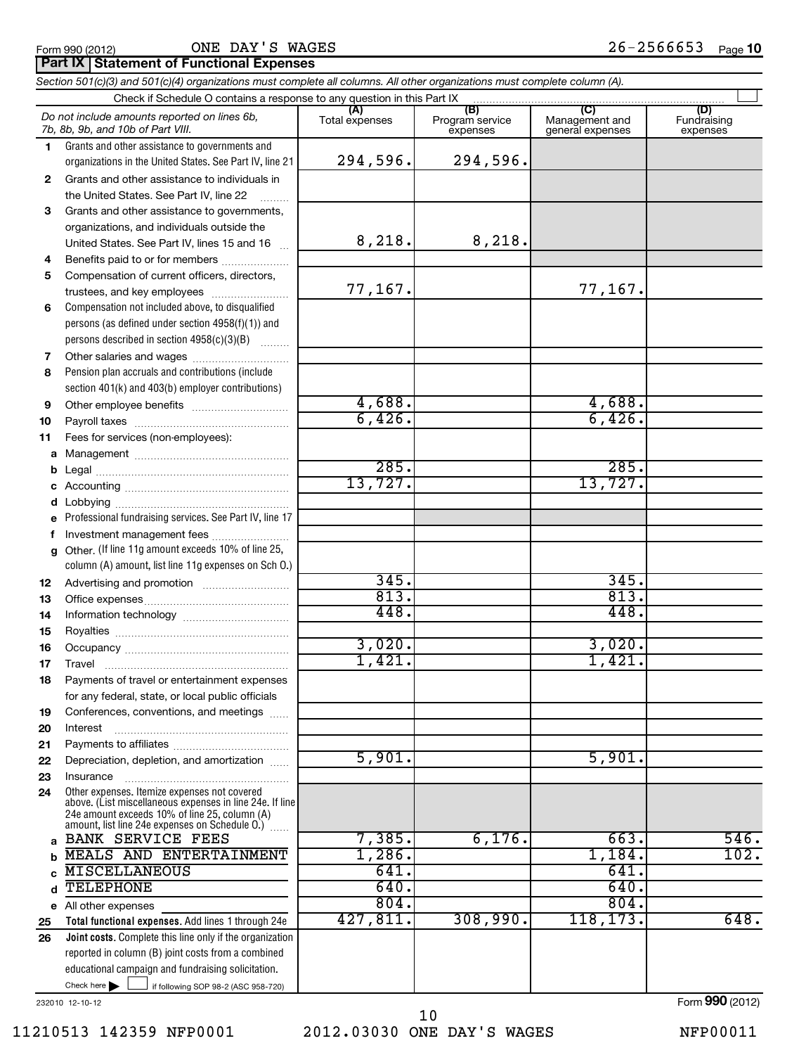ONE DAY'S WAGES

# **Part IX | Statement of Functional Expenses**

|              | Section 501(c)(3) and 501(c)(4) organizations must complete all columns. All other organizations must complete column (A).                                    |                |                                    |                                           |                                |
|--------------|---------------------------------------------------------------------------------------------------------------------------------------------------------------|----------------|------------------------------------|-------------------------------------------|--------------------------------|
|              | Check if Schedule O contains a response to any question in this Part IX                                                                                       |                |                                    |                                           |                                |
|              | Do not include amounts reported on lines 6b,<br>7b, 8b, 9b, and 10b of Part VIII.                                                                             | Total expenses | (B)<br>Program service<br>expenses | (C)<br>Management and<br>general expenses | (D)<br>Fundraising<br>expenses |
| $\mathbf 1$  | Grants and other assistance to governments and<br>organizations in the United States. See Part IV, line 21                                                    | 294,596.       | 294,596.                           |                                           |                                |
| $\mathbf{2}$ | Grants and other assistance to individuals in                                                                                                                 |                |                                    |                                           |                                |
|              | the United States. See Part IV, line 22                                                                                                                       |                |                                    |                                           |                                |
| 3            | Grants and other assistance to governments,                                                                                                                   |                |                                    |                                           |                                |
|              | organizations, and individuals outside the<br>United States. See Part IV, lines 15 and 16                                                                     | 8,218.         | 8,218.                             |                                           |                                |
| 4            | Benefits paid to or for members                                                                                                                               |                |                                    |                                           |                                |
| 5            | Compensation of current officers, directors,                                                                                                                  |                |                                    |                                           |                                |
|              | trustees, and key employees                                                                                                                                   | 77,167.        |                                    | 77,167.                                   |                                |
| 6            | Compensation not included above, to disqualified<br>persons (as defined under section 4958(f)(1)) and<br>persons described in section 4958(c)(3)(B)           |                |                                    |                                           |                                |
| 7            | Other salaries and wages                                                                                                                                      |                |                                    |                                           |                                |
| 8            | Pension plan accruals and contributions (include<br>section 401(k) and 403(b) employer contributions)                                                         |                |                                    |                                           |                                |
| 9            |                                                                                                                                                               | 4,688.         |                                    | 4,688.                                    |                                |
| 10           |                                                                                                                                                               | 6,426.         |                                    | 6,426.                                    |                                |
| 11           | Fees for services (non-employees):                                                                                                                            |                |                                    |                                           |                                |
| a            |                                                                                                                                                               | 285.           |                                    | 285.                                      |                                |
| b<br>c       |                                                                                                                                                               | 13,727.        |                                    | 13,727.                                   |                                |
| d            |                                                                                                                                                               |                |                                    |                                           |                                |
| e            | Professional fundraising services. See Part IV, line 17                                                                                                       |                |                                    |                                           |                                |
| f            | Investment management fees                                                                                                                                    |                |                                    |                                           |                                |
| a            | Other. (If line 11g amount exceeds 10% of line 25,<br>column (A) amount, list line 11g expenses on Sch O.)                                                    |                |                                    |                                           |                                |
| 12           |                                                                                                                                                               | 345.           |                                    | 345.                                      |                                |
| 13           |                                                                                                                                                               | 813.           |                                    | 813.                                      |                                |
| 14           |                                                                                                                                                               | 448.           |                                    | 448.                                      |                                |
| 15           |                                                                                                                                                               | 3,020.         |                                    |                                           |                                |
| 16           |                                                                                                                                                               | 1,421.         |                                    | 3,020.<br>1,421.                          |                                |
| 17<br>18     | Payments of travel or entertainment expenses                                                                                                                  |                |                                    |                                           |                                |
|              | for any federal, state, or local public officials                                                                                                             |                |                                    |                                           |                                |
| 19           | Conferences, conventions, and meetings                                                                                                                        |                |                                    |                                           |                                |
| 20           | Interest                                                                                                                                                      |                |                                    |                                           |                                |
| 21           |                                                                                                                                                               |                |                                    |                                           |                                |
| 22           | Depreciation, depletion, and amortization                                                                                                                     | 5,901.         |                                    | 5,901.                                    |                                |
| 23           | Insurance<br>Other expenses. Itemize expenses not covered                                                                                                     |                |                                    |                                           |                                |
| 24           | above. (List miscellaneous expenses in line 24e. If line<br>24e amount exceeds 10% of line 25, column (A)<br>amount, list line 24e expenses on Schedule O.) ( |                |                                    |                                           |                                |
| a            | <b>BANK SERVICE FEES</b>                                                                                                                                      | 7,385.         | 6,176.                             | 663.                                      | 546.                           |
| b            | MEALS AND ENTERTAINMENT                                                                                                                                       | 1,286.         |                                    | 1,184.                                    | 102.                           |
| C            | <b>MISCELLANEOUS</b>                                                                                                                                          | 641.           |                                    | 641.                                      |                                |
| d            | <b>TELEPHONE</b>                                                                                                                                              | 640.<br>804.   |                                    | 640.<br>804.                              |                                |
| e<br>25      | All other expenses<br>Total functional expenses. Add lines 1 through 24e                                                                                      | 427,811.       | 308,990.                           | 118, 173.                                 | 648.                           |
| 26           | Joint costs. Complete this line only if the organization                                                                                                      |                |                                    |                                           |                                |
|              | reported in column (B) joint costs from a combined                                                                                                            |                |                                    |                                           |                                |
|              | educational campaign and fundraising solicitation.                                                                                                            |                |                                    |                                           |                                |
|              | Check here $\blacktriangleright$<br>if following SOP 98-2 (ASC 958-720)                                                                                       |                |                                    |                                           |                                |

232010 12-10-12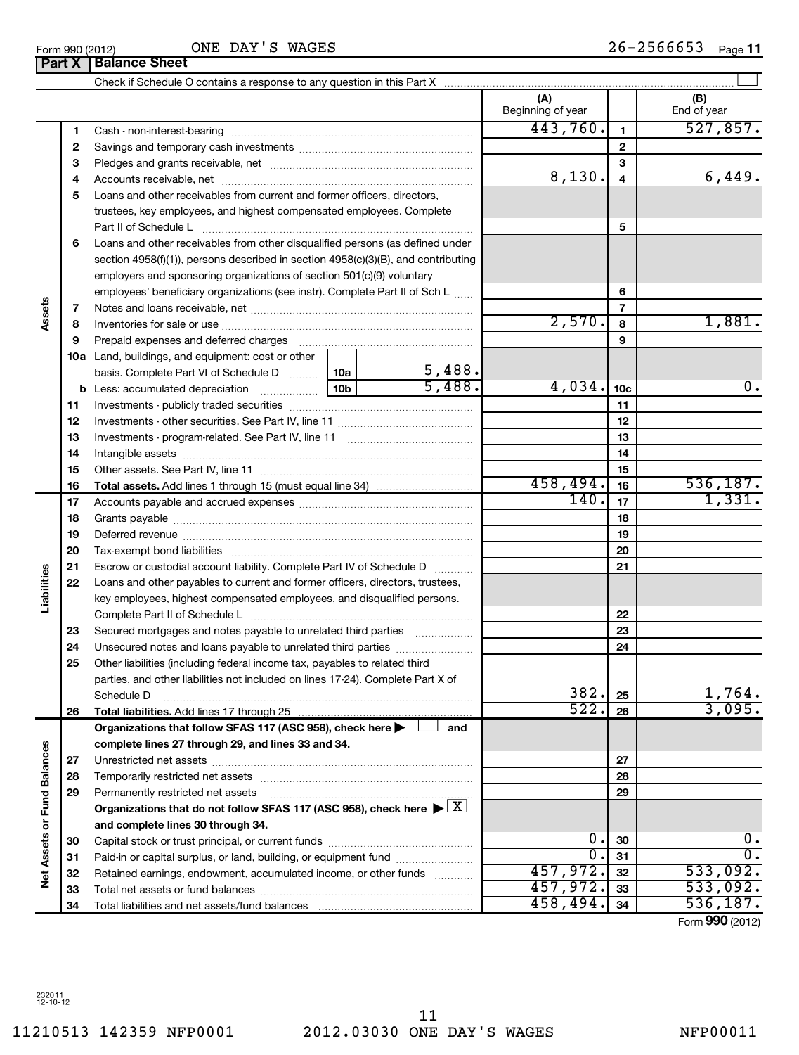L,

 $\overline{a}$ 

 $\blacksquare$ 

|                             |              | Part X   Balance Sheet                                                                                                                                                                                                         |  |        |                          |                         |                       |
|-----------------------------|--------------|--------------------------------------------------------------------------------------------------------------------------------------------------------------------------------------------------------------------------------|--|--------|--------------------------|-------------------------|-----------------------|
|                             |              |                                                                                                                                                                                                                                |  |        |                          |                         |                       |
|                             |              |                                                                                                                                                                                                                                |  |        | (A)<br>Beginning of year |                         | (B)<br>End of year    |
|                             | 1            |                                                                                                                                                                                                                                |  |        | 443,760.                 | $\mathbf{1}$            | 527,857.              |
|                             | $\mathbf{2}$ |                                                                                                                                                                                                                                |  |        |                          | $\mathbf{2}$            |                       |
|                             | з            |                                                                                                                                                                                                                                |  |        |                          | 3                       |                       |
|                             | 4            |                                                                                                                                                                                                                                |  |        | 8,130.                   | $\overline{\mathbf{4}}$ | 6,449.                |
|                             | 5            | Loans and other receivables from current and former officers, directors,                                                                                                                                                       |  |        |                          |                         |                       |
|                             |              | trustees, key employees, and highest compensated employees. Complete                                                                                                                                                           |  |        |                          |                         |                       |
|                             |              | Part II of Schedule L                                                                                                                                                                                                          |  |        |                          | 5                       |                       |
|                             | 6            | Loans and other receivables from other disqualified persons (as defined under                                                                                                                                                  |  |        |                          |                         |                       |
|                             |              | section 4958(f)(1)), persons described in section 4958(c)(3)(B), and contributing                                                                                                                                              |  |        |                          |                         |                       |
|                             |              | employers and sponsoring organizations of section 501(c)(9) voluntary                                                                                                                                                          |  |        |                          |                         |                       |
|                             |              | employees' beneficiary organizations (see instr). Complete Part II of Sch L                                                                                                                                                    |  |        |                          | 6                       |                       |
|                             | 7            |                                                                                                                                                                                                                                |  |        |                          | $\overline{7}$          |                       |
| Assets                      | 8            |                                                                                                                                                                                                                                |  |        | 2,570.                   | 8                       | 1,881.                |
|                             | 9            | Prepaid expenses and deferred charges [11] [11] prepaid expenses and deferred charges [11] [11] minimum and the Prepaid expenses and deferred charges [11] minimum and the Prepaid experiment of Prepaid experiment and the Pr |  |        |                          | 9                       |                       |
|                             |              | <b>10a</b> Land, buildings, and equipment: cost or other                                                                                                                                                                       |  |        |                          |                         |                       |
|                             |              | basis. Complete Part VI of Schedule D  10a                                                                                                                                                                                     |  | 5,488. |                          |                         |                       |
|                             | b            |                                                                                                                                                                                                                                |  | 5,488. | 4,034.                   | 10 <sub>c</sub>         | 0.                    |
|                             | 11           |                                                                                                                                                                                                                                |  |        |                          | 11                      |                       |
|                             | 12           |                                                                                                                                                                                                                                |  |        |                          | 12                      |                       |
|                             | 13           |                                                                                                                                                                                                                                |  |        |                          | 13                      |                       |
|                             | 14           |                                                                                                                                                                                                                                |  |        |                          | 14                      |                       |
|                             | 15           |                                                                                                                                                                                                                                |  |        |                          | 15                      |                       |
|                             | 16           | <b>Total assets.</b> Add lines 1 through 15 (must equal line 34) <i></i>                                                                                                                                                       |  |        | 458,494.                 | 16                      | 536, 187.             |
|                             | 17           |                                                                                                                                                                                                                                |  |        | 140.                     | 17                      | 1,331.                |
|                             | 18           |                                                                                                                                                                                                                                |  |        |                          | 18                      |                       |
|                             | 19           |                                                                                                                                                                                                                                |  |        |                          | 19                      |                       |
|                             | 20           |                                                                                                                                                                                                                                |  |        |                          | 20                      |                       |
|                             | 21           | Escrow or custodial account liability. Complete Part IV of Schedule D                                                                                                                                                          |  |        |                          | 21                      |                       |
| abilities                   | 22           | Loans and other payables to current and former officers, directors, trustees,                                                                                                                                                  |  |        |                          |                         |                       |
|                             |              | key employees, highest compensated employees, and disqualified persons.                                                                                                                                                        |  |        |                          |                         |                       |
|                             |              |                                                                                                                                                                                                                                |  |        |                          | 22                      |                       |
|                             | 23           | Secured mortgages and notes payable to unrelated third parties                                                                                                                                                                 |  |        |                          | 23                      |                       |
|                             | 24           |                                                                                                                                                                                                                                |  |        |                          | 24                      |                       |
|                             | 25           | Other liabilities (including federal income tax, payables to related third                                                                                                                                                     |  |        |                          |                         |                       |
|                             |              | parties, and other liabilities not included on lines 17-24). Complete Part X of                                                                                                                                                |  |        |                          |                         |                       |
|                             |              | Schedule D                                                                                                                                                                                                                     |  |        | 382.                     | 25                      | 1,764.                |
|                             | 26           | Total liabilities. Add lines 17 through 25                                                                                                                                                                                     |  |        | 522.                     | 26                      | 3,095.                |
|                             |              | Organizations that follow SFAS 117 (ASC 958), check here                                                                                                                                                                       |  | and    |                          |                         |                       |
|                             |              | complete lines 27 through 29, and lines 33 and 34.                                                                                                                                                                             |  |        |                          |                         |                       |
|                             | 27           | 28                                                                                                                                                                                                                             |  |        |                          | 27                      |                       |
|                             |              |                                                                                                                                                                                                                                |  |        |                          | 28                      |                       |
|                             | 29           | Permanently restricted net assets                                                                                                                                                                                              |  | 29     |                          |                         |                       |
|                             |              | Organizations that do not follow SFAS 117 (ASC 958), check here $\blacktriangleright \boxed{X}$                                                                                                                                |  |        |                          |                         |                       |
| Net Assets or Fund Balances |              | and complete lines 30 through 34.                                                                                                                                                                                              |  |        |                          |                         |                       |
|                             | 30           |                                                                                                                                                                                                                                |  |        | 0.                       | 30                      | $\mathbf 0$ .         |
|                             | 31           | Paid-in or capital surplus, or land, building, or equipment fund                                                                                                                                                               |  |        | σ.                       | 31                      | σ.                    |
|                             | 32           | Retained earnings, endowment, accumulated income, or other funds                                                                                                                                                               |  |        | 457,972.<br>457,972.     | 32                      | 533,092.              |
|                             | 33           |                                                                                                                                                                                                                                |  |        | 458,494.                 | 33                      | 533,092.<br>536, 187. |
|                             | 34           |                                                                                                                                                                                                                                |  |        |                          | 34                      |                       |

Form (2012) **990**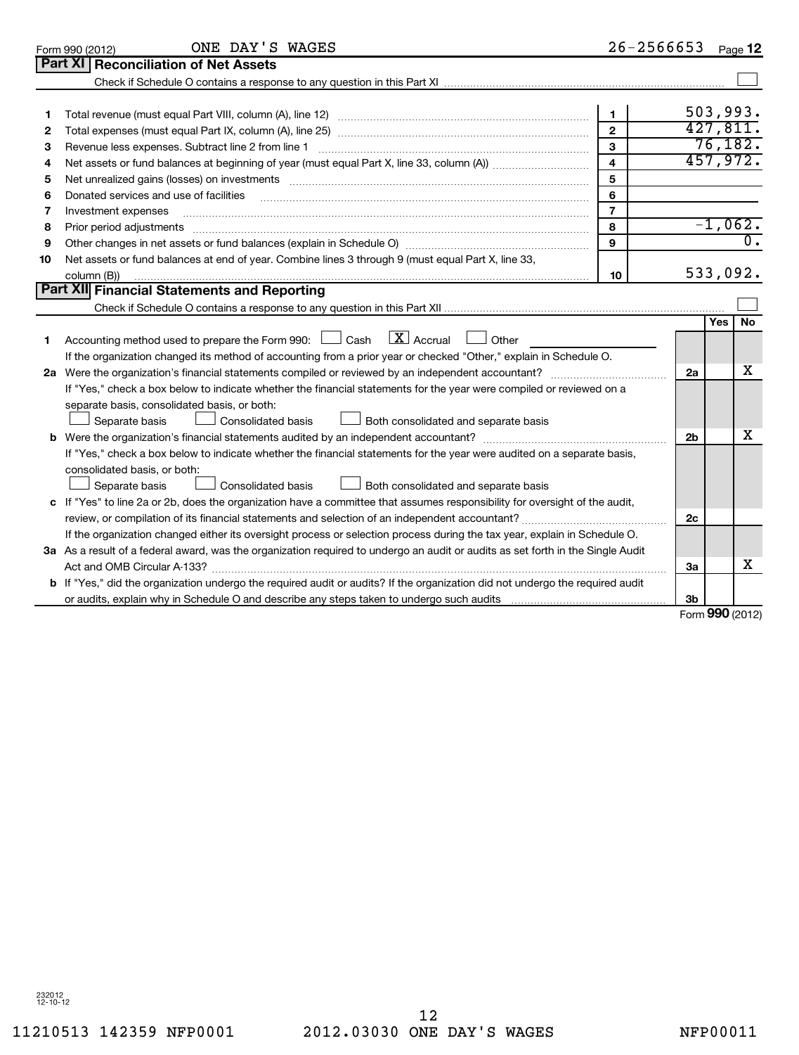|    | ONE DAY'S WAGES<br>Form 990 (2012)                                                                                                   | $26 - 2566653$          |                | Page 12         |                             |
|----|--------------------------------------------------------------------------------------------------------------------------------------|-------------------------|----------------|-----------------|-----------------------------|
|    | Part XI   Reconciliation of Net Assets                                                                                               |                         |                |                 |                             |
|    |                                                                                                                                      |                         |                |                 |                             |
|    |                                                                                                                                      |                         |                |                 |                             |
|    |                                                                                                                                      | $\mathbf{1}$            |                | 503,993.        |                             |
| 2  |                                                                                                                                      | $\overline{2}$          |                | 427,811.        |                             |
| з  |                                                                                                                                      | 3                       |                | 76,182.         |                             |
| 4  |                                                                                                                                      | $\overline{\mathbf{4}}$ |                | 457,972.        |                             |
| 5  |                                                                                                                                      | 5                       |                |                 |                             |
| 6  | Donated services and use of facilities                                                                                               | 6                       |                |                 |                             |
| 7  | Investment expenses                                                                                                                  | $\overline{7}$          |                |                 |                             |
| 8  |                                                                                                                                      | 8                       |                | $-1,062.$       |                             |
| 9  |                                                                                                                                      | $\mathbf{Q}$            |                |                 | $\overline{\mathfrak{o}}$ . |
| 10 | Net assets or fund balances at end of year. Combine lines 3 through 9 (must equal Part X, line 33,                                   |                         |                |                 |                             |
|    | column (B))                                                                                                                          | 10                      |                | 533,092.        |                             |
|    | Part XII Financial Statements and Reporting                                                                                          |                         |                |                 |                             |
|    |                                                                                                                                      |                         |                |                 |                             |
| 1. | Accounting method used to prepare the Form 990: $\Box$ Cash $\Box$ Accrual $\Box$ Other                                              |                         |                | Yes             | No.                         |
|    | If the organization changed its method of accounting from a prior year or checked "Other," explain in Schedule O.                    |                         |                |                 |                             |
|    |                                                                                                                                      |                         | 2a             |                 | x                           |
|    | If "Yes," check a box below to indicate whether the financial statements for the year were compiled or reviewed on a                 |                         |                |                 |                             |
|    | separate basis, consolidated basis, or both:                                                                                         |                         |                |                 |                             |
|    | $\perp$ Consolidated basis<br>Both consolidated and separate basis<br>Separate basis                                                 |                         |                |                 |                             |
|    |                                                                                                                                      |                         | 2 <sub>b</sub> |                 | x                           |
|    | If "Yes," check a box below to indicate whether the financial statements for the year were audited on a separate basis,              |                         |                |                 |                             |
|    | consolidated basis, or both:                                                                                                         |                         |                |                 |                             |
|    | Consolidated basis<br>Both consolidated and separate basis<br>Separate basis                                                         |                         |                |                 |                             |
|    | c If "Yes" to line 2a or 2b, does the organization have a committee that assumes responsibility for oversight of the audit,          |                         |                |                 |                             |
|    | review, or compilation of its financial statements and selection of an independent accountant?                                       |                         | 2c             |                 |                             |
|    | If the organization changed either its oversight process or selection process during the tax year, explain in Schedule O.            |                         |                |                 |                             |
|    | 3a As a result of a federal award, was the organization required to undergo an audit or audits as set forth in the Single Audit      |                         |                |                 |                             |
|    |                                                                                                                                      |                         | 3a             |                 | x                           |
|    | <b>b</b> If "Yes," did the organization undergo the required audit or audits? If the organization did not undergo the required audit |                         |                |                 |                             |
|    |                                                                                                                                      |                         | 3b             |                 |                             |
|    |                                                                                                                                      |                         |                | Form 990 (2012) |                             |

Form (2012) **990**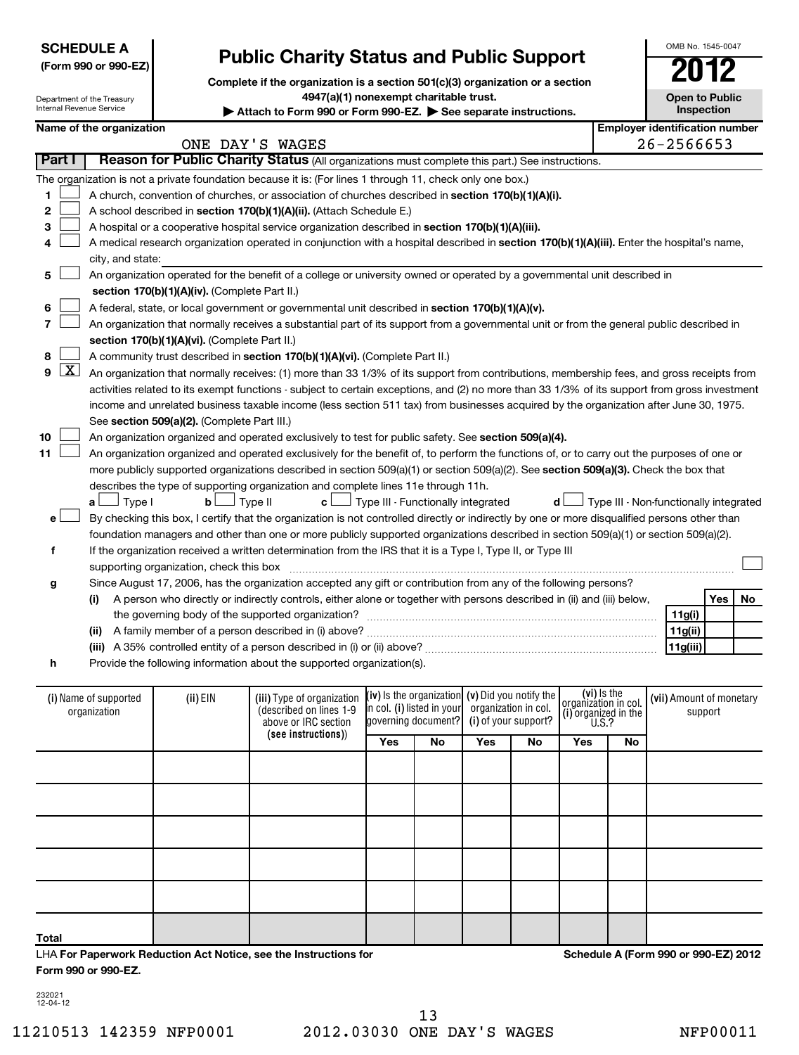| <b>SCHEDULE A</b>    |  |
|----------------------|--|
| (Form 990 or 990-EZ) |  |

# **Public Charity Status and Public Support**

**Complete if the organization is a section 501(c)(3) organization or a section**

**4947(a)(1) nonexempt charitable trust.**

|                            | 4947(a)(1) nonexempt charitable trust.<br><b>Open to Public</b><br>Department of the Treasury<br>Internal Revenue Service<br>Inspection<br>Attach to Form 990 or Form 990-EZ. > See separate instructions. |                                               |                                                                                                                                                                                                                                                    |                                                                                |                                      |    |                        |                      |  |                                        |           |
|----------------------------|------------------------------------------------------------------------------------------------------------------------------------------------------------------------------------------------------------|-----------------------------------------------|----------------------------------------------------------------------------------------------------------------------------------------------------------------------------------------------------------------------------------------------------|--------------------------------------------------------------------------------|--------------------------------------|----|------------------------|----------------------|--|----------------------------------------|-----------|
|                            | Name of the organization                                                                                                                                                                                   |                                               |                                                                                                                                                                                                                                                    |                                                                                |                                      |    |                        |                      |  | <b>Employer identification number</b>  |           |
|                            |                                                                                                                                                                                                            |                                               | ONE DAY'S WAGES                                                                                                                                                                                                                                    |                                                                                |                                      |    |                        |                      |  | $26 - 2566653$                         |           |
| Part I                     |                                                                                                                                                                                                            |                                               | Reason for Public Charity Status (All organizations must complete this part.) See instructions.                                                                                                                                                    |                                                                                |                                      |    |                        |                      |  |                                        |           |
|                            |                                                                                                                                                                                                            |                                               | The organization is not a private foundation because it is: (For lines 1 through 11, check only one box.)                                                                                                                                          |                                                                                |                                      |    |                        |                      |  |                                        |           |
| 1                          |                                                                                                                                                                                                            |                                               | A church, convention of churches, or association of churches described in section 170(b)(1)(A)(i).                                                                                                                                                 |                                                                                |                                      |    |                        |                      |  |                                        |           |
| $\mathbf{2}$               |                                                                                                                                                                                                            |                                               | A school described in section 170(b)(1)(A)(ii). (Attach Schedule E.)                                                                                                                                                                               |                                                                                |                                      |    |                        |                      |  |                                        |           |
| З                          |                                                                                                                                                                                                            |                                               | A hospital or a cooperative hospital service organization described in section 170(b)(1)(A)(iii).                                                                                                                                                  |                                                                                |                                      |    |                        |                      |  |                                        |           |
| 4                          |                                                                                                                                                                                                            |                                               | A medical research organization operated in conjunction with a hospital described in section 170(b)(1)(A)(iii). Enter the hospital's name,                                                                                                         |                                                                                |                                      |    |                        |                      |  |                                        |           |
|                            | city, and state:                                                                                                                                                                                           |                                               |                                                                                                                                                                                                                                                    |                                                                                |                                      |    |                        |                      |  |                                        |           |
| 5                          |                                                                                                                                                                                                            |                                               | An organization operated for the benefit of a college or university owned or operated by a governmental unit described in                                                                                                                          |                                                                                |                                      |    |                        |                      |  |                                        |           |
|                            |                                                                                                                                                                                                            | section 170(b)(1)(A)(iv). (Complete Part II.) |                                                                                                                                                                                                                                                    |                                                                                |                                      |    |                        |                      |  |                                        |           |
| 6                          |                                                                                                                                                                                                            |                                               | A federal, state, or local government or governmental unit described in section 170(b)(1)(A)(v).                                                                                                                                                   |                                                                                |                                      |    |                        |                      |  |                                        |           |
| 7                          |                                                                                                                                                                                                            |                                               | An organization that normally receives a substantial part of its support from a governmental unit or from the general public described in                                                                                                          |                                                                                |                                      |    |                        |                      |  |                                        |           |
|                            |                                                                                                                                                                                                            | section 170(b)(1)(A)(vi). (Complete Part II.) |                                                                                                                                                                                                                                                    |                                                                                |                                      |    |                        |                      |  |                                        |           |
| 8<br>$\overline{\text{X}}$ |                                                                                                                                                                                                            |                                               | A community trust described in section 170(b)(1)(A)(vi). (Complete Part II.)                                                                                                                                                                       |                                                                                |                                      |    |                        |                      |  |                                        |           |
| 9 l                        |                                                                                                                                                                                                            |                                               | An organization that normally receives: (1) more than 33 1/3% of its support from contributions, membership fees, and gross receipts from                                                                                                          |                                                                                |                                      |    |                        |                      |  |                                        |           |
|                            |                                                                                                                                                                                                            |                                               | activities related to its exempt functions - subject to certain exceptions, and (2) no more than 33 1/3% of its support from gross investment                                                                                                      |                                                                                |                                      |    |                        |                      |  |                                        |           |
|                            |                                                                                                                                                                                                            |                                               | income and unrelated business taxable income (less section 511 tax) from businesses acquired by the organization after June 30, 1975.                                                                                                              |                                                                                |                                      |    |                        |                      |  |                                        |           |
| 10                         |                                                                                                                                                                                                            | See section 509(a)(2). (Complete Part III.)   |                                                                                                                                                                                                                                                    |                                                                                |                                      |    |                        |                      |  |                                        |           |
| 11                         |                                                                                                                                                                                                            |                                               | An organization organized and operated exclusively to test for public safety. See section 509(a)(4).<br>An organization organized and operated exclusively for the benefit of, to perform the functions of, or to carry out the purposes of one or |                                                                                |                                      |    |                        |                      |  |                                        |           |
|                            |                                                                                                                                                                                                            |                                               | more publicly supported organizations described in section 509(a)(1) or section 509(a)(2). See section 509(a)(3). Check the box that                                                                                                               |                                                                                |                                      |    |                        |                      |  |                                        |           |
|                            |                                                                                                                                                                                                            |                                               | describes the type of supporting organization and complete lines 11e through 11h.                                                                                                                                                                  |                                                                                |                                      |    |                        |                      |  |                                        |           |
|                            | $a \Box$ Type I                                                                                                                                                                                            | bl                                            | Type II<br>c L                                                                                                                                                                                                                                     |                                                                                | J Type III - Functionally integrated |    | d l                    |                      |  | Type III - Non-functionally integrated |           |
| е                          |                                                                                                                                                                                                            |                                               | By checking this box, I certify that the organization is not controlled directly or indirectly by one or more disqualified persons other than                                                                                                      |                                                                                |                                      |    |                        |                      |  |                                        |           |
|                            |                                                                                                                                                                                                            |                                               | foundation managers and other than one or more publicly supported organizations described in section 509(a)(1) or section 509(a)(2).                                                                                                               |                                                                                |                                      |    |                        |                      |  |                                        |           |
| f                          |                                                                                                                                                                                                            |                                               | If the organization received a written determination from the IRS that it is a Type I, Type II, or Type III                                                                                                                                        |                                                                                |                                      |    |                        |                      |  |                                        |           |
|                            |                                                                                                                                                                                                            | supporting organization, check this box       |                                                                                                                                                                                                                                                    |                                                                                |                                      |    |                        |                      |  |                                        |           |
| g                          |                                                                                                                                                                                                            |                                               | Since August 17, 2006, has the organization accepted any gift or contribution from any of the following persons?                                                                                                                                   |                                                                                |                                      |    |                        |                      |  |                                        |           |
|                            | (i)                                                                                                                                                                                                        |                                               | A person who directly or indirectly controls, either alone or together with persons described in (ii) and (iii) below,                                                                                                                             |                                                                                |                                      |    |                        |                      |  |                                        | Yes<br>No |
|                            |                                                                                                                                                                                                            |                                               | the governing body of the supported organization?                                                                                                                                                                                                  |                                                                                |                                      |    |                        |                      |  | 11g(i)                                 |           |
|                            |                                                                                                                                                                                                            |                                               |                                                                                                                                                                                                                                                    |                                                                                |                                      |    |                        |                      |  | 11g(ii)                                |           |
|                            |                                                                                                                                                                                                            |                                               |                                                                                                                                                                                                                                                    |                                                                                |                                      |    |                        |                      |  | 11g(iii)                               |           |
| h                          |                                                                                                                                                                                                            |                                               | Provide the following information about the supported organization(s).                                                                                                                                                                             |                                                                                |                                      |    |                        |                      |  |                                        |           |
|                            | (i) Name of supported                                                                                                                                                                                      | (ii) EIN                                      | (iii) Type of organization                                                                                                                                                                                                                         |                                                                                | (iv) Is the organization             |    | (v) Did you notify the | (vi) is the          |  | (vii) Amount of monetary               |           |
|                            | organization                                                                                                                                                                                               |                                               | (described on lines 1-9                                                                                                                                                                                                                            |                                                                                | in col. (i) listed in your           |    | organization in col.   | organization in col. |  | support                                |           |
|                            |                                                                                                                                                                                                            |                                               | above or IRC section                                                                                                                                                                                                                               | (i) organized in the $U.S.$ ?<br> governing document? <br>(i) of your support? |                                      |    |                        |                      |  |                                        |           |
|                            |                                                                                                                                                                                                            |                                               | (see instructions))                                                                                                                                                                                                                                | Yes<br>Yes<br>No                                                               |                                      | No | Yes                    | No                   |  |                                        |           |

**Total**

LHA **For Paperwork Reduction Act Notice, see the Instructions for Form 990 or 990-EZ.**

**Schedule A (Form 990 or 990-EZ) 2012**

232021 12-04-12

OMB No. 1545-0047

**Open to Public**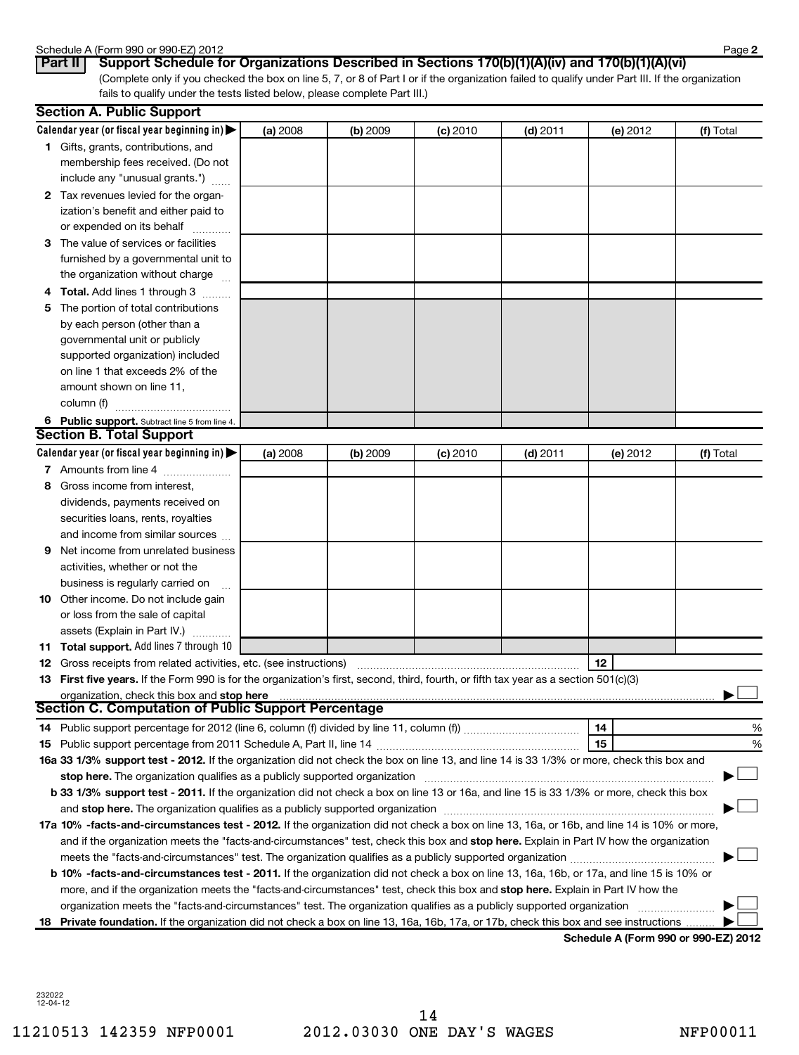### Schedule A (Form 990 or 990-EZ) 2012

| יכש וווט ון A שוטסווטכ |  |  |  |
|------------------------|--|--|--|
| $D = 11$ $D = 22$      |  |  |  |

(Complete only if you checked the box on line 5, 7, or 8 of Part I or if the organization failed to qualify under Part III. If the organization fails to qualify under the tests listed below, please complete Part III.) **Part II Support Schedule for Organizations Described in Sections 170(b)(1)(A)(iv) and 170(b)(1)(A)(vi)**

|   | <b>Section A. Public Support</b>                                                                                                                                                                                               |          |          |            |            |          |           |
|---|--------------------------------------------------------------------------------------------------------------------------------------------------------------------------------------------------------------------------------|----------|----------|------------|------------|----------|-----------|
|   | Calendar year (or fiscal year beginning in) $\blacktriangleright$                                                                                                                                                              | (a) 2008 | (b) 2009 | $(c)$ 2010 | $(d)$ 2011 | (e) 2012 | (f) Total |
|   | <b>1</b> Gifts, grants, contributions, and                                                                                                                                                                                     |          |          |            |            |          |           |
|   | membership fees received. (Do not                                                                                                                                                                                              |          |          |            |            |          |           |
|   | include any "unusual grants.")                                                                                                                                                                                                 |          |          |            |            |          |           |
|   | 2 Tax revenues levied for the organ-                                                                                                                                                                                           |          |          |            |            |          |           |
|   | ization's benefit and either paid to                                                                                                                                                                                           |          |          |            |            |          |           |
|   | or expended on its behalf                                                                                                                                                                                                      |          |          |            |            |          |           |
|   | 3 The value of services or facilities                                                                                                                                                                                          |          |          |            |            |          |           |
|   | furnished by a governmental unit to                                                                                                                                                                                            |          |          |            |            |          |           |
|   | the organization without charge                                                                                                                                                                                                |          |          |            |            |          |           |
|   | 4 Total. Add lines 1 through 3                                                                                                                                                                                                 |          |          |            |            |          |           |
|   | 5 The portion of total contributions                                                                                                                                                                                           |          |          |            |            |          |           |
|   | by each person (other than a                                                                                                                                                                                                   |          |          |            |            |          |           |
|   | governmental unit or publicly                                                                                                                                                                                                  |          |          |            |            |          |           |
|   | supported organization) included                                                                                                                                                                                               |          |          |            |            |          |           |
|   | on line 1 that exceeds 2% of the                                                                                                                                                                                               |          |          |            |            |          |           |
|   | amount shown on line 11,                                                                                                                                                                                                       |          |          |            |            |          |           |
|   | column (f)                                                                                                                                                                                                                     |          |          |            |            |          |           |
|   | 6 Public support. Subtract line 5 from line 4.                                                                                                                                                                                 |          |          |            |            |          |           |
|   | <b>Section B. Total Support</b>                                                                                                                                                                                                |          |          |            |            |          |           |
|   | Calendar year (or fiscal year beginning in)                                                                                                                                                                                    | (a) 2008 | (b) 2009 | $(c)$ 2010 | $(d)$ 2011 | (e) 2012 | (f) Total |
|   | 7 Amounts from line 4                                                                                                                                                                                                          |          |          |            |            |          |           |
| 8 | Gross income from interest,                                                                                                                                                                                                    |          |          |            |            |          |           |
|   | dividends, payments received on                                                                                                                                                                                                |          |          |            |            |          |           |
|   | securities loans, rents, royalties                                                                                                                                                                                             |          |          |            |            |          |           |
|   | and income from similar sources                                                                                                                                                                                                |          |          |            |            |          |           |
| 9 | Net income from unrelated business                                                                                                                                                                                             |          |          |            |            |          |           |
|   | activities, whether or not the                                                                                                                                                                                                 |          |          |            |            |          |           |
|   | business is regularly carried on                                                                                                                                                                                               |          |          |            |            |          |           |
|   | <b>10</b> Other income. Do not include gain                                                                                                                                                                                    |          |          |            |            |          |           |
|   | or loss from the sale of capital                                                                                                                                                                                               |          |          |            |            |          |           |
|   | assets (Explain in Part IV.)                                                                                                                                                                                                   |          |          |            |            |          |           |
|   | <b>11 Total support.</b> Add lines 7 through 10                                                                                                                                                                                |          |          |            |            |          |           |
|   | <b>12</b> Gross receipts from related activities, etc. (see instructions)                                                                                                                                                      |          |          |            |            | 12       |           |
|   | 13 First five years. If the Form 990 is for the organization's first, second, third, fourth, or fifth tax year as a section 501(c)(3)                                                                                          |          |          |            |            |          |           |
|   | organization, check this box and stop here manufactured and state and state and stop here manufactured and stop here manufactured and stop here and state and state and state and state and state and state and state and stat |          |          |            |            |          |           |
|   | <b>Section C. Computation of Public Support Percentage</b>                                                                                                                                                                     |          |          |            |            |          |           |
|   | 14 Public support percentage for 2012 (line 6, column (f) divided by line 11, column (f) <i>manumanomers</i>                                                                                                                   |          |          |            |            | 14       | %         |
|   |                                                                                                                                                                                                                                |          |          |            |            | 15       | %         |
|   | 16a 33 1/3% support test - 2012. If the organization did not check the box on line 13, and line 14 is 33 1/3% or more, check this box and                                                                                      |          |          |            |            |          |           |
|   | stop here. The organization qualifies as a publicly supported organization manufactured content and the content of the state of the state of the state of the state of the state of the state of the state of the state of the |          |          |            |            |          |           |
|   | b 33 1/3% support test - 2011. If the organization did not check a box on line 13 or 16a, and line 15 is 33 1/3% or more, check this box                                                                                       |          |          |            |            |          |           |
|   |                                                                                                                                                                                                                                |          |          |            |            |          |           |
|   | 17a 10% -facts-and-circumstances test - 2012. If the organization did not check a box on line 13, 16a, or 16b, and line 14 is 10% or more,                                                                                     |          |          |            |            |          |           |
|   | and if the organization meets the "facts-and-circumstances" test, check this box and stop here. Explain in Part IV how the organization                                                                                        |          |          |            |            |          |           |
|   |                                                                                                                                                                                                                                |          |          |            |            |          |           |
|   | <b>b 10%</b> -facts-and-circumstances test - 2011. If the organization did not check a box on line 13, 16a, 16b, or 17a, and line 15 is 10% or                                                                                 |          |          |            |            |          |           |
|   | more, and if the organization meets the "facts-and-circumstances" test, check this box and stop here. Explain in Part IV how the                                                                                               |          |          |            |            |          |           |
|   | organization meets the "facts-and-circumstances" test. The organization qualifies as a publicly supported organization                                                                                                         |          |          |            |            |          |           |
|   | 18 Private foundation. If the organization did not check a box on line 13, 16a, 16b, 17a, or 17b, check this box and see instructions                                                                                          |          |          |            |            |          |           |

**Schedule A (Form 990 or 990-EZ) 2012**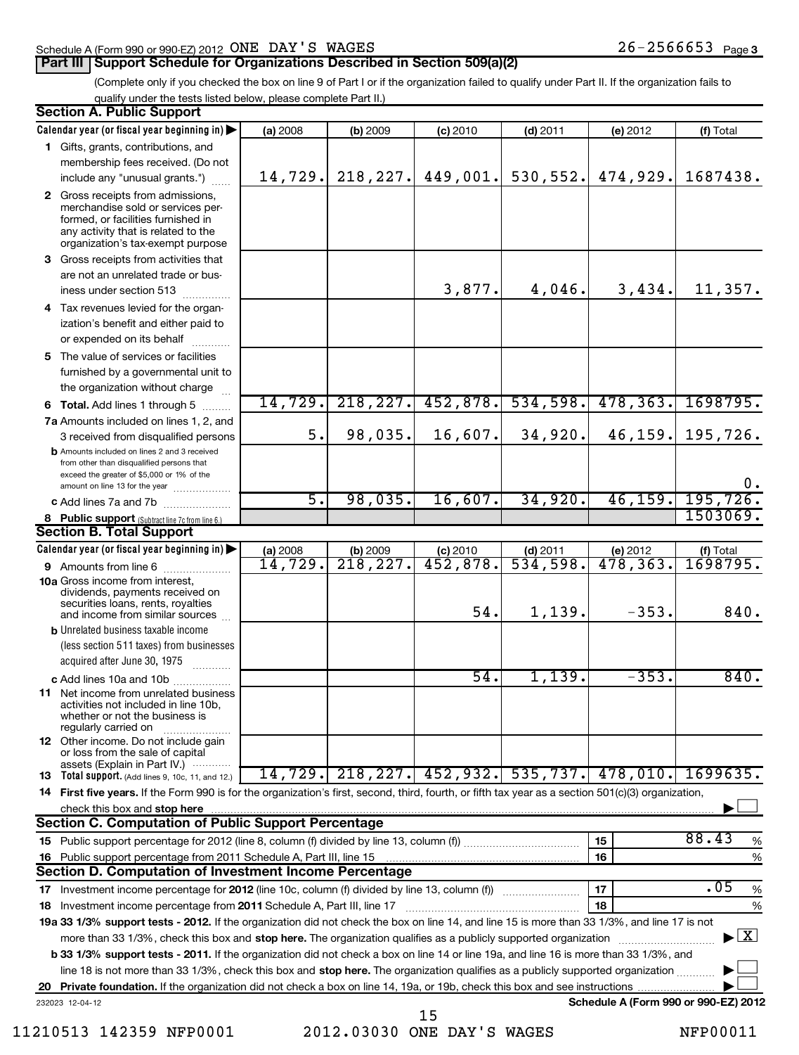# Schedule A (Form 990 or 990-EZ) 2012 Page ONE DAY'S WAGES 26-2566653

# **Part III** Support Schedule for Organizations Described in Section 509(a)(2)

(Complete only if you checked the box on line 9 of Part I or if the organization failed to qualify under Part II. If the organization fails to qualify under the tests listed below, please complete Part II.)

| <b>Section A. Public Support</b>                                                                                                                                                                                                                                 |          |           |            |            |                                      |                                          |
|------------------------------------------------------------------------------------------------------------------------------------------------------------------------------------------------------------------------------------------------------------------|----------|-----------|------------|------------|--------------------------------------|------------------------------------------|
| Calendar year (or fiscal year beginning in)                                                                                                                                                                                                                      | (a) 2008 | (b) 2009  | $(c)$ 2010 | $(d)$ 2011 | (e) 2012                             | (f) Total                                |
| 1 Gifts, grants, contributions, and                                                                                                                                                                                                                              |          |           |            |            |                                      |                                          |
| membership fees received. (Do not                                                                                                                                                                                                                                |          |           |            |            |                                      |                                          |
| include any "unusual grants.")                                                                                                                                                                                                                                   | 14,729.  | 218, 227. | 449,001.   | 530, 552.  | 474,929.                             | 1687438.                                 |
| 2 Gross receipts from admissions,<br>merchandise sold or services per-<br>formed, or facilities furnished in<br>any activity that is related to the<br>organization's tax-exempt purpose                                                                         |          |           |            |            |                                      |                                          |
| 3 Gross receipts from activities that<br>are not an unrelated trade or bus-                                                                                                                                                                                      |          |           |            |            |                                      |                                          |
| iness under section 513                                                                                                                                                                                                                                          |          |           | 3,877.     | 4,046.     | 3,434.                               | 11,357.                                  |
| 4 Tax revenues levied for the organ-                                                                                                                                                                                                                             |          |           |            |            |                                      |                                          |
| ization's benefit and either paid to                                                                                                                                                                                                                             |          |           |            |            |                                      |                                          |
| or expended on its behalf                                                                                                                                                                                                                                        |          |           |            |            |                                      |                                          |
| 5 The value of services or facilities<br>furnished by a governmental unit to<br>the organization without charge                                                                                                                                                  |          |           |            |            |                                      |                                          |
| 6 Total. Add lines 1 through 5                                                                                                                                                                                                                                   | 14,729.  | 218, 227. | 452,878.   | 534,598.   | 478, 363.                            | 1698795.                                 |
| 7a Amounts included on lines 1, 2, and                                                                                                                                                                                                                           |          |           |            |            |                                      |                                          |
| 3 received from disqualified persons                                                                                                                                                                                                                             | 5.       | 98,035.   | 16,607.    | 34,920.    | 46, 159.                             | 195,726.                                 |
| <b>b</b> Amounts included on lines 2 and 3 received<br>from other than disqualified persons that<br>exceed the greater of \$5,000 or 1% of the                                                                                                                   |          |           |            |            |                                      | ο.                                       |
| amount on line 13 for the year<br>c Add lines 7a and 7b                                                                                                                                                                                                          | 5.       | 98,035.   | 16,607.    | 34,920.    | 46, 159.                             | 195,726.                                 |
| 8 Public support (Subtract line 7c from line 6.)                                                                                                                                                                                                                 |          |           |            |            |                                      | 1503069.                                 |
| <b>Section B. Total Support</b>                                                                                                                                                                                                                                  |          |           |            |            |                                      |                                          |
| Calendar year (or fiscal year beginning in)                                                                                                                                                                                                                      | (a) 2008 | (b) 2009  | $(c)$ 2010 | $(d)$ 2011 |                                      | (f) Total                                |
| <b>9</b> Amounts from line 6                                                                                                                                                                                                                                     | 14,729.  | 218, 227. | 452,878.   | 534,598.   | (e) $2012$<br>478, 363.              | 1698795.                                 |
| <b>10a</b> Gross income from interest,<br>dividends, payments received on<br>securities loans, rents, royalties<br>and income from similar sources                                                                                                               |          |           | 54.        | 1,139.     | $-353.$                              | 840.                                     |
| <b>b</b> Unrelated business taxable income                                                                                                                                                                                                                       |          |           |            |            |                                      |                                          |
| (less section 511 taxes) from businesses<br>acquired after June 30, 1975                                                                                                                                                                                         |          |           |            |            |                                      |                                          |
| c Add lines 10a and 10b                                                                                                                                                                                                                                          |          |           | 54.        | 1,139.     | $-353.$                              | 840.                                     |
| 11 Net income from unrelated business<br>activities not included in line 10b,<br>whether or not the business is<br>regularly carried on                                                                                                                          |          |           |            |            |                                      |                                          |
| 12 Other income. Do not include gain<br>or loss from the sale of capital<br>assets (Explain in Part IV.)                                                                                                                                                         |          |           |            |            |                                      |                                          |
| <b>13</b> Total support. (Add lines 9, 10c, 11, and 12.)                                                                                                                                                                                                         | 14,729.  |           |            |            | 218,227. 452,932. 535,737. 478,010.  | 1699635.                                 |
| 14 First five years. If the Form 990 is for the organization's first, second, third, fourth, or fifth tax year as a section 501(c)(3) organization,                                                                                                              |          |           |            |            |                                      |                                          |
| check this box and stop here                                                                                                                                                                                                                                     |          |           |            |            |                                      |                                          |
| <b>Section C. Computation of Public Support Percentage</b>                                                                                                                                                                                                       |          |           |            |            |                                      |                                          |
|                                                                                                                                                                                                                                                                  |          |           |            |            | 15                                   | 88.43<br>%                               |
| 16 Public support percentage from 2011 Schedule A, Part III, line 15                                                                                                                                                                                             |          |           |            |            | 16                                   | %                                        |
| Section D. Computation of Investment Income Percentage                                                                                                                                                                                                           |          |           |            |            |                                      |                                          |
|                                                                                                                                                                                                                                                                  |          |           |            |            | 17                                   | .05<br>%                                 |
| 18 Investment income percentage from 2011 Schedule A, Part III, line 17                                                                                                                                                                                          |          |           |            |            | 18                                   | %                                        |
| 19a 33 1/3% support tests - 2012. If the organization did not check the box on line 14, and line 15 is more than 33 1/3%, and line 17 is not                                                                                                                     |          |           |            |            |                                      | $\blacktriangleright$ $\boxed{\text{X}}$ |
| more than 33 1/3%, check this box and stop here. The organization qualifies as a publicly supported organization<br><b>b 33 1/3% support tests - 2011.</b> If the organization did not check a box on line 14 or line 19a, and line 16 is more than 33 1/3%, and |          |           |            |            |                                      |                                          |
| line 18 is not more than 33 1/3%, check this box and stop here. The organization qualifies as a publicly supported organization <i>manner</i>                                                                                                                    |          |           |            |            |                                      |                                          |
| 20 Private foundation. If the organization did not check a box on line 14, 19a, or 19b, check this box and see instructions.                                                                                                                                     |          |           |            |            |                                      |                                          |
| 232023 12-04-12                                                                                                                                                                                                                                                  |          |           |            |            | Schedule A (Form 990 or 990-EZ) 2012 |                                          |
|                                                                                                                                                                                                                                                                  |          |           | 15         |            |                                      |                                          |

<sup>11210513 142359</sup> NFP0001 2012.03030 ONE DAY'S WAGES NFP00011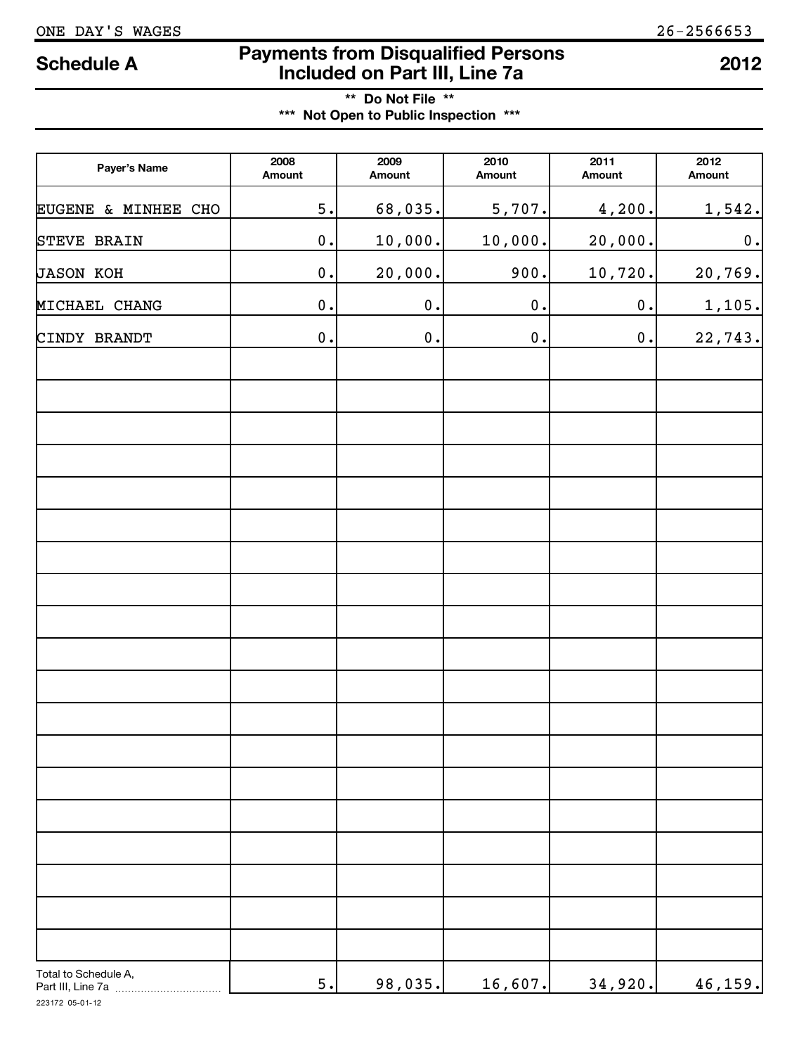# ONE DAY'S WAGES 26-2566653

# **Payments from Disqualified Persons Included on Part III, Line 7a Schedule A <sup>2012</sup>**

**\*\* Do Not File \*\* \*\*\* Not Open to Public Inspection \*\*\***

| Payer's Name                              | 2008<br>Amount     | 2009<br>Amount | 2010<br>Amount | 2011<br>Amount | 2012<br>Amount |
|-------------------------------------------|--------------------|----------------|----------------|----------------|----------------|
| EUGENE & MINHEE CHO                       | 5.                 | 68,035.        | 5,707.         | 4,200.         | 1,542.         |
| <b>STEVE BRAIN</b>                        | $\mathbf 0$ .      | 10,000.        | 10,000.        | 20,000.        | $\mathbf 0$ .  |
| <b>JASON KOH</b>                          | $\mathbf 0$ .      | 20,000.        | 900.           | 10,720.        | 20,769.        |
| MICHAEL CHANG                             | $\mathbf 0$ .      | $\mathbf 0$ .  | $\mathbf 0$ .  | $\mathbf 0$ .  | 1,105.         |
| CINDY BRANDT                              | $\boldsymbol{0}$ . | $\mathbf 0$ .  | $\mathbf 0$ .  | 0.             | 22,743.        |
|                                           |                    |                |                |                |                |
|                                           |                    |                |                |                |                |
|                                           |                    |                |                |                |                |
|                                           |                    |                |                |                |                |
|                                           |                    |                |                |                |                |
|                                           |                    |                |                |                |                |
|                                           |                    |                |                |                |                |
|                                           |                    |                |                |                |                |
|                                           |                    |                |                |                |                |
|                                           |                    |                |                |                |                |
|                                           |                    |                |                |                |                |
|                                           |                    |                |                |                |                |
|                                           |                    |                |                |                |                |
|                                           |                    |                |                |                |                |
|                                           |                    |                |                |                |                |
|                                           |                    |                |                |                |                |
|                                           |                    |                |                |                |                |
| Total to Schedule A,<br>Part III, Line 7a | $5.$               | 98,035.        | 16,607.        | 34,920.        | 46,159.        |

223172 05-01-12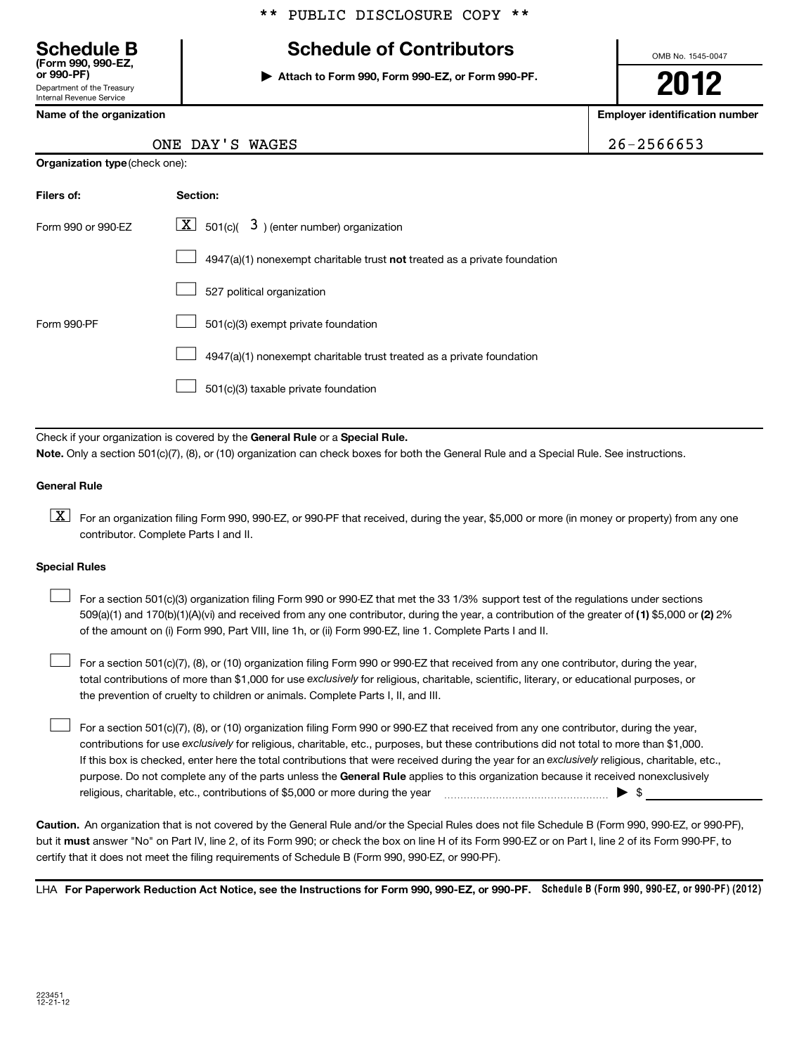# \*\* PUBLIC DISCLOSURE COPY \*\*

# Department of the Treasury **(Form 990, 990-EZ, Schedule B Schedule of Contributors**

Internal Revenue Service

# **Name of the organization Employer identification number**

OMB No. 1545-0047

**or 990-PF) | Attach to Form 990, Form 990-EZ, or Form 990-PF.**

**2012**

 $26 - 2566653$ 

|  |  |  | ONE DAY'S WAGES |
|--|--|--|-----------------|
|--|--|--|-----------------|

|  | Organization type (check one): |
|--|--------------------------------|
|--|--------------------------------|

| Filers of:         | Section:                                                                           |  |
|--------------------|------------------------------------------------------------------------------------|--|
| Form 990 or 990-EZ | $\lfloor \underline{X} \rfloor$ 501(c)( 3) (enter number) organization             |  |
|                    | $4947(a)(1)$ nonexempt charitable trust <b>not</b> treated as a private foundation |  |
|                    | 527 political organization                                                         |  |
| Form 990-PF        | 501(c)(3) exempt private foundation                                                |  |
|                    | 4947(a)(1) nonexempt charitable trust treated as a private foundation              |  |
|                    | 501(c)(3) taxable private foundation                                               |  |

Check if your organization is covered by the General Rule or a Special Rule. **Note.**  Only a section 501(c)(7), (8), or (10) organization can check boxes for both the General Rule and a Special Rule. See instructions.

### **General Rule**

 $\boxed{\textbf{X}}$  For an organization filing Form 990, 990-EZ, or 990-PF that received, during the year, \$5,000 or more (in money or property) from any one contributor. Complete Parts I and II.

### **Special Rules**

509(a)(1) and 170(b)(1)(A)(vi) and received from any one contributor, during the year, a contribution of the greater of (1**)** \$5,000 or **(2)** 2% For a section 501(c)(3) organization filing Form 990 or 990-EZ that met the 33 1/3% support test of the regulations under sections of the amount on (i) Form 990, Part VIII, line 1h, or (ii) Form 990-EZ, line 1. Complete Parts I and II.  $\left| \begin{array}{c} \hline \hline \hline \hline \hline \hline \end{array} \right|$ 

total contributions of more than \$1,000 for use exclusively for religious, charitable, scientific, literary, or educational purposes, or For a section 501(c)(7), (8), or (10) organization filing Form 990 or 990-EZ that received from any one contributor, during the year, the prevention of cruelty to children or animals. Complete Parts I, II, and III.  $\left| \begin{array}{c} \hline \hline \hline \hline \hline \hline \end{array} \right|$ 

purpose. Do not complete any of the parts unless the General Rule applies to this organization because it received nonexclusively contributions for use exclusively for religious, charitable, etc., purposes, but these contributions did not total to more than \$1,000. If this box is checked, enter here the total contributions that were received during the year for an exclusively religious, charitable, etc., For a section 501(c)(7), (8), or (10) organization filing Form 990 or 990-EZ that received from any one contributor, during the year, religious, charitable, etc., contributions of \$5,000 or more during the year  $\ldots$   $\ldots$   $\ldots$   $\ldots$   $\ldots$   $\ldots$   $\ldots$   $\ldots$   $\blacktriangleright$   $\uparrow$  $\left| \begin{array}{c} \hline \hline \hline \hline \hline \hline \end{array} \right|$ 

**Caution.** An organization that is not covered by the General Rule and/or the Special Rules does not file Schedule B (Form 990, 990-EZ, or 990-PF), but it **must** answer "No" on Part IV, line 2, of its Form 990; or check the box on line H of its Form 990-EZ or on Part I, line 2 of its Form 990-PF, to certify that it does not meet the filing requirements of Schedule B (Form 990, 990-EZ, or 990-PF).

LHA For Paperwork Reduction Act Notice, see the Instructions for Form 990, 990-EZ, or 990-PF. Schedule B (Form 990, 990-EZ, or 990-PF) (2012)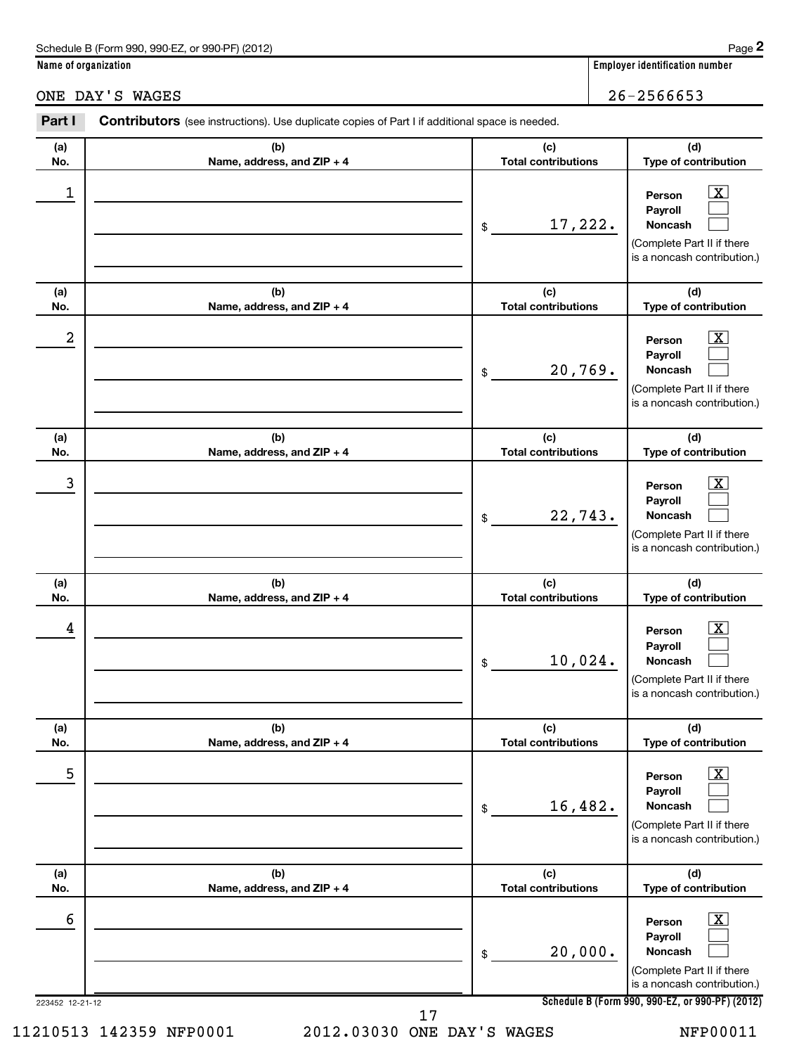| Schedule B (Form 990, 990-EZ, or 990-PF) (2012) | Page |
|-------------------------------------------------|------|
|-------------------------------------------------|------|

**Name of organization Employer identification number**

# ONE DAY'S WAGES 26-2566653

| Part I               | Contributors (see instructions). Use duplicate copies of Part I if additional space is needed. |                                   |                                                                                                                                                              |
|----------------------|------------------------------------------------------------------------------------------------|-----------------------------------|--------------------------------------------------------------------------------------------------------------------------------------------------------------|
| (a)<br>No.           | (b)<br>Name, address, and ZIP + 4                                                              | (c)<br><b>Total contributions</b> | (d)<br>Type of contribution                                                                                                                                  |
| 1                    |                                                                                                | 17,222.<br>\$                     | $\mathbf{X}$<br>Person<br>Payroll<br>Noncash<br>(Complete Part II if there<br>is a noncash contribution.)                                                    |
| (a)<br>No.           | (b)<br>Name, address, and ZIP + 4                                                              | (c)<br><b>Total contributions</b> | (d)<br>Type of contribution                                                                                                                                  |
| 2                    |                                                                                                | 20,769.<br>\$                     | <u>x</u><br>Person<br>Payroll<br>Noncash<br>(Complete Part II if there<br>is a noncash contribution.)                                                        |
| (a)<br>No.           | (b)<br>Name, address, and ZIP + 4                                                              | (c)<br><b>Total contributions</b> | (d)<br>Type of contribution                                                                                                                                  |
| 3                    |                                                                                                | 22,743.<br>\$                     | <u>x</u><br>Person<br>Payroll<br>Noncash<br>(Complete Part II if there<br>is a noncash contribution.)                                                        |
| (a)<br>No.           | (b)<br>Name, address, and ZIP + 4                                                              | (c)<br><b>Total contributions</b> | (d)<br>Type of contribution                                                                                                                                  |
| 4                    |                                                                                                | 10,024.<br>\$                     | $\mathbf{X}$<br>Person<br>Payroll<br>Noncash<br>(Complete Part II if there<br>is a noncash contribution.)                                                    |
| (a)<br>No.           | (b)<br>Name, address, and ZIP + 4                                                              | (c)<br><b>Total contributions</b> | (d)<br>Type of contribution                                                                                                                                  |
| 5                    |                                                                                                | 16,482.<br>\$                     | $\overline{\mathbf{X}}$<br>Person<br>Payroll<br>Noncash<br>(Complete Part II if there<br>is a noncash contribution.)                                         |
| (a)<br>No.           | (b)<br>Name, address, and ZIP + 4                                                              | (c)<br><b>Total contributions</b> | (d)<br>Type of contribution                                                                                                                                  |
| 6<br>223452 12-21-12 |                                                                                                | 20,000.<br>\$                     | $\mathbf{X}$<br>Person<br>Payroll<br>Noncash<br>(Complete Part II if there<br>is a noncash contribution.)<br>Schedule B (Form 990, 990-EZ, or 990-PF) (2012) |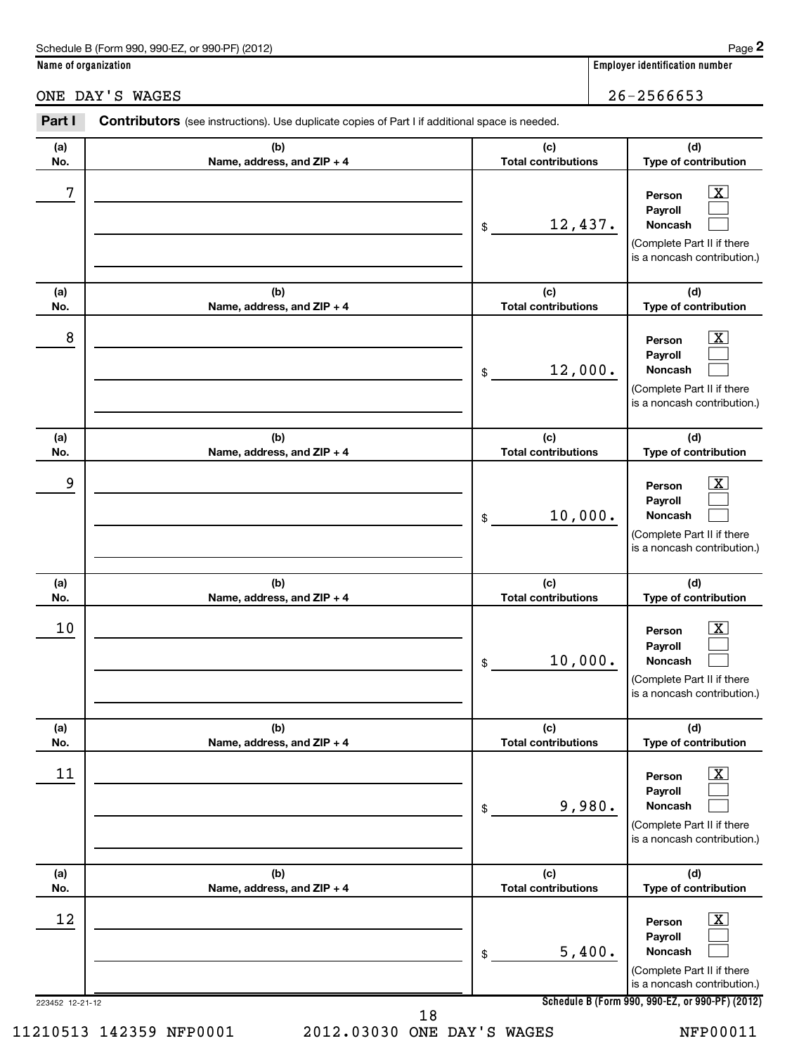| Schedule B (Form 990, 990-EZ, or 990-PF) (2012) | Page |
|-------------------------------------------------|------|
|-------------------------------------------------|------|

**Name of organization Employer identification number**

ONE DAY'S WAGES 26-2566653

### 223452 12-21-12 **Schedule B (Form 990, 990-EZ, or 990-PF) (2012) (a) No. (b) Name, address, and ZIP + 4 (c) Total contributions (d) Type of contribution Person Payroll Noncash (a) No. (b) Name, address, and ZIP + 4 (c) Total contributions (d) Type of contribution Person Payroll Noncash (a) No. (b) Name, address, and ZIP + 4 (c) Total contributions (d) Type of contribution Person Payroll Noncash (a) No. (b) Name, address, and ZIP + 4 (c) Total contributions (d) Type of contribution Person Payroll Noncash (a) No. (b) Name, address, and ZIP + 4 (c) Total contributions (d) Type of contribution Person Payroll Noncash (a) No. (b) Name, address, and ZIP + 4 (c) Total contributions (d) Type of contribution Person Payroll Noncash** Part I Contributors (see instructions). Use duplicate copies of Part I if additional space is needed. \$ (Complete Part II if there is a noncash contribution.) \$ (Complete Part II if there is a noncash contribution.) \$ (Complete Part II if there is a noncash contribution.) \$ (Complete Part II if there is a noncash contribution.) \$ (Complete Part II if there is a noncash contribution.) \$ (Complete Part II if there is a noncash contribution.)  $\overline{X}$  $\left| \begin{array}{c} \end{array} \right|$  $\left| \begin{array}{c} \end{array} \right|$  $\boxed{\textbf{X}}$  $\left| \begin{array}{c} \end{array} \right|$  $\left| \begin{array}{c} \end{array} \right|$  $\lfloor x \rfloor$  $\left| \begin{array}{c} \end{array} \right|$  $\left| \begin{array}{c} \end{array} \right|$  $\overline{X}$  $\left| \begin{array}{c} \end{array} \right|$  $\left| \begin{array}{c} \end{array} \right|$  $\lfloor x \rfloor$  $\left| \begin{array}{c} \end{array} \right|$  $\left| \begin{array}{c} \end{array} \right|$  $\vert$  X  $\vert$  $\left| \begin{array}{c} \end{array} \right|$  $\left| \begin{array}{c} \end{array} \right|$  $7$   $|$  Person  $\overline{\text{X}}$ 12,437.  $8$  Person  $\overline{\text{X}}$ 12,000. 9 X 10,000.  $10$  Person  $\overline{\text{X}}$ 10,000.  $\begin{array}{|c|c|c|c|c|c|}\hline \text{11} & \text{Person} & \text{X} \end{array}$ 9,980. 12 X 5,400.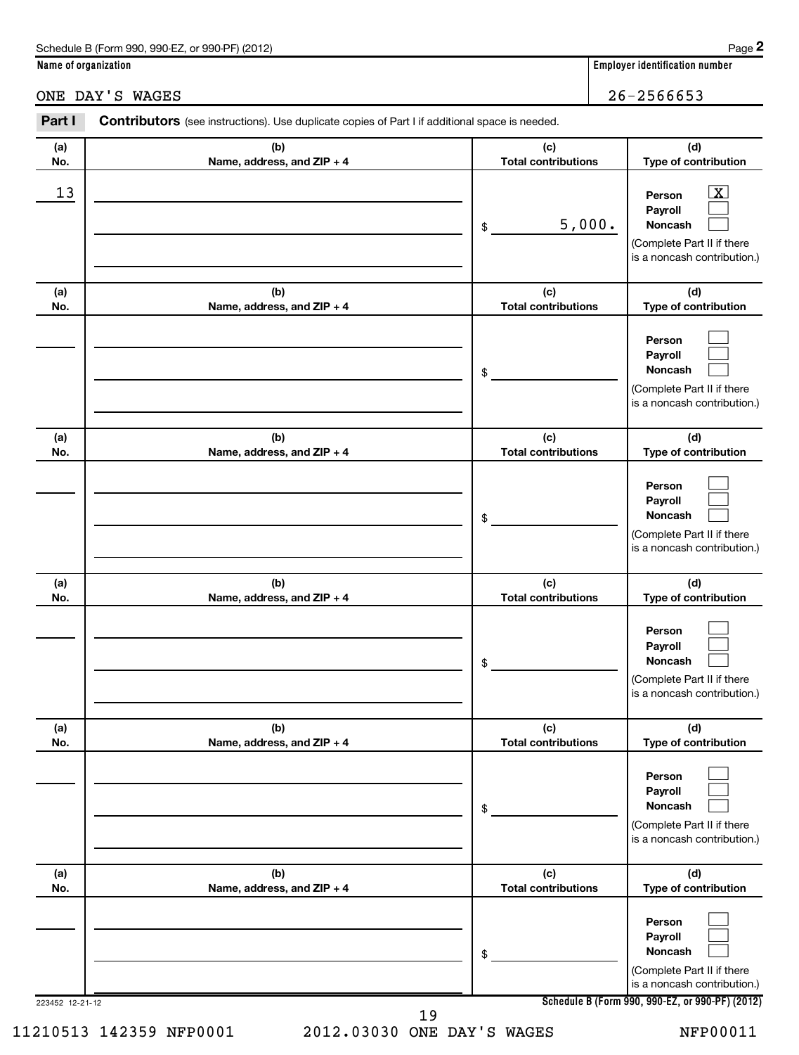| Schedule B (Form 990, 990-EZ, or 990-PF) (2012) | Page |
|-------------------------------------------------|------|
|-------------------------------------------------|------|

# **Name of organization Employer identification number**

ONE DAY'S WAGES 26-2566653

| Part I          | <b>Contributors</b> (see instructions). Use duplicate copies of Part I if additional space is needed. |                                   |                                                                                                                                              |
|-----------------|-------------------------------------------------------------------------------------------------------|-----------------------------------|----------------------------------------------------------------------------------------------------------------------------------------------|
| (a)<br>No.      | (b)<br>Name, address, and ZIP + 4                                                                     | (c)<br><b>Total contributions</b> | (d)<br>Type of contribution                                                                                                                  |
| 13              |                                                                                                       | 5,000.<br>\$                      | $\overline{\mathbf{X}}$<br>Person<br>Payroll<br>Noncash<br>(Complete Part II if there<br>is a noncash contribution.)                         |
| (a)<br>No.      | (b)<br>Name, address, and ZIP + 4                                                                     | (c)<br><b>Total contributions</b> | (d)<br>Type of contribution                                                                                                                  |
|                 |                                                                                                       | \$                                | Person<br>Payroll<br>Noncash<br>(Complete Part II if there<br>is a noncash contribution.)                                                    |
| (a)<br>No.      | (b)<br>Name, address, and ZIP + 4                                                                     | (c)<br><b>Total contributions</b> | (d)<br>Type of contribution                                                                                                                  |
|                 |                                                                                                       | \$                                | Person<br>Payroll<br>Noncash<br>(Complete Part II if there<br>is a noncash contribution.)                                                    |
| (a)<br>No.      | (b)<br>Name, address, and ZIP + 4                                                                     | (c)<br><b>Total contributions</b> | (d)<br>Type of contribution                                                                                                                  |
|                 |                                                                                                       | \$                                | Person<br>Payroll<br>Noncash<br>(Complete Part II if there<br>is a noncash contribution.)                                                    |
| (a)<br>No.      | (b)<br>Name, address, and ZIP + 4                                                                     | (c)<br><b>Total contributions</b> | (d)<br>Type of contribution                                                                                                                  |
|                 |                                                                                                       | \$                                | Person<br>Payroll<br>Noncash<br>(Complete Part II if there<br>is a noncash contribution.)                                                    |
| (a)<br>No.      | (b)<br>Name, address, and ZIP + 4                                                                     | (c)<br><b>Total contributions</b> | (d)<br>Type of contribution                                                                                                                  |
| 223452 12-21-12 |                                                                                                       | \$                                | Person<br>Payroll<br>Noncash<br>(Complete Part II if there<br>is a noncash contribution.)<br>Schedule B (Form 990, 990-EZ, or 990-PF) (2012) |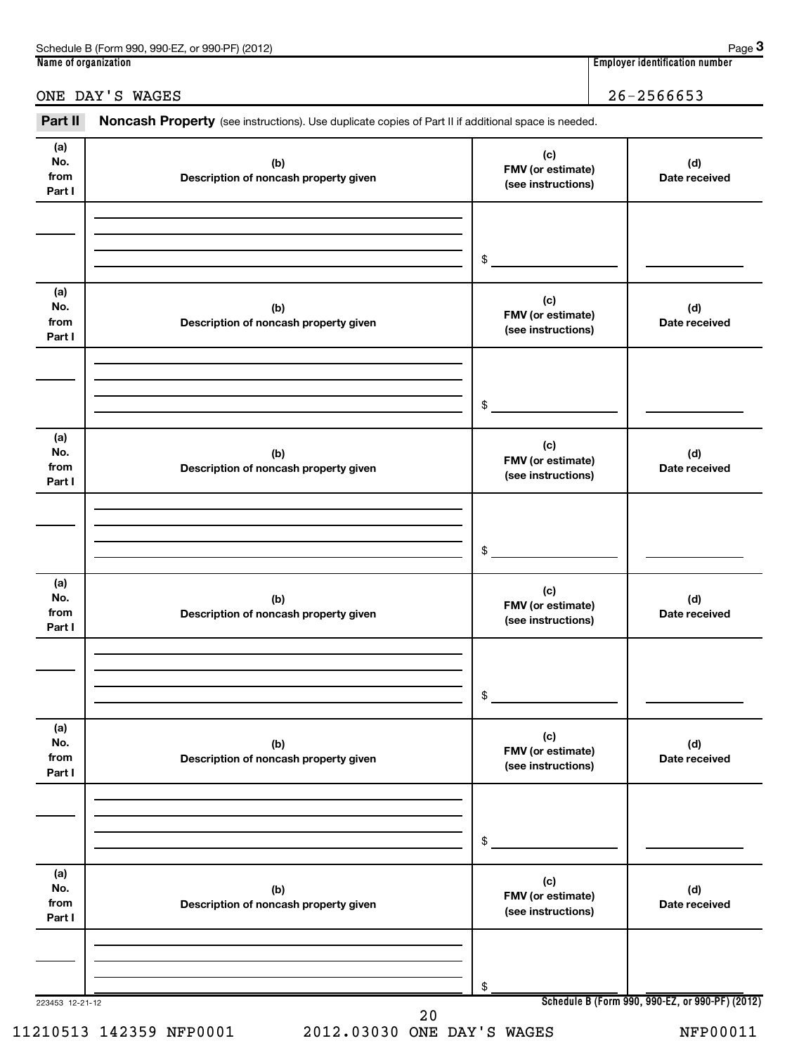| 990-EZ<br>Schedule B<br>(2012)<br>े (Form 990.<br>$QQ0$ . $PF$<br>or<br><b>UU</b> | Page                                    |
|-----------------------------------------------------------------------------------|-----------------------------------------|
| Name of organization                                                              | <br>. identification number<br>Emplovei |

**3**

# ONE DAY'S WAGES 26-2566653

Part II Noncash Property (see instructions). Use duplicate copies of Part II if additional space is needed.

| (a)<br>No.<br>from<br>Part I | (b)<br>Description of noncash property given | (c)<br>FMV (or estimate)<br>(see instructions) | (d)<br>Date received                            |  |
|------------------------------|----------------------------------------------|------------------------------------------------|-------------------------------------------------|--|
|                              |                                              | \$                                             |                                                 |  |
| (a)<br>No.<br>from<br>Part I | (b)<br>Description of noncash property given | (c)<br>FMV (or estimate)<br>(see instructions) | (d)<br>Date received                            |  |
|                              |                                              | \$                                             |                                                 |  |
| (a)<br>No.<br>from<br>Part I | (b)<br>Description of noncash property given | (c)<br>FMV (or estimate)<br>(see instructions) | (d)<br>Date received                            |  |
|                              |                                              | \$                                             |                                                 |  |
| (a)<br>No.<br>from<br>Part I | (b)<br>Description of noncash property given | (c)<br>FMV (or estimate)<br>(see instructions) | (d)<br>Date received                            |  |
|                              |                                              | \$                                             |                                                 |  |
| (a)<br>NO.<br>from<br>Part I | (b)<br>Description of noncash property given | (c)<br>FMV (or estimate)<br>(see instructions) | (d)<br>Date received                            |  |
|                              |                                              | \$                                             |                                                 |  |
| (a)<br>No.<br>from<br>Part I | (b)<br>Description of noncash property given | (c)<br>FMV (or estimate)<br>(see instructions) | (d)<br>Date received                            |  |
| 223453 12-21-12              |                                              | \$                                             | Schedule B (Form 990, 990-EZ, or 990-PF) (2012) |  |
|                              | $20$                                         |                                                |                                                 |  |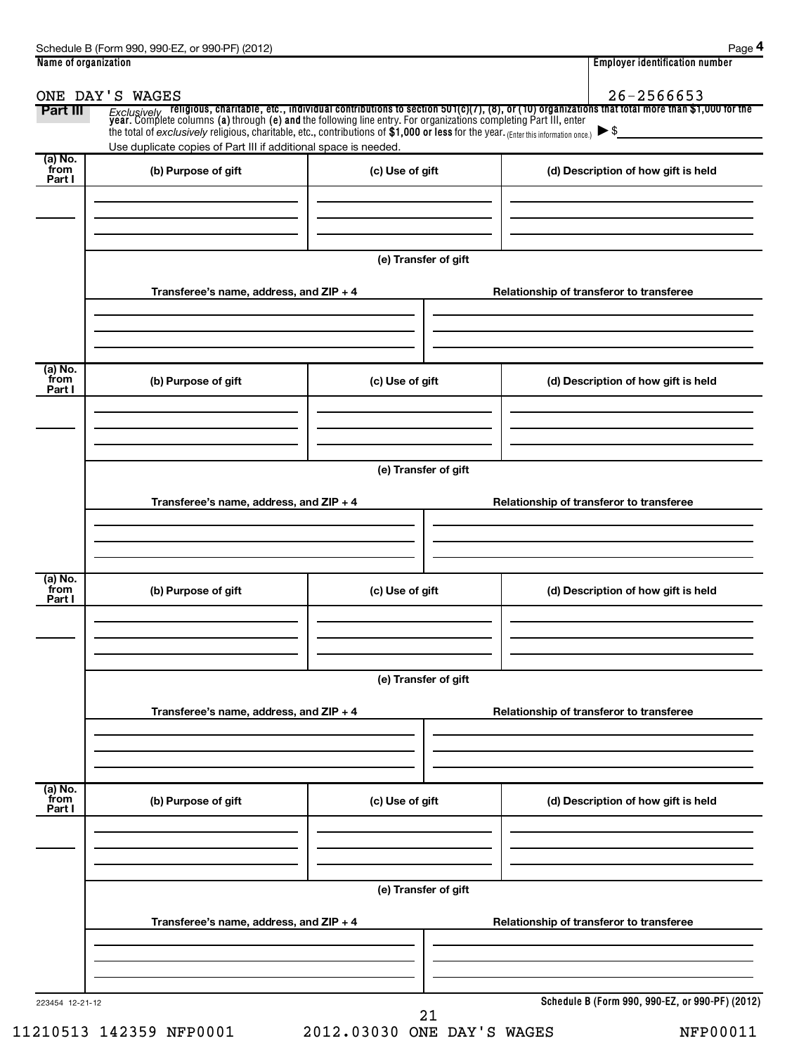| Name of organization      |                                                                                                                                                                                                         |                      | <b>Employer identification number</b>                                                                                                                                                                                                            |
|---------------------------|---------------------------------------------------------------------------------------------------------------------------------------------------------------------------------------------------------|----------------------|--------------------------------------------------------------------------------------------------------------------------------------------------------------------------------------------------------------------------------------------------|
| Part III                  | ONE DAY'S WAGES                                                                                                                                                                                         |                      | 26-2566653<br>Exclusively religious, charitable, etc., individual contributions to section 501(c)(7), (8), or (10) organizations that total more than \$1,000 for the<br>year. Complete columns (a) through (e) and the following line entry. Fo |
|                           | the total of exclusively religious, charitable, etc., contributions of $$1,000$ or less for the year. (Enter this information once.)<br>Use duplicate copies of Part III if additional space is needed. |                      | $\blacktriangleright$ \$                                                                                                                                                                                                                         |
| (a) No.<br>from<br>Part I | (b) Purpose of gift                                                                                                                                                                                     | (c) Use of gift      | (d) Description of how gift is held                                                                                                                                                                                                              |
|                           |                                                                                                                                                                                                         | (e) Transfer of gift |                                                                                                                                                                                                                                                  |
|                           | Transferee's name, address, and ZIP + 4                                                                                                                                                                 |                      | Relationship of transferor to transferee                                                                                                                                                                                                         |
| (a) No.<br>from<br>Part I | (b) Purpose of gift                                                                                                                                                                                     | (c) Use of gift      | (d) Description of how gift is held                                                                                                                                                                                                              |
|                           | Transferee's name, address, and ZIP + 4                                                                                                                                                                 | (e) Transfer of gift | Relationship of transferor to transferee                                                                                                                                                                                                         |
| (a) No.<br>from           | (b) Purpose of gift                                                                                                                                                                                     | (c) Use of gift      | (d) Description of how gift is held                                                                                                                                                                                                              |
| Part I                    |                                                                                                                                                                                                         |                      |                                                                                                                                                                                                                                                  |
|                           |                                                                                                                                                                                                         | (e) Transfer of gift |                                                                                                                                                                                                                                                  |
|                           | Transferee's name, address, and ZIP + 4                                                                                                                                                                 |                      | Relationship of transferor to transferee                                                                                                                                                                                                         |
| (a) No.<br>from<br>Part I | (b) Purpose of gift                                                                                                                                                                                     | (c) Use of gift      | (d) Description of how gift is held                                                                                                                                                                                                              |
|                           |                                                                                                                                                                                                         | (e) Transfer of gift |                                                                                                                                                                                                                                                  |
|                           | Transferee's name, address, and ZIP + 4                                                                                                                                                                 |                      | Relationship of transferor to transferee                                                                                                                                                                                                         |
| 223454 12-21-12           |                                                                                                                                                                                                         | 21                   | Schedule B (Form 990, 990-EZ, or 990-PF) (2012)                                                                                                                                                                                                  |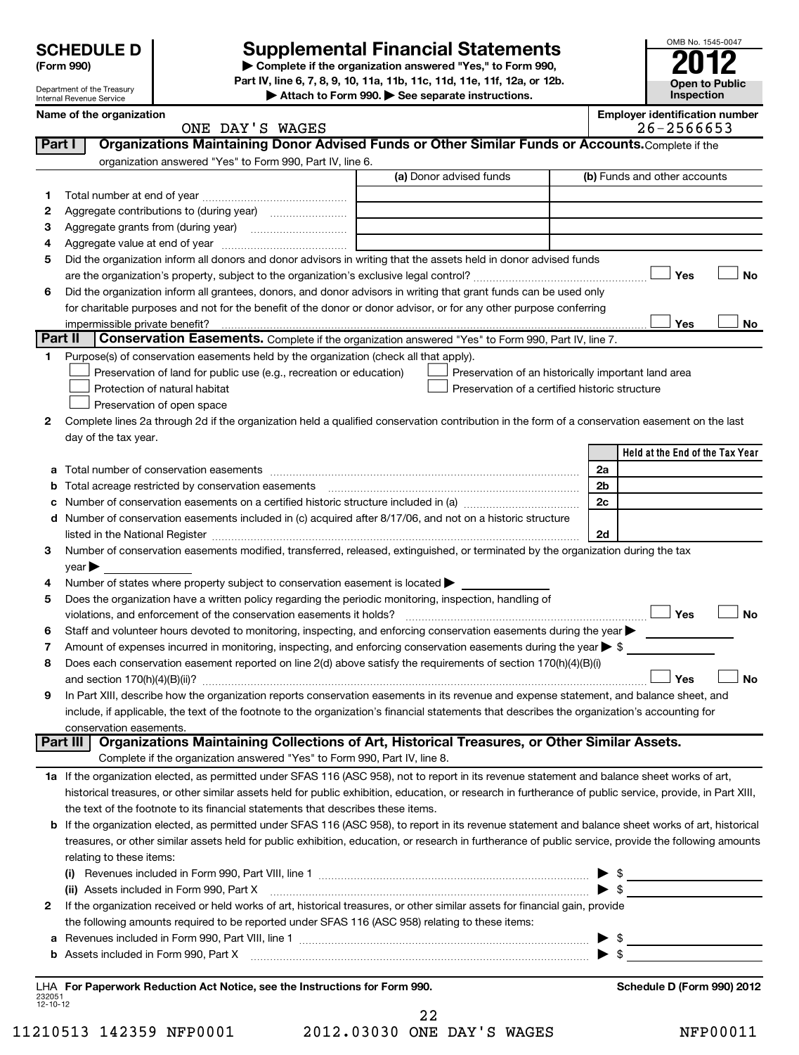# Department of the Treasury Internal Revenue Service

# **Supplemental Financial Statements**<br> **2012**<br> **2012**

**(Form 990) | Complete if the organization answered "Yes," to Form 990, Part IV, line 6, 7, 8, 9, 10, 11a, 11b, 11c, 11d, 11e, 11f, 12a, or 12b.**

**| Attach to Form 990. | See separate instructions.**

|                    | Name of the organization<br>ONE DAY'S WAGES                                                                                                               |                                                | <b>Employer identification number</b><br>26-2566653 |
|--------------------|-----------------------------------------------------------------------------------------------------------------------------------------------------------|------------------------------------------------|-----------------------------------------------------|
| <b>Part I</b>      | Organizations Maintaining Donor Advised Funds or Other Similar Funds or Accounts. Complete if the                                                         |                                                |                                                     |
|                    | organization answered "Yes" to Form 990, Part IV, line 6.                                                                                                 |                                                |                                                     |
|                    |                                                                                                                                                           | (a) Donor advised funds                        | (b) Funds and other accounts                        |
| 1                  |                                                                                                                                                           |                                                |                                                     |
| 2                  |                                                                                                                                                           |                                                |                                                     |
| 3                  |                                                                                                                                                           |                                                |                                                     |
| 4                  |                                                                                                                                                           |                                                |                                                     |
| 5                  | Did the organization inform all donors and donor advisors in writing that the assets held in donor advised funds                                          |                                                |                                                     |
|                    |                                                                                                                                                           |                                                | <b>No</b><br>Yes                                    |
| 6                  | Did the organization inform all grantees, donors, and donor advisors in writing that grant funds can be used only                                         |                                                |                                                     |
|                    | for charitable purposes and not for the benefit of the donor or donor advisor, or for any other purpose conferring                                        |                                                |                                                     |
|                    | impermissible private benefit?                                                                                                                            |                                                | Yes<br>No                                           |
| <b>Part II</b>     | <b>Conservation Easements.</b> Complete if the organization answered "Yes" to Form 990, Part IV, line 7.                                                  |                                                |                                                     |
| 1.                 | Purpose(s) of conservation easements held by the organization (check all that apply).                                                                     |                                                |                                                     |
|                    | Preservation of land for public use (e.g., recreation or education)                                                                                       |                                                | Preservation of an historically important land area |
|                    | Protection of natural habitat                                                                                                                             | Preservation of a certified historic structure |                                                     |
|                    | Preservation of open space                                                                                                                                |                                                |                                                     |
| 2                  | Complete lines 2a through 2d if the organization held a qualified conservation contribution in the form of a conservation easement on the last            |                                                |                                                     |
|                    | day of the tax year.                                                                                                                                      |                                                |                                                     |
|                    |                                                                                                                                                           |                                                | Held at the End of the Tax Year                     |
| а                  |                                                                                                                                                           |                                                | 2a                                                  |
| b                  | Total acreage restricted by conservation easements                                                                                                        |                                                | 2b                                                  |
| c                  |                                                                                                                                                           |                                                | 2c                                                  |
| d                  | Number of conservation easements included in (c) acquired after 8/17/06, and not on a historic structure                                                  |                                                |                                                     |
|                    |                                                                                                                                                           |                                                | 2d                                                  |
| 3                  | Number of conservation easements modified, transferred, released, extinguished, or terminated by the organization during the tax                          |                                                |                                                     |
|                    | $year \blacktriangleright$                                                                                                                                |                                                |                                                     |
| 4                  | Number of states where property subject to conservation easement is located >                                                                             |                                                |                                                     |
| 5                  | Does the organization have a written policy regarding the periodic monitoring, inspection, handling of                                                    |                                                |                                                     |
|                    | violations, and enforcement of the conservation easements it holds?                                                                                       |                                                | Yes<br><b>No</b>                                    |
| 6                  | Staff and volunteer hours devoted to monitoring, inspecting, and enforcing conservation easements during the year                                         |                                                |                                                     |
| 7                  | Amount of expenses incurred in monitoring, inspecting, and enforcing conservation easements during the year $\triangleright$ \$                           |                                                |                                                     |
| 8                  | Does each conservation easement reported on line 2(d) above satisfy the requirements of section 170(h)(4)(B)(i)                                           |                                                |                                                     |
|                    |                                                                                                                                                           |                                                | <b>No</b><br>Yes                                    |
| 9                  | In Part XIII, describe how the organization reports conservation easements in its revenue and expense statement, and balance sheet, and                   |                                                |                                                     |
|                    | include, if applicable, the text of the footnote to the organization's financial statements that describes the organization's accounting for              |                                                |                                                     |
|                    | conservation easements.                                                                                                                                   |                                                |                                                     |
|                    | Organizations Maintaining Collections of Art, Historical Treasures, or Other Similar Assets.<br>Part III                                                  |                                                |                                                     |
|                    | Complete if the organization answered "Yes" to Form 990, Part IV, line 8.                                                                                 |                                                |                                                     |
|                    | 1a If the organization elected, as permitted under SFAS 116 (ASC 958), not to report in its revenue statement and balance sheet works of art,             |                                                |                                                     |
|                    | historical treasures, or other similar assets held for public exhibition, education, or research in furtherance of public service, provide, in Part XIII, |                                                |                                                     |
|                    | the text of the footnote to its financial statements that describes these items.                                                                          |                                                |                                                     |
| b                  | If the organization elected, as permitted under SFAS 116 (ASC 958), to report in its revenue statement and balance sheet works of art, historical         |                                                |                                                     |
|                    | treasures, or other similar assets held for public exhibition, education, or research in furtherance of public service, provide the following amounts     |                                                |                                                     |
|                    | relating to these items:                                                                                                                                  |                                                |                                                     |
|                    |                                                                                                                                                           |                                                | $\triangleright$ \$                                 |
|                    | (ii) Assets included in Form 990, Part X                                                                                                                  |                                                | $\blacktriangleright$ \$                            |
| 2                  | If the organization received or held works of art, historical treasures, or other similar assets for financial gain, provide                              |                                                |                                                     |
|                    | the following amounts required to be reported under SFAS 116 (ASC 958) relating to these items:                                                           |                                                |                                                     |
| а                  |                                                                                                                                                           |                                                | $\triangleright$ \$                                 |
| b                  |                                                                                                                                                           |                                                |                                                     |
|                    |                                                                                                                                                           |                                                |                                                     |
| 232051<br>12-10-12 | LHA For Paperwork Reduction Act Notice, see the Instructions for Form 990.                                                                                |                                                | Schedule D (Form 990) 2012                          |

11210513 142359 NFP0001 2012.03030 ONE DAY'S WAGES NFP00011 22

OMB No. 1545-0047

**Open to Public Inspection**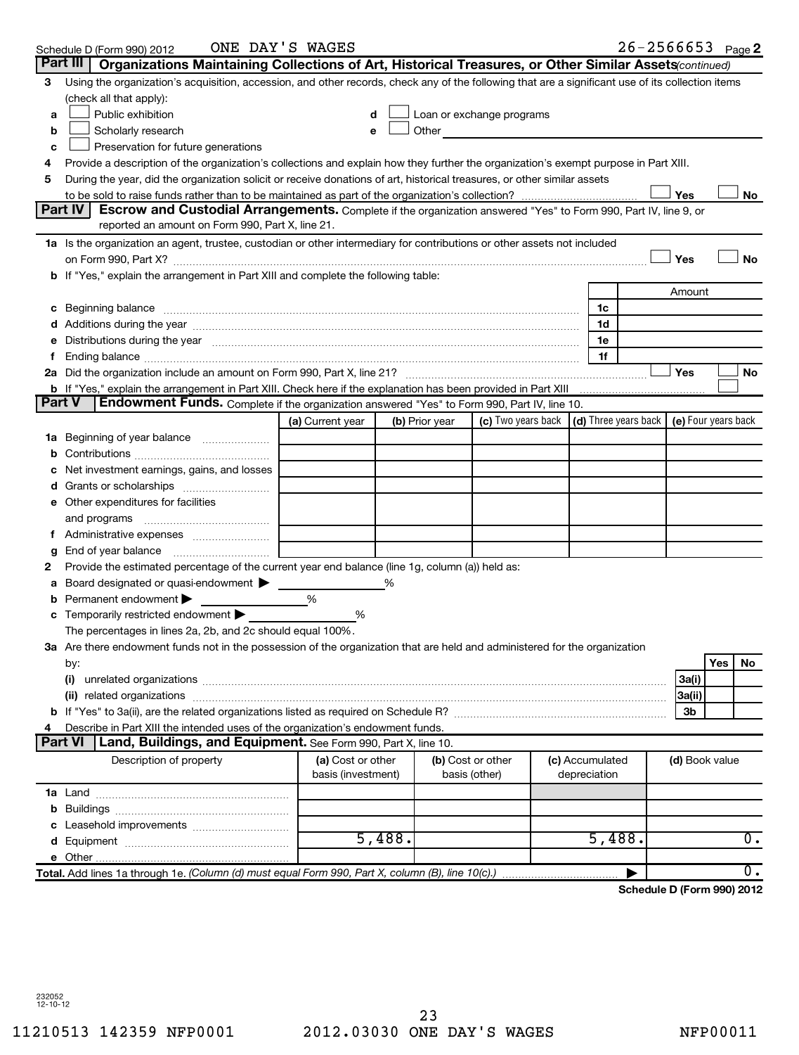|               | Schedule D (Form 990) 2012                                                                                                                                                                                                     | ONE DAY'S WAGES    |        |                |                                                                                                                                                                                                                               |                                                                             |        | $26 - 2566653$ Page 2      |
|---------------|--------------------------------------------------------------------------------------------------------------------------------------------------------------------------------------------------------------------------------|--------------------|--------|----------------|-------------------------------------------------------------------------------------------------------------------------------------------------------------------------------------------------------------------------------|-----------------------------------------------------------------------------|--------|----------------------------|
|               | Part III<br>Organizations Maintaining Collections of Art, Historical Treasures, or Other Similar Assets (continued)                                                                                                            |                    |        |                |                                                                                                                                                                                                                               |                                                                             |        |                            |
| 3             | Using the organization's acquisition, accession, and other records, check any of the following that are a significant use of its collection items                                                                              |                    |        |                |                                                                                                                                                                                                                               |                                                                             |        |                            |
|               | (check all that apply):                                                                                                                                                                                                        |                    |        |                |                                                                                                                                                                                                                               |                                                                             |        |                            |
| a             | Public exhibition                                                                                                                                                                                                              | d                  |        |                | Loan or exchange programs                                                                                                                                                                                                     |                                                                             |        |                            |
| b             | Scholarly research                                                                                                                                                                                                             | e                  |        |                | Other and the contract of the contract of the contract of the contract of the contract of the contract of the contract of the contract of the contract of the contract of the contract of the contract of the contract of the |                                                                             |        |                            |
| c             | Preservation for future generations                                                                                                                                                                                            |                    |        |                |                                                                                                                                                                                                                               |                                                                             |        |                            |
|               | Provide a description of the organization's collections and explain how they further the organization's exempt purpose in Part XIII.                                                                                           |                    |        |                |                                                                                                                                                                                                                               |                                                                             |        |                            |
| 5             | During the year, did the organization solicit or receive donations of art, historical treasures, or other similar assets                                                                                                       |                    |        |                |                                                                                                                                                                                                                               |                                                                             |        |                            |
|               |                                                                                                                                                                                                                                |                    |        |                |                                                                                                                                                                                                                               |                                                                             | Yes    | No                         |
|               | Part IV<br>Escrow and Custodial Arrangements. Complete if the organization answered "Yes" to Form 990, Part IV, line 9, or                                                                                                     |                    |        |                |                                                                                                                                                                                                                               |                                                                             |        |                            |
|               | reported an amount on Form 990, Part X, line 21.                                                                                                                                                                               |                    |        |                |                                                                                                                                                                                                                               |                                                                             |        |                            |
|               | 1a Is the organization an agent, trustee, custodian or other intermediary for contributions or other assets not included                                                                                                       |                    |        |                |                                                                                                                                                                                                                               |                                                                             |        |                            |
|               | on Form 990, Part X? [11] matter contracts and contracts and contracts are contracted as a function of Form 990, Part X?                                                                                                       |                    |        |                |                                                                                                                                                                                                                               |                                                                             | Yes    | <b>No</b>                  |
|               | b If "Yes," explain the arrangement in Part XIII and complete the following table:                                                                                                                                             |                    |        |                |                                                                                                                                                                                                                               |                                                                             |        |                            |
|               |                                                                                                                                                                                                                                |                    |        |                |                                                                                                                                                                                                                               |                                                                             | Amount |                            |
|               | c Beginning balance                                                                                                                                                                                                            |                    |        |                |                                                                                                                                                                                                                               | 1c                                                                          |        |                            |
|               |                                                                                                                                                                                                                                |                    |        |                |                                                                                                                                                                                                                               | 1d                                                                          |        |                            |
|               | e Distributions during the year manufactured and continuum and contact the year manufactured and contact the year manufactured and contact the year manufactured and contact the year manufactured and contact the year manufa |                    |        |                |                                                                                                                                                                                                                               | 1e                                                                          |        |                            |
|               |                                                                                                                                                                                                                                |                    |        |                |                                                                                                                                                                                                                               | 1f                                                                          |        |                            |
|               |                                                                                                                                                                                                                                |                    |        |                |                                                                                                                                                                                                                               |                                                                             | Yes    | <b>No</b>                  |
| <b>Part V</b> | <b>b</b> If "Yes," explain the arrangement in Part XIII. Check here if the explanation has been provided in Part XIII<br>Endowment Funds. Complete if the organization answered "Yes" to Form 990, Part IV, line 10.           |                    |        |                |                                                                                                                                                                                                                               |                                                                             |        |                            |
|               |                                                                                                                                                                                                                                |                    |        |                |                                                                                                                                                                                                                               | (c) Two years back $\vert$ (d) Three years back $\vert$ (e) Four years back |        |                            |
|               |                                                                                                                                                                                                                                | (a) Current year   |        | (b) Prior year |                                                                                                                                                                                                                               |                                                                             |        |                            |
|               | 1a Beginning of year balance                                                                                                                                                                                                   |                    |        |                |                                                                                                                                                                                                                               |                                                                             |        |                            |
| b             |                                                                                                                                                                                                                                |                    |        |                |                                                                                                                                                                                                                               |                                                                             |        |                            |
|               | Net investment earnings, gains, and losses                                                                                                                                                                                     |                    |        |                |                                                                                                                                                                                                                               |                                                                             |        |                            |
|               |                                                                                                                                                                                                                                |                    |        |                |                                                                                                                                                                                                                               |                                                                             |        |                            |
|               | e Other expenditures for facilities                                                                                                                                                                                            |                    |        |                |                                                                                                                                                                                                                               |                                                                             |        |                            |
|               | and programs                                                                                                                                                                                                                   |                    |        |                |                                                                                                                                                                                                                               |                                                                             |        |                            |
|               |                                                                                                                                                                                                                                |                    |        |                |                                                                                                                                                                                                                               |                                                                             |        |                            |
| g             | End of year balance                                                                                                                                                                                                            |                    |        |                |                                                                                                                                                                                                                               |                                                                             |        |                            |
| 2             | Provide the estimated percentage of the current year end balance (line 1g, column (a)) held as:                                                                                                                                |                    |        |                |                                                                                                                                                                                                                               |                                                                             |        |                            |
| а             | Board designated or quasi-endowment<br>Permanent endowment                                                                                                                                                                     | %                  | %      |                |                                                                                                                                                                                                                               |                                                                             |        |                            |
|               | <b>c</b> Temporarily restricted endowment $\blacktriangleright$                                                                                                                                                                |                    |        |                |                                                                                                                                                                                                                               |                                                                             |        |                            |
|               |                                                                                                                                                                                                                                | %                  |        |                |                                                                                                                                                                                                                               |                                                                             |        |                            |
|               | The percentages in lines 2a, 2b, and 2c should equal 100%.<br>3a Are there endowment funds not in the possession of the organization that are held and administered for the organization                                       |                    |        |                |                                                                                                                                                                                                                               |                                                                             |        |                            |
|               |                                                                                                                                                                                                                                |                    |        |                |                                                                                                                                                                                                                               |                                                                             |        | Yes<br>No                  |
|               | by:<br>(i)                                                                                                                                                                                                                     |                    |        |                |                                                                                                                                                                                                                               |                                                                             | 3a(i)  |                            |
|               |                                                                                                                                                                                                                                |                    |        |                |                                                                                                                                                                                                                               |                                                                             | 3a(ii) |                            |
|               |                                                                                                                                                                                                                                |                    |        |                |                                                                                                                                                                                                                               |                                                                             | 3b     |                            |
|               | Describe in Part XIII the intended uses of the organization's endowment funds.                                                                                                                                                 |                    |        |                |                                                                                                                                                                                                                               |                                                                             |        |                            |
|               | Land, Buildings, and Equipment. See Form 990, Part X, line 10.<br><b>Part VI</b>                                                                                                                                               |                    |        |                |                                                                                                                                                                                                                               |                                                                             |        |                            |
|               | Description of property                                                                                                                                                                                                        | (a) Cost or other  |        |                | (b) Cost or other                                                                                                                                                                                                             | (c) Accumulated                                                             |        | (d) Book value             |
|               |                                                                                                                                                                                                                                | basis (investment) |        |                | basis (other)                                                                                                                                                                                                                 | depreciation                                                                |        |                            |
|               |                                                                                                                                                                                                                                |                    |        |                |                                                                                                                                                                                                                               |                                                                             |        |                            |
|               |                                                                                                                                                                                                                                |                    |        |                |                                                                                                                                                                                                                               |                                                                             |        |                            |
|               |                                                                                                                                                                                                                                |                    |        |                |                                                                                                                                                                                                                               |                                                                             |        |                            |
|               |                                                                                                                                                                                                                                |                    | 5,488. |                |                                                                                                                                                                                                                               | 5,488.                                                                      |        | 0.                         |
|               | e Other                                                                                                                                                                                                                        |                    |        |                |                                                                                                                                                                                                                               |                                                                             |        |                            |
|               | Total. Add lines 1a through 1e. (Column (d) must equal Form 990, Part X, column (B), line 10(c).)                                                                                                                              |                    |        |                |                                                                                                                                                                                                                               |                                                                             |        | 0.                         |
|               |                                                                                                                                                                                                                                |                    |        |                |                                                                                                                                                                                                                               |                                                                             |        | Schodule D (Form 000) 2012 |

**Schedule D (Form 990) 2012**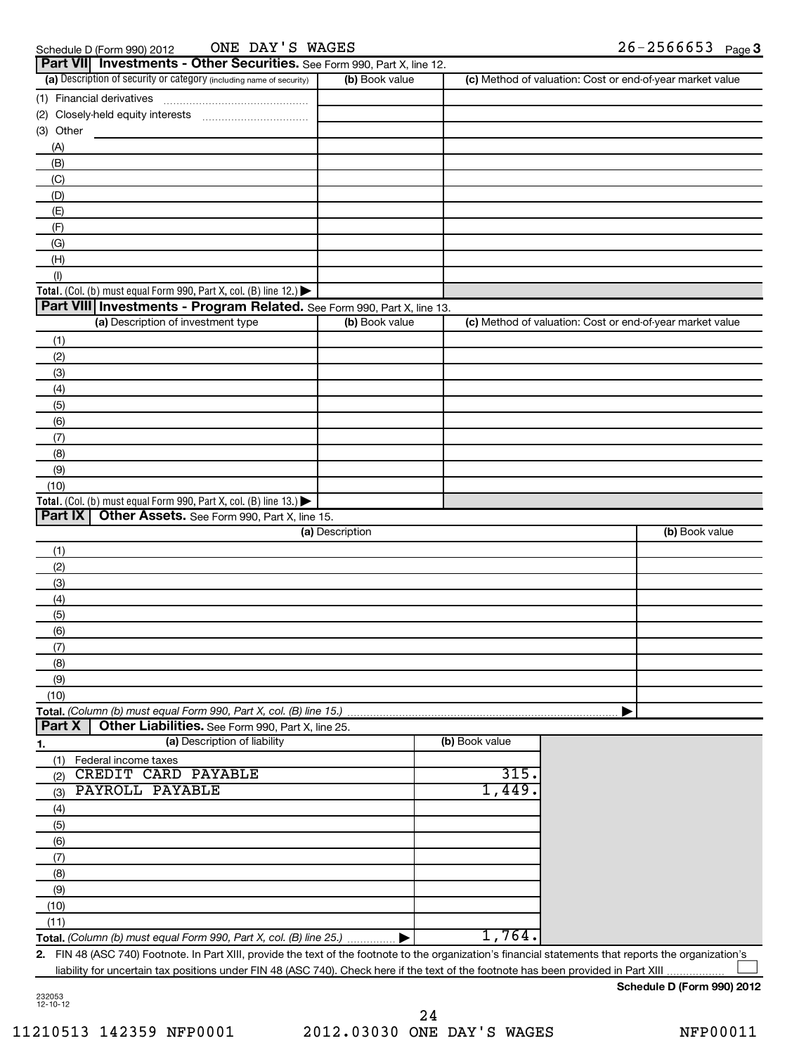| Schedule D (Form 990) 20 |  |  |
|--------------------------|--|--|
|                          |  |  |

Schedule D (Form 990) 2012  $\hbox{ONE }$  DAY'S WAGES  $26-2566653$  Page

| <b>Part VII</b> Investments - Other Securities. See Form 990, Part X, line 12.         |                 |                |                                                           |
|----------------------------------------------------------------------------------------|-----------------|----------------|-----------------------------------------------------------|
| (a) Description of security or category (including name of security)                   | (b) Book value  |                | (c) Method of valuation: Cost or end-of-year market value |
| (1) Financial derivatives                                                              |                 |                |                                                           |
|                                                                                        |                 |                |                                                           |
| (3) Other                                                                              |                 |                |                                                           |
| (A)                                                                                    |                 |                |                                                           |
| (B)                                                                                    |                 |                |                                                           |
| (C)                                                                                    |                 |                |                                                           |
| (D)                                                                                    |                 |                |                                                           |
| (E)                                                                                    |                 |                |                                                           |
| (F)                                                                                    |                 |                |                                                           |
| (G)                                                                                    |                 |                |                                                           |
| (H)                                                                                    |                 |                |                                                           |
| (1)                                                                                    |                 |                |                                                           |
| Total. (Col. (b) must equal Form 990, Part X, col. (B) line 12.) $\blacktriangleright$ |                 |                |                                                           |
| Part VIII Investments - Program Related. See Form 990, Part X, line 13.                |                 |                |                                                           |
| (a) Description of investment type                                                     | (b) Book value  |                | (c) Method of valuation: Cost or end-of-year market value |
| (1)                                                                                    |                 |                |                                                           |
| (2)                                                                                    |                 |                |                                                           |
| (3)                                                                                    |                 |                |                                                           |
| (4)                                                                                    |                 |                |                                                           |
| (5)                                                                                    |                 |                |                                                           |
| (6)                                                                                    |                 |                |                                                           |
| (7)                                                                                    |                 |                |                                                           |
| (8)                                                                                    |                 |                |                                                           |
| (9)                                                                                    |                 |                |                                                           |
| (10)                                                                                   |                 |                |                                                           |
| Total. (Col. (b) must equal Form 990, Part X, col. (B) line 13.)                       |                 |                |                                                           |
| Part IX<br>Other Assets. See Form 990, Part X, line 15.                                |                 |                |                                                           |
|                                                                                        | (a) Description |                | (b) Book value                                            |
| (1)                                                                                    |                 |                |                                                           |
| (2)                                                                                    |                 |                |                                                           |
| (3)                                                                                    |                 |                |                                                           |
| (4)                                                                                    |                 |                |                                                           |
| (5)                                                                                    |                 |                |                                                           |
| (6)                                                                                    |                 |                |                                                           |
| (7)                                                                                    |                 |                |                                                           |
| (8)                                                                                    |                 |                |                                                           |
| (9)                                                                                    |                 |                |                                                           |
| (10)                                                                                   |                 |                |                                                           |
| Total. (Column (b) must equal Form 990, Part X, col. (B) line 15.).                    |                 |                |                                                           |
| Part X<br>Other Liabilities. See Form 990, Part X, line 25.                            |                 |                |                                                           |
| (a) Description of liability<br><u>1.</u>                                              |                 |                |                                                           |
|                                                                                        |                 |                |                                                           |
|                                                                                        |                 | (b) Book value |                                                           |
| Federal income taxes<br>(1)                                                            |                 |                |                                                           |
| CREDIT CARD PAYABLE<br>(2)                                                             |                 | 315.           |                                                           |
| PAYROLL PAYABLE<br>(3)                                                                 |                 | 1,449.         |                                                           |
| (4)                                                                                    |                 |                |                                                           |
| (5)                                                                                    |                 |                |                                                           |
| (6)                                                                                    |                 |                |                                                           |
| (7)                                                                                    |                 |                |                                                           |
| (8)                                                                                    |                 |                |                                                           |
| (9)                                                                                    |                 |                |                                                           |
| (10)                                                                                   |                 |                |                                                           |
| (11)<br>Total. (Column (b) must equal Form 990, Part X, col. (B) line 25.)             |                 | 1,764.         |                                                           |

liability for uncertain tax positions under FIN 48 (ASC 740). Check here if the text of the footnote has been provided in Part XIII  $\left| \begin{array}{c} \hline \hline \hline \hline \hline \hline \hline \hline \end{array} \right|$ 

**Schedule D (Form 990) 2012**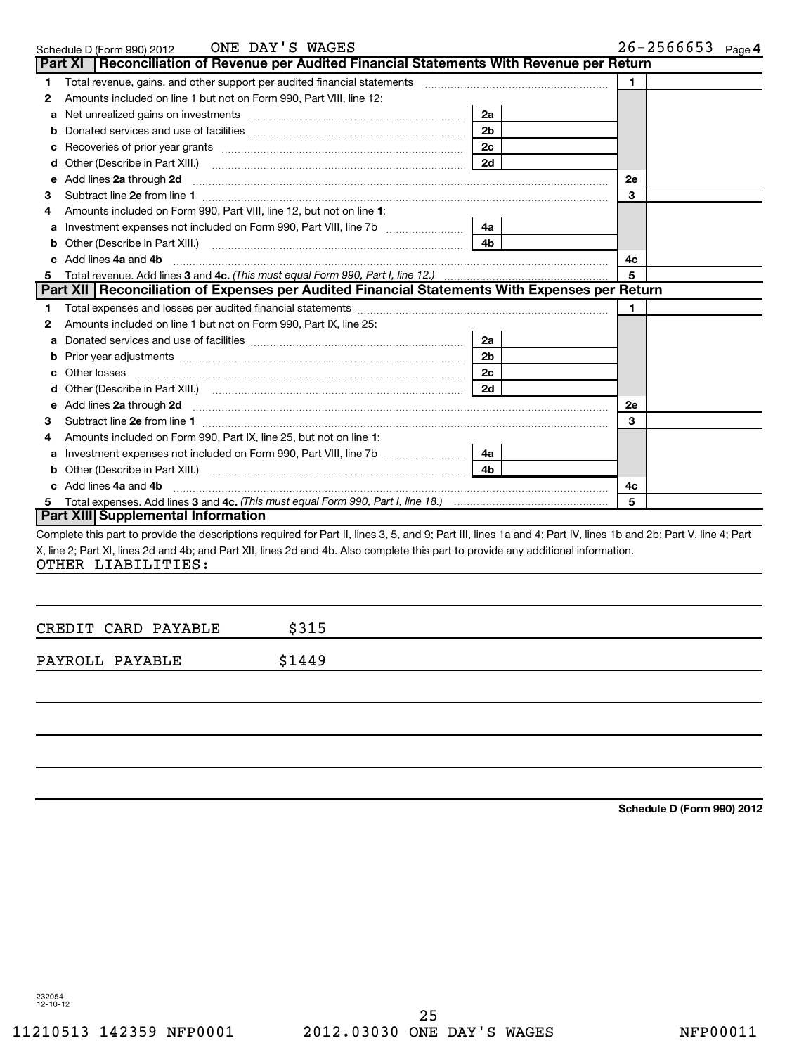|   | ONE DAY'S WAGES<br>Schedule D (Form 990) 2012                                                                                                                    |                | $26 - 2566653$ Page 4 |
|---|------------------------------------------------------------------------------------------------------------------------------------------------------------------|----------------|-----------------------|
|   | Part XI   Reconciliation of Revenue per Audited Financial Statements With Revenue per Return                                                                     |                |                       |
| 1 | Total revenue, gains, and other support per audited financial statements                                                                                         |                | 1.                    |
| 2 | Amounts included on line 1 but not on Form 990, Part VIII, line 12:                                                                                              |                |                       |
| a | Net unrealized gains on investments [11] Martin Martin Martin Martin Martin Martin Martin Martin Martin Martin                                                   | 2a             |                       |
| b |                                                                                                                                                                  | 2 <sub>b</sub> |                       |
|   |                                                                                                                                                                  | 2 <sub>c</sub> |                       |
|   | Other (Describe in Part XIII.) <b>Construction Contract Construction</b> Chern Construction Construction Construction                                            | 2d             |                       |
| е | Add lines 2a through 2d                                                                                                                                          |                | 2е                    |
| 3 |                                                                                                                                                                  |                | 3                     |
| 4 | Amounts included on Form 990, Part VIII, line 12, but not on line 1:                                                                                             |                |                       |
| а | Investment expenses not included on Form 990, Part VIII, line 7b [                                                                                               | 4a l           |                       |
| b |                                                                                                                                                                  | 4 <sub>h</sub> |                       |
|   | Add lines 4a and 4b                                                                                                                                              |                | 4с                    |
|   | Total revenue. Add lines 3 and 4c. (This must equal Form 990, Part I, line 12.)                                                                                  |                | 5                     |
|   | Part XII Reconciliation of Expenses per Audited Financial Statements With Expenses per Return                                                                    |                |                       |
| 1 |                                                                                                                                                                  |                | 1.                    |
| 2 | Amounts included on line 1 but not on Form 990, Part IX, line 25:                                                                                                |                |                       |
| a |                                                                                                                                                                  | 2a             |                       |
| b |                                                                                                                                                                  | 2 <sub>b</sub> |                       |
|   |                                                                                                                                                                  | 2 <sub>c</sub> |                       |
|   | Other (Describe in Part XIII.) (2000) (2000) (2000) (2010) (2010) (2010) (2010) (2010) (2010) (2010) (2010) (20                                                  | 2d             |                       |
|   | Add lines 2a through 2d <b>must be a constructed as the constant of the constant of the constant of the construction</b>                                         |                | 2е                    |
| 3 |                                                                                                                                                                  |                | 3                     |
| 4 | Amounts included on Form 990, Part IX, line 25, but not on line 1:                                                                                               |                |                       |
|   | Investment expenses not included on Form 990, Part VIII, line 7b [                                                                                               | 4a l           |                       |
|   | Other (Describe in Part XIII.) [100] [100] [100] [100] [100] [100] [100] [100] [100] [100] [100] [100] [100] [                                                   | 4 <sub>b</sub> |                       |
|   | c Add lines 4a and 4b                                                                                                                                            |                | 4c                    |
| 5 |                                                                                                                                                                  |                | 5                     |
|   | Part XIII Supplemental Information                                                                                                                               |                |                       |
|   | Complete this part to provide the descriptions required for Part II, lines 3, 5, and 9; Part III, lines 1a and 4; Part IV, lines 1b and 2b; Part V, line 4; Part |                |                       |
|   | X, line 2; Part XI, lines 2d and 4b; and Part XII, lines 2d and 4b. Also complete this part to provide any additional information.                               |                |                       |
|   | OTHER LIABILITIES:                                                                                                                                               |                |                       |

| CREDIT CARD PAYABLE | \$315  |  |
|---------------------|--------|--|
| PAYROLL PAYABLE     | \$1449 |  |
|                     |        |  |

**Schedule D (Form 990) 2012**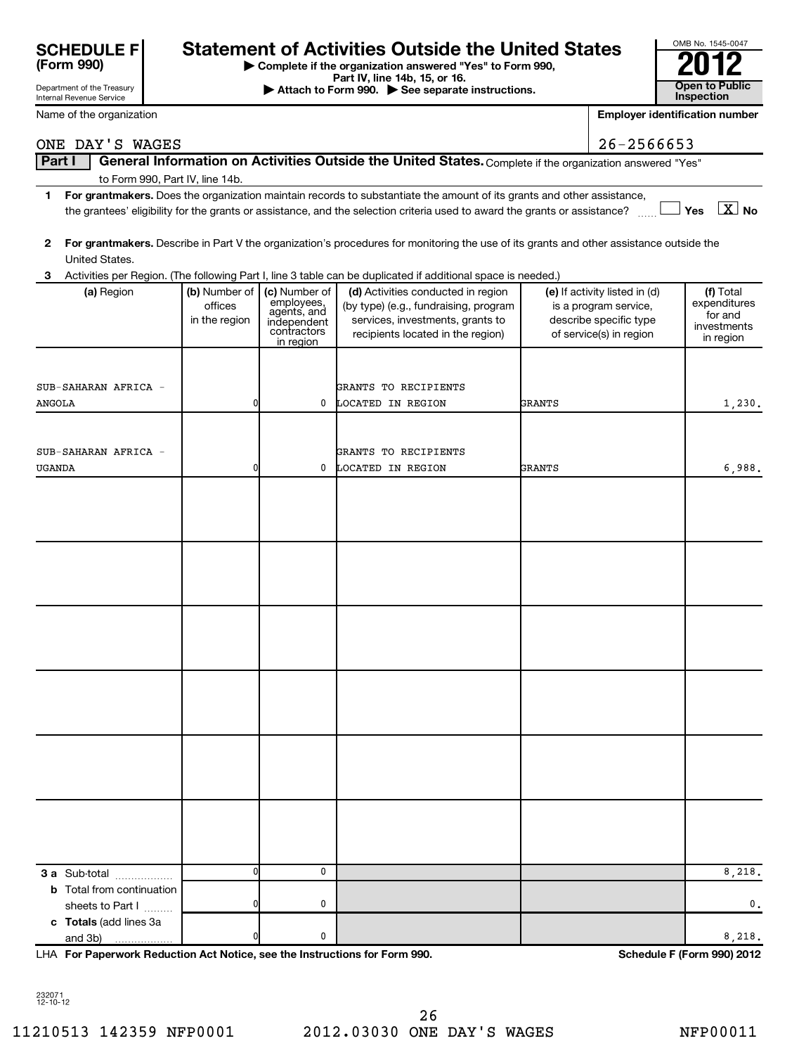| <b>SCHEDULE F</b> |  |
|-------------------|--|
| (Form 990)        |  |

# Statement of Activities Outside the United States<br> **Statement of Activities Outside the United States**<br>
Pattach the Fact IV, line 14b, 15, or 16.<br> **Pattach the Expression Security Statement Security Conducts**

**| Complete if the organization answered "Yes" to Form 990,**

| Department of the Treasury<br>Internal Revenue Service |                                           |                                                                                       | Part IV, line 14b, 15, or 16.<br>Attach to Form 990. See separate instructions.                                                                      |               |                                                                                                             | <b>Open to Public</b><br>Inspection                              |
|--------------------------------------------------------|-------------------------------------------|---------------------------------------------------------------------------------------|------------------------------------------------------------------------------------------------------------------------------------------------------|---------------|-------------------------------------------------------------------------------------------------------------|------------------------------------------------------------------|
| Name of the organization                               |                                           |                                                                                       |                                                                                                                                                      |               |                                                                                                             | Employer identification number                                   |
| ONE DAY'S WAGES                                        |                                           |                                                                                       |                                                                                                                                                      |               | 26-2566653                                                                                                  |                                                                  |
| Part I                                                 |                                           |                                                                                       | General Information on Activities Outside the United States. Complete if the organization answered "Yes"                                             |               |                                                                                                             |                                                                  |
| to Form 990, Part IV, line 14b.<br>1                   |                                           |                                                                                       | For grantmakers. Does the organization maintain records to substantiate the amount of its grants and other assistance,                               |               |                                                                                                             |                                                                  |
|                                                        |                                           |                                                                                       | the grantees' eligibility for the grants or assistance, and the selection criteria used to award the grants or assistance?                           |               |                                                                                                             | $\boxed{\text{X}}$ No<br>Yes                                     |
| 2<br>United States.                                    |                                           |                                                                                       | For grantmakers. Describe in Part V the organization's procedures for monitoring the use of its grants and other assistance outside the              |               |                                                                                                             |                                                                  |
| з                                                      |                                           |                                                                                       | Activities per Region. (The following Part I, line 3 table can be duplicated if additional space is needed.)                                         |               |                                                                                                             |                                                                  |
| (a) Region                                             | (b) Number of<br>offices<br>in the region | (c) Number of<br>employees,<br>agents, and<br>independent<br>contractors<br>in region | (d) Activities conducted in region<br>(by type) (e.g., fundraising, program<br>services, investments, grants to<br>recipients located in the region) |               | (e) If activity listed in (d)<br>is a program service,<br>describe specific type<br>of service(s) in region | (f) Total<br>expenditures<br>for and<br>investments<br>in region |
|                                                        |                                           |                                                                                       |                                                                                                                                                      |               |                                                                                                             |                                                                  |
| SUB-SAHARAN AFRICA -                                   |                                           |                                                                                       | GRANTS TO RECIPIENTS                                                                                                                                 |               |                                                                                                             |                                                                  |
| <b>ANGOLA</b>                                          | n                                         | 0                                                                                     | LOCATED IN REGION                                                                                                                                    | <b>GRANTS</b> |                                                                                                             | 1,230.                                                           |
|                                                        |                                           |                                                                                       |                                                                                                                                                      |               |                                                                                                             |                                                                  |
| SUB-SAHARAN AFRICA -                                   |                                           |                                                                                       | GRANTS TO RECIPIENTS                                                                                                                                 |               |                                                                                                             |                                                                  |
| <b>UGANDA</b>                                          | n                                         | 0                                                                                     | LOCATED IN REGION                                                                                                                                    | <b>GRANTS</b> |                                                                                                             | 6,988.                                                           |
|                                                        |                                           |                                                                                       |                                                                                                                                                      |               |                                                                                                             |                                                                  |
|                                                        |                                           |                                                                                       |                                                                                                                                                      |               |                                                                                                             |                                                                  |
|                                                        |                                           |                                                                                       |                                                                                                                                                      |               |                                                                                                             |                                                                  |
|                                                        |                                           |                                                                                       |                                                                                                                                                      |               |                                                                                                             |                                                                  |
|                                                        |                                           |                                                                                       |                                                                                                                                                      |               |                                                                                                             |                                                                  |
|                                                        |                                           |                                                                                       |                                                                                                                                                      |               |                                                                                                             |                                                                  |
|                                                        |                                           |                                                                                       |                                                                                                                                                      |               |                                                                                                             |                                                                  |
|                                                        |                                           |                                                                                       |                                                                                                                                                      |               |                                                                                                             |                                                                  |
|                                                        |                                           |                                                                                       |                                                                                                                                                      |               |                                                                                                             |                                                                  |
|                                                        |                                           |                                                                                       |                                                                                                                                                      |               |                                                                                                             |                                                                  |
|                                                        |                                           |                                                                                       |                                                                                                                                                      |               |                                                                                                             |                                                                  |
|                                                        |                                           |                                                                                       |                                                                                                                                                      |               |                                                                                                             |                                                                  |
|                                                        |                                           |                                                                                       |                                                                                                                                                      |               |                                                                                                             |                                                                  |
|                                                        |                                           |                                                                                       |                                                                                                                                                      |               |                                                                                                             |                                                                  |
|                                                        |                                           |                                                                                       |                                                                                                                                                      |               |                                                                                                             |                                                                  |
|                                                        |                                           |                                                                                       |                                                                                                                                                      |               |                                                                                                             |                                                                  |
|                                                        |                                           |                                                                                       |                                                                                                                                                      |               |                                                                                                             |                                                                  |
|                                                        |                                           |                                                                                       |                                                                                                                                                      |               |                                                                                                             |                                                                  |
|                                                        |                                           |                                                                                       |                                                                                                                                                      |               |                                                                                                             |                                                                  |
|                                                        |                                           |                                                                                       |                                                                                                                                                      |               |                                                                                                             |                                                                  |
| 3 a Sub-total                                          |                                           | 0                                                                                     |                                                                                                                                                      |               |                                                                                                             | 8,218.                                                           |
| <b>b</b> Total from continuation                       |                                           |                                                                                       |                                                                                                                                                      |               |                                                                                                             |                                                                  |
| sheets to Part I                                       |                                           | 0                                                                                     |                                                                                                                                                      |               |                                                                                                             | 0.                                                               |
| c Totals (add lines 3a<br>and 3b)                      |                                           | 0                                                                                     |                                                                                                                                                      |               |                                                                                                             | 8,218.                                                           |
|                                                        |                                           |                                                                                       |                                                                                                                                                      |               |                                                                                                             |                                                                  |

**For Paperwork Reduction Act Notice, see the Instructions for Form 990. Schedule F (Form 990) 2012** LHA

232071 12-10-12

OMB No. 1545-0047

| <b>SCHEDULE FI</b><br>(Form 990) |  |
|----------------------------------|--|
| Department of the Treasury       |  |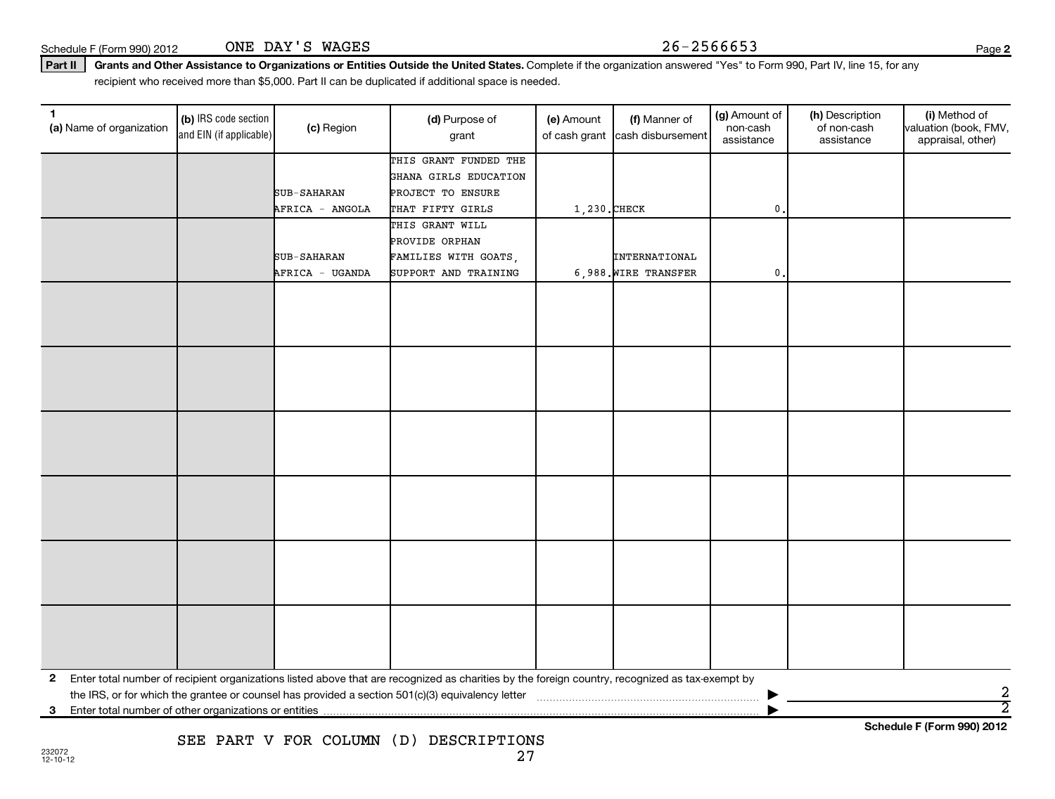Schedule F (Form 990) 2012  $\qquad \qquad \text{ONE } \text{DAY } \text{'S } \text{ WAGES}$   $26-2566653$ ONE DAY'S WAGES

**2**

### Part II | Grants and Other Assistance to Organizations or Entities Outside the United States. Complete if the organization answered "Yes" to Form 990, Part IV, line 15, for any recipient who received more than \$5,000. Part II can be duplicated if additional space is needed.

| 1.<br>(a) Name of organization | (b) IRS code section<br>and EIN (if applicable) | (c) Region         | (d) Purpose of<br>grant                                                                                                                         | (e) Amount<br>of cash grant | (f) Manner of<br>cash disbursement | (g) Amount of<br>non-cash<br>assistance | (h) Description<br>of non-cash<br>assistance | (i) Method of<br>valuation (book, FMV,<br>appraisal, other) |
|--------------------------------|-------------------------------------------------|--------------------|-------------------------------------------------------------------------------------------------------------------------------------------------|-----------------------------|------------------------------------|-----------------------------------------|----------------------------------------------|-------------------------------------------------------------|
|                                |                                                 |                    | THIS GRANT FUNDED THE                                                                                                                           |                             |                                    |                                         |                                              |                                                             |
|                                |                                                 |                    | GHANA GIRLS EDUCATION                                                                                                                           |                             |                                    |                                         |                                              |                                                             |
|                                |                                                 | SUB-SAHARAN        | PROJECT TO ENSURE                                                                                                                               |                             |                                    |                                         |                                              |                                                             |
|                                |                                                 | AFRICA - ANGOLA    | THAT FIFTY GIRLS                                                                                                                                | 1,230. CHECK                |                                    | 0                                       |                                              |                                                             |
|                                |                                                 |                    | THIS GRANT WILL                                                                                                                                 |                             |                                    |                                         |                                              |                                                             |
|                                |                                                 |                    | PROVIDE ORPHAN                                                                                                                                  |                             |                                    |                                         |                                              |                                                             |
|                                |                                                 | <b>SUB-SAHARAN</b> | FAMILIES WITH GOATS,                                                                                                                            |                             | INTERNATIONAL                      |                                         |                                              |                                                             |
|                                |                                                 | AFRICA - UGANDA    | SUPPORT AND TRAINING                                                                                                                            |                             | 6,988. WIRE TRANSFER               | $\mathbf{0}$                            |                                              |                                                             |
|                                |                                                 |                    |                                                                                                                                                 |                             |                                    |                                         |                                              |                                                             |
|                                |                                                 |                    |                                                                                                                                                 |                             |                                    |                                         |                                              |                                                             |
|                                |                                                 |                    |                                                                                                                                                 |                             |                                    |                                         |                                              |                                                             |
|                                |                                                 |                    |                                                                                                                                                 |                             |                                    |                                         |                                              |                                                             |
|                                |                                                 |                    |                                                                                                                                                 |                             |                                    |                                         |                                              |                                                             |
|                                |                                                 |                    |                                                                                                                                                 |                             |                                    |                                         |                                              |                                                             |
|                                |                                                 |                    |                                                                                                                                                 |                             |                                    |                                         |                                              |                                                             |
|                                |                                                 |                    |                                                                                                                                                 |                             |                                    |                                         |                                              |                                                             |
|                                |                                                 |                    |                                                                                                                                                 |                             |                                    |                                         |                                              |                                                             |
|                                |                                                 |                    |                                                                                                                                                 |                             |                                    |                                         |                                              |                                                             |
|                                |                                                 |                    |                                                                                                                                                 |                             |                                    |                                         |                                              |                                                             |
|                                |                                                 |                    |                                                                                                                                                 |                             |                                    |                                         |                                              |                                                             |
|                                |                                                 |                    |                                                                                                                                                 |                             |                                    |                                         |                                              |                                                             |
|                                |                                                 |                    |                                                                                                                                                 |                             |                                    |                                         |                                              |                                                             |
|                                |                                                 |                    |                                                                                                                                                 |                             |                                    |                                         |                                              |                                                             |
|                                |                                                 |                    |                                                                                                                                                 |                             |                                    |                                         |                                              |                                                             |
|                                |                                                 |                    |                                                                                                                                                 |                             |                                    |                                         |                                              |                                                             |
|                                |                                                 |                    |                                                                                                                                                 |                             |                                    |                                         |                                              |                                                             |
|                                |                                                 |                    |                                                                                                                                                 |                             |                                    |                                         |                                              |                                                             |
|                                |                                                 |                    |                                                                                                                                                 |                             |                                    |                                         |                                              |                                                             |
|                                |                                                 |                    |                                                                                                                                                 |                             |                                    |                                         |                                              |                                                             |
|                                |                                                 |                    |                                                                                                                                                 |                             |                                    |                                         |                                              |                                                             |
|                                |                                                 |                    |                                                                                                                                                 |                             |                                    |                                         |                                              |                                                             |
|                                |                                                 |                    |                                                                                                                                                 |                             |                                    |                                         |                                              |                                                             |
|                                |                                                 |                    |                                                                                                                                                 |                             |                                    |                                         |                                              |                                                             |
| $\mathbf{2}$                   |                                                 |                    | Enter total number of recipient organizations listed above that are recognized as charities by the foreign country, recognized as tax-exempt by |                             |                                    |                                         |                                              |                                                             |
|                                |                                                 |                    |                                                                                                                                                 |                             |                                    |                                         |                                              | 2                                                           |
| 3                              |                                                 |                    |                                                                                                                                                 |                             |                                    |                                         |                                              | $\overline{2}$                                              |
|                                |                                                 |                    |                                                                                                                                                 |                             |                                    |                                         |                                              | Calcadole F (Fause 000) 0040                                |

**Schedule F (Form 990) 2012**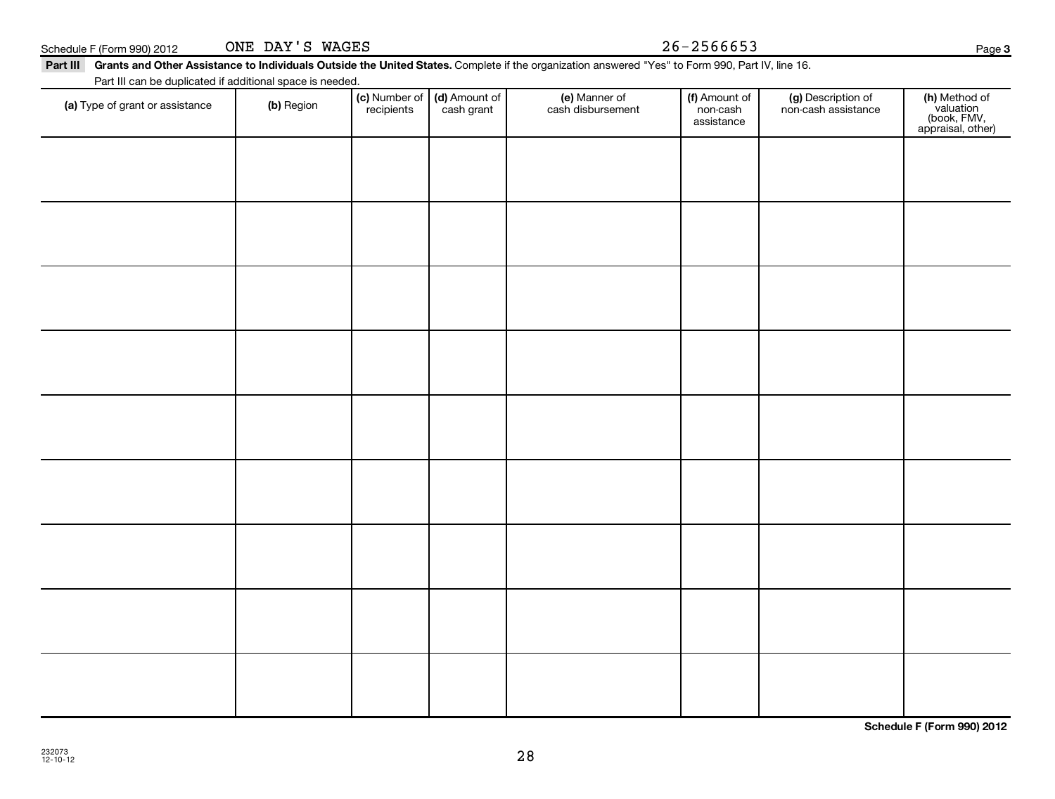28

Schedule F (Form 990) 2012  $\qquad \qquad \text{ONE } \text{DAY } 'S \text{ WAGES}$   $26-2566653$ ONE DAY'S WAGES

### Part III Grants and Other Assistance to Individuals Outside the United States. Complete if the organization answered "Yes" to Form 990, Part IV, line 16.

(c) Number of **recipients** 

(a) Type of grant or assistance (b) Region (b) Region (c) Number of (d) Amount of (e) Manner of (f) Amount of (f)<br>Region (cash grant cash dishursement pop-cash non-cash assistance v

(e) Manner of cash disbursement

(d) Amount of cash grant

Part III can be duplicated if additional space is needed.

(g) Description of non-cash assistance

(f) Amount of non-cash assistance

**(h)** Method of<br>valuation<br>(book, FMV,<br>appraisal, other)

**Schedule F (Form 990) 2012**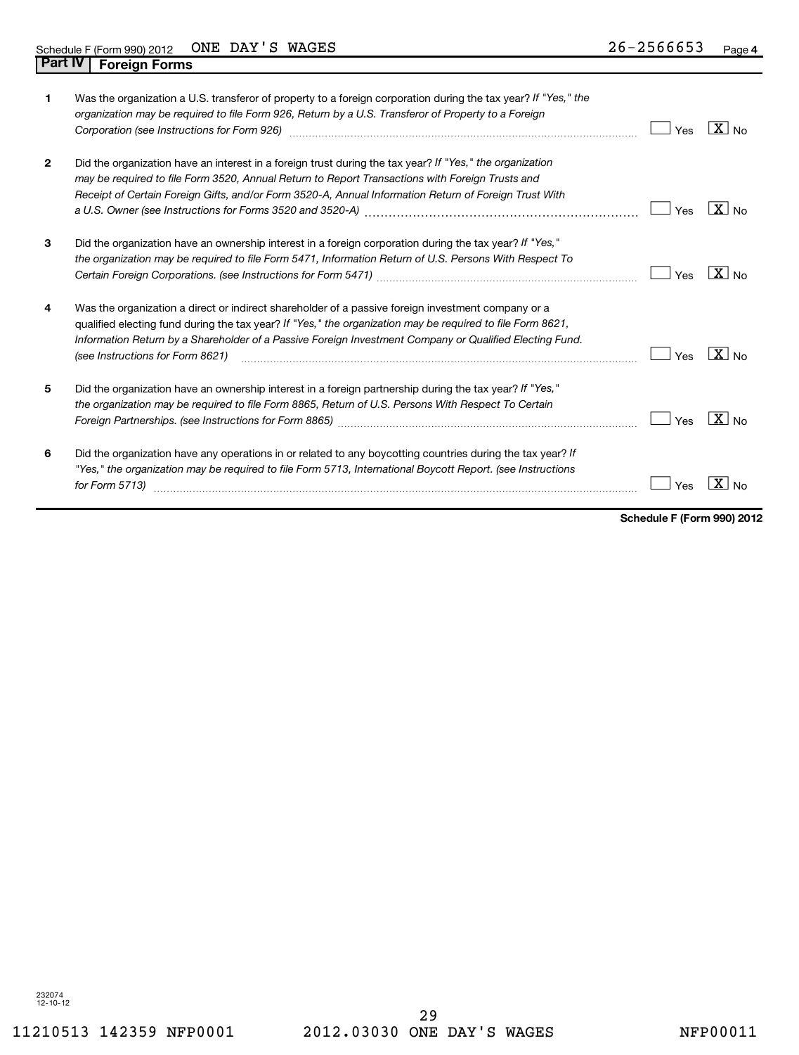| 1            | Was the organization a U.S. transferor of property to a foreign corporation during the tax year? If "Yes," the<br>organization may be required to file Form 926, Return by a U.S. Transferor of Property to a Foreign<br>Corporation (see Instructions for Form 926) [11] Corporation continuum contract of the Instruction (see Instructions for Form 926)     | Yes | $X _{N0}$                      |
|--------------|-----------------------------------------------------------------------------------------------------------------------------------------------------------------------------------------------------------------------------------------------------------------------------------------------------------------------------------------------------------------|-----|--------------------------------|
| $\mathbf{2}$ | Did the organization have an interest in a foreign trust during the tax year? If "Yes," the organization<br>may be required to file Form 3520, Annual Return to Report Transactions with Foreign Trusts and<br>Receipt of Certain Foreign Gifts, and/or Form 3520-A, Annual Information Return of Foreign Trust With                                            | Yes | $X _{N0}$                      |
| 3            | Did the organization have an ownership interest in a foreign corporation during the tax year? If "Yes,"<br>the organization may be required to file Form 5471, Information Return of U.S. Persons With Respect To                                                                                                                                               | Yes | $\sqrt{X}$ No                  |
| 4            | Was the organization a direct or indirect shareholder of a passive foreign investment company or a<br>qualified electing fund during the tax year? If "Yes," the organization may be required to file Form 8621,<br>Information Return by a Shareholder of a Passive Foreign Investment Company or Qualified Electing Fund.<br>(see Instructions for Form 8621) | Yes | $ X _{\sf No}$                 |
| 5            | Did the organization have an ownership interest in a foreign partnership during the tax year? If "Yes,"<br>the organization may be required to file Form 8865, Return of U.S. Persons With Respect To Certain                                                                                                                                                   | Yes | $\mathbf{X}$<br>N <sub>0</sub> |
| 6            | Did the organization have any operations in or related to any boycotting countries during the tax year? If<br>"Yes," the organization may be required to file Form 5713, International Boycott Report. (see Instructions<br>for Form 5713)                                                                                                                      | Yes | X                              |

**Schedule F (Form 990) 2012**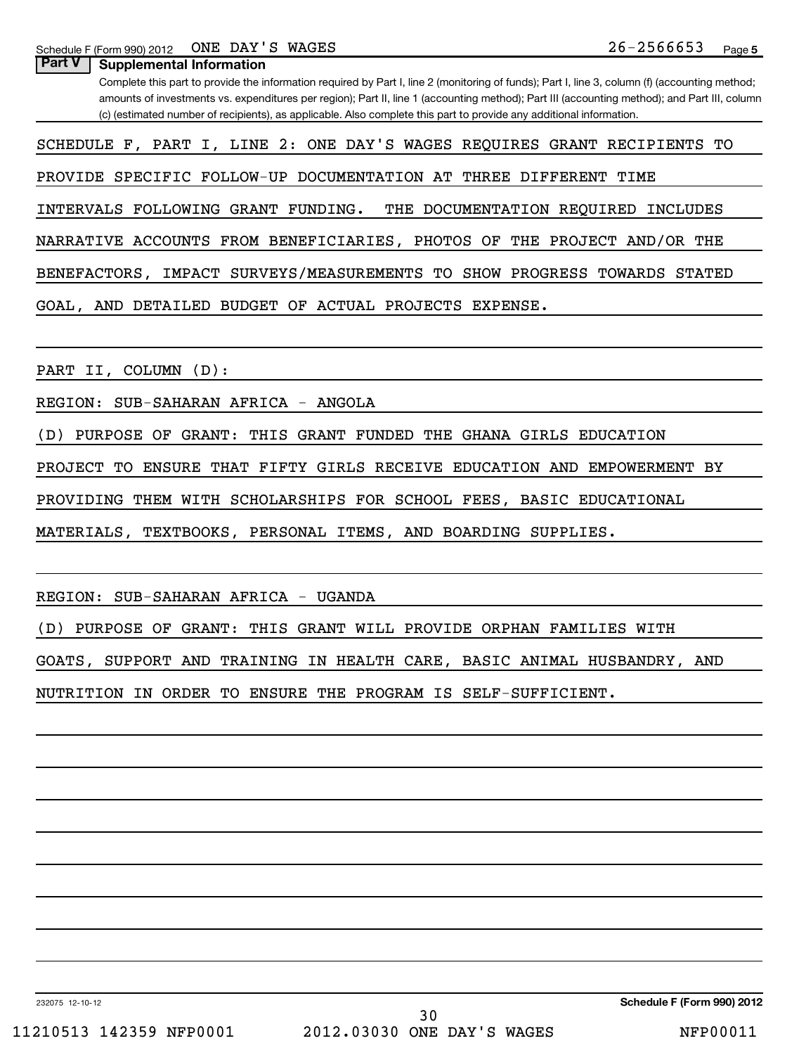Schedule F (Form 990) 2012  $\cdot$  ONE DAY 'S WAGES  $\cdot$   $\cdot$   $\cdot$   $\cdot$   $\cdot$   $\cdot$   $\cdot$   $26-2566653$ ONE DAY'S WAGES

**Part V** | Supplemental Information

Complete this part to provide the information required by Part I, line 2 (monitoring of funds); Part I, line 3, column (f) (accounting method; amounts of investments vs. expenditures per region); Part II, line 1 (accounting method); Part III (accounting method); and Part III, column (c) (estimated number of recipients), as applicable. Also complete this part to provide any additional information.

SCHEDULE F, PART I, LINE 2: ONE DAY'S WAGES REQUIRES GRANT RECIPIENTS TO

PROVIDE SPECIFIC FOLLOW-UP DOCUMENTATION AT THREE DIFFERENT TIME

INTERVALS FOLLOWING GRANT FUNDING. THE DOCUMENTATION REQUIRED INCLUDES

NARRATIVE ACCOUNTS FROM BENEFICIARIES, PHOTOS OF THE PROJECT AND/OR THE

BENEFACTORS, IMPACT SURVEYS/MEASUREMENTS TO SHOW PROGRESS TOWARDS STATED

GOAL, AND DETAILED BUDGET OF ACTUAL PROJECTS EXPENSE.

PART II, COLUMN (D):

REGION: SUB-SAHARAN AFRICA - ANGOLA

(D) PURPOSE OF GRANT: THIS GRANT FUNDED THE GHANA GIRLS EDUCATION

PROJECT TO ENSURE THAT FIFTY GIRLS RECEIVE EDUCATION AND EMPOWERMENT BY

PROVIDING THEM WITH SCHOLARSHIPS FOR SCHOOL FEES, BASIC EDUCATIONAL

MATERIALS, TEXTBOOKS, PERSONAL ITEMS, AND BOARDING SUPPLIES.

REGION: SUB-SAHARAN AFRICA - UGANDA

(D) PURPOSE OF GRANT: THIS GRANT WILL PROVIDE ORPHAN FAMILIES WITH

GOATS, SUPPORT AND TRAINING IN HEALTH CARE, BASIC ANIMAL HUSBANDRY, AND

NUTRITION IN ORDER TO ENSURE THE PROGRAM IS SELF-SUFFICIENT.

232075 12-10-12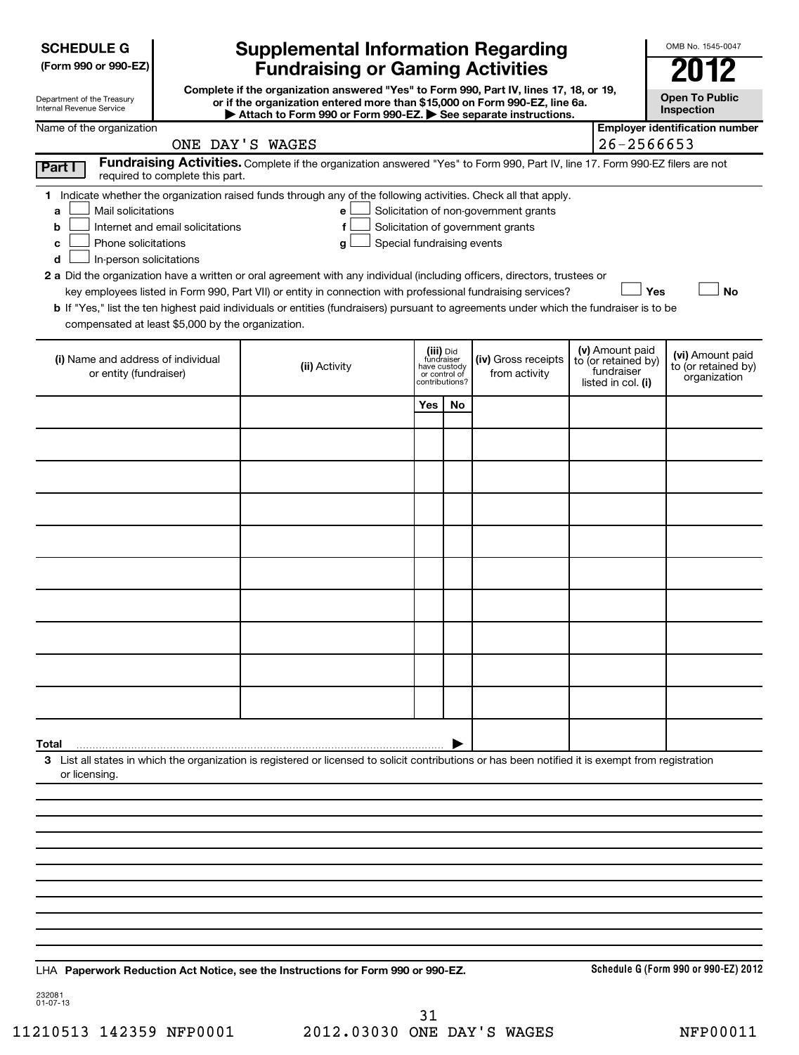**(Form 990 or 990-EZ)**

| Department of the Treasury |  |
|----------------------------|--|
| Internal Revenue Service   |  |

# **Supplemental Information Regarding Fundraising or Gaming Activities 2012**

**Complete if the organization answered "Yes" to Form 990, Part IV, lines 17, 18, or 19, or if the organization entered more than \$15,000 on Form 990-EZ, line 6a. | Attach to Form 990 or Form 990-EZ. | See separate instructions.**

| в                                          |  |
|--------------------------------------------|--|
| <b>Open To Public</b><br><b>Inspection</b> |  |

OMB No. 1545-0047

| Name of the organization                                                                                                                                                                                                                                                                                                                                                                                                                                                                                                                                                                                                                                                                   | Attach to Form 550 or Form 550-LZ. See separate instructions.<br>ONE DAY'S WAGES                                              |                                                          |                |                                                                            | 26-2566653                                                                 | <b>Employer identification number</b>                   |
|--------------------------------------------------------------------------------------------------------------------------------------------------------------------------------------------------------------------------------------------------------------------------------------------------------------------------------------------------------------------------------------------------------------------------------------------------------------------------------------------------------------------------------------------------------------------------------------------------------------------------------------------------------------------------------------------|-------------------------------------------------------------------------------------------------------------------------------|----------------------------------------------------------|----------------|----------------------------------------------------------------------------|----------------------------------------------------------------------------|---------------------------------------------------------|
| <b>Part I</b><br>required to complete this part.                                                                                                                                                                                                                                                                                                                                                                                                                                                                                                                                                                                                                                           | Fundraising Activities. Complete if the organization answered "Yes" to Form 990, Part IV, line 17. Form 990-EZ filers are not |                                                          |                |                                                                            |                                                                            |                                                         |
| 1 Indicate whether the organization raised funds through any of the following activities. Check all that apply.<br>Mail solicitations<br>a<br>Internet and email solicitations<br>b<br>Phone solicitations<br>с<br>In-person solicitations<br>d<br>2 a Did the organization have a written or oral agreement with any individual (including officers, directors, trustees or<br>key employees listed in Form 990, Part VII) or entity in connection with professional fundraising services?<br>b If "Yes," list the ten highest paid individuals or entities (fundraisers) pursuant to agreements under which the fundraiser is to be<br>compensated at least \$5,000 by the organization. | e<br>f<br>Special fundraising events<br>g                                                                                     |                                                          |                | Solicitation of non-government grants<br>Solicitation of government grants | Yes                                                                        | <b>No</b>                                               |
| (i) Name and address of individual<br>or entity (fundraiser)                                                                                                                                                                                                                                                                                                                                                                                                                                                                                                                                                                                                                               | (ii) Activity                                                                                                                 | (iii) Did<br>fundraiser<br>have custody<br>or control of | contributions? | (iv) Gross receipts<br>from activity                                       | (v) Amount paid<br>to (or retained by)<br>fundraiser<br>listed in col. (i) | (vi) Amount paid<br>to (or retained by)<br>organization |
|                                                                                                                                                                                                                                                                                                                                                                                                                                                                                                                                                                                                                                                                                            |                                                                                                                               | Yes                                                      | No             |                                                                            |                                                                            |                                                         |
|                                                                                                                                                                                                                                                                                                                                                                                                                                                                                                                                                                                                                                                                                            |                                                                                                                               |                                                          |                |                                                                            |                                                                            |                                                         |
|                                                                                                                                                                                                                                                                                                                                                                                                                                                                                                                                                                                                                                                                                            |                                                                                                                               |                                                          |                |                                                                            |                                                                            |                                                         |
|                                                                                                                                                                                                                                                                                                                                                                                                                                                                                                                                                                                                                                                                                            |                                                                                                                               |                                                          |                |                                                                            |                                                                            |                                                         |
|                                                                                                                                                                                                                                                                                                                                                                                                                                                                                                                                                                                                                                                                                            |                                                                                                                               |                                                          |                |                                                                            |                                                                            |                                                         |
|                                                                                                                                                                                                                                                                                                                                                                                                                                                                                                                                                                                                                                                                                            |                                                                                                                               |                                                          |                |                                                                            |                                                                            |                                                         |
|                                                                                                                                                                                                                                                                                                                                                                                                                                                                                                                                                                                                                                                                                            |                                                                                                                               |                                                          |                |                                                                            |                                                                            |                                                         |
|                                                                                                                                                                                                                                                                                                                                                                                                                                                                                                                                                                                                                                                                                            |                                                                                                                               |                                                          |                |                                                                            |                                                                            |                                                         |
|                                                                                                                                                                                                                                                                                                                                                                                                                                                                                                                                                                                                                                                                                            |                                                                                                                               |                                                          |                |                                                                            |                                                                            |                                                         |
|                                                                                                                                                                                                                                                                                                                                                                                                                                                                                                                                                                                                                                                                                            |                                                                                                                               |                                                          |                |                                                                            |                                                                            |                                                         |
| Total                                                                                                                                                                                                                                                                                                                                                                                                                                                                                                                                                                                                                                                                                      |                                                                                                                               |                                                          |                |                                                                            |                                                                            |                                                         |
| 3 List all states in which the organization is registered or licensed to solicit contributions or has been notified it is exempt from registration<br>or licensing.                                                                                                                                                                                                                                                                                                                                                                                                                                                                                                                        |                                                                                                                               |                                                          |                |                                                                            |                                                                            |                                                         |
|                                                                                                                                                                                                                                                                                                                                                                                                                                                                                                                                                                                                                                                                                            |                                                                                                                               |                                                          |                |                                                                            |                                                                            |                                                         |
|                                                                                                                                                                                                                                                                                                                                                                                                                                                                                                                                                                                                                                                                                            |                                                                                                                               |                                                          |                |                                                                            |                                                                            |                                                         |
|                                                                                                                                                                                                                                                                                                                                                                                                                                                                                                                                                                                                                                                                                            |                                                                                                                               |                                                          |                |                                                                            |                                                                            |                                                         |
|                                                                                                                                                                                                                                                                                                                                                                                                                                                                                                                                                                                                                                                                                            |                                                                                                                               |                                                          |                |                                                                            |                                                                            |                                                         |
|                                                                                                                                                                                                                                                                                                                                                                                                                                                                                                                                                                                                                                                                                            |                                                                                                                               |                                                          |                |                                                                            |                                                                            |                                                         |
|                                                                                                                                                                                                                                                                                                                                                                                                                                                                                                                                                                                                                                                                                            |                                                                                                                               |                                                          |                |                                                                            |                                                                            |                                                         |

**Paperwork Reduction Act Notice, see the Instructions for Form 990 or 990-EZ.** LHA

**Schedule G (Form 990 or 990-EZ) 2012**

232081 01-07-13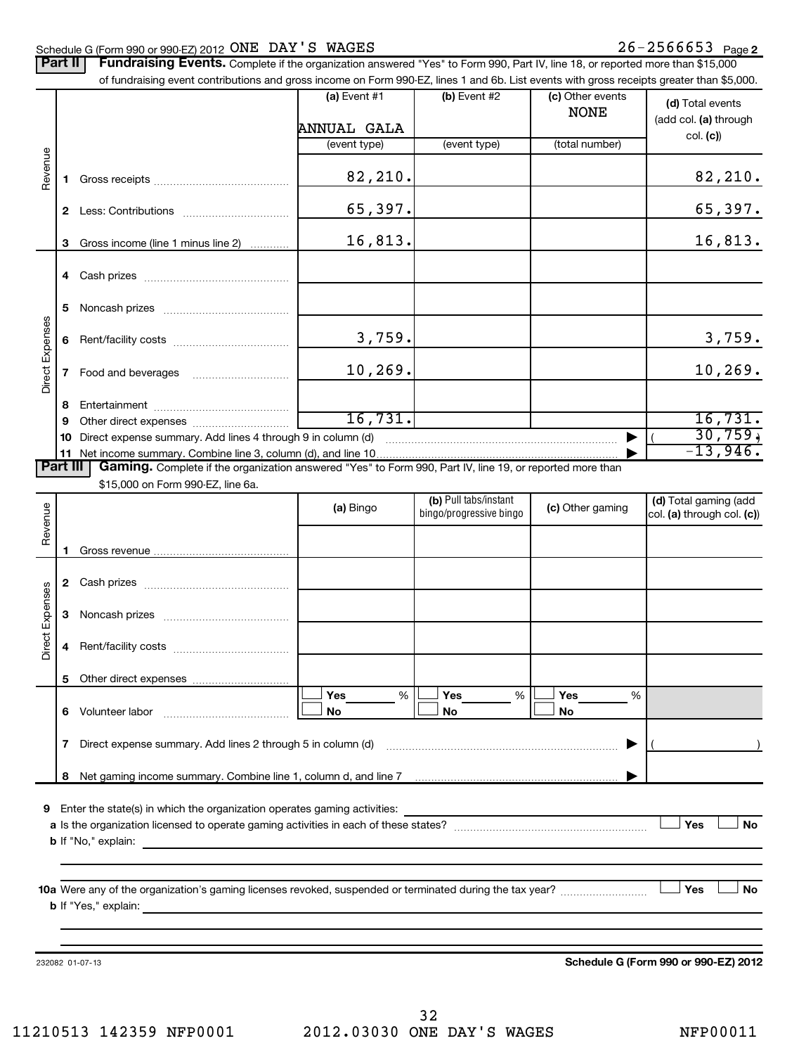## Schedule G (Form 990 or 990-EZ) 2012 Page ONE DAY'S WAGES 26-2566653

| <b>Part II</b>  |              | Fundraising Events. Complete if the organization answered "Yes" to Form 990, Part IV, line 18, or reported more than \$15,000<br>of fundraising event contributions and gross income on Form 990-EZ, lines 1 and 6b. List events with gross receipts greater than \$5,000. |                             |                                                  |                                 |                                                       |
|-----------------|--------------|----------------------------------------------------------------------------------------------------------------------------------------------------------------------------------------------------------------------------------------------------------------------------|-----------------------------|--------------------------------------------------|---------------------------------|-------------------------------------------------------|
|                 |              |                                                                                                                                                                                                                                                                            | (a) Event #1<br>ANNUAL GALA | $(b)$ Event #2                                   | (c) Other events<br><b>NONE</b> | (d) Total events<br>(add col. (a) through<br>col. (c) |
|                 |              |                                                                                                                                                                                                                                                                            | (event type)                | (event type)                                     | (total number)                  |                                                       |
| Revenue         | 1.           |                                                                                                                                                                                                                                                                            | 82,210.                     |                                                  |                                 | 82,210.                                               |
|                 |              |                                                                                                                                                                                                                                                                            | 65,397.                     |                                                  |                                 | 65,397.                                               |
|                 | 3            | Gross income (line 1 minus line 2)                                                                                                                                                                                                                                         | 16,813.                     |                                                  |                                 | 16,813.                                               |
|                 |              |                                                                                                                                                                                                                                                                            |                             |                                                  |                                 |                                                       |
|                 | 5            |                                                                                                                                                                                                                                                                            |                             |                                                  |                                 |                                                       |
| Direct Expenses | 6            |                                                                                                                                                                                                                                                                            | 3,759.                      |                                                  |                                 | 3,759.                                                |
|                 | $\mathbf{7}$ |                                                                                                                                                                                                                                                                            | 10, 269.                    |                                                  |                                 | 10, 269.                                              |
|                 | 8            |                                                                                                                                                                                                                                                                            |                             |                                                  |                                 |                                                       |
|                 | 9            |                                                                                                                                                                                                                                                                            | 16,731.                     |                                                  |                                 | 16,731.                                               |
|                 | 10           | Direct expense summary. Add lines 4 through 9 in column (d)                                                                                                                                                                                                                |                             |                                                  |                                 | 30,759,                                               |
|                 |              | 11 Net income summary. Combine line 3, column (d), and line 10.                                                                                                                                                                                                            |                             |                                                  |                                 | $-13,946.$                                            |
| <b>Part III</b> |              | Gaming. Complete if the organization answered "Yes" to Form 990, Part IV, line 19, or reported more than                                                                                                                                                                   |                             |                                                  |                                 |                                                       |
|                 |              | \$15,000 on Form 990-EZ, line 6a.                                                                                                                                                                                                                                          |                             |                                                  |                                 |                                                       |
|                 |              |                                                                                                                                                                                                                                                                            | (a) Bingo                   | (b) Pull tabs/instant<br>bingo/progressive bingo | (c) Other gaming                | (d) Total gaming (add<br>col. (a) through col. (c))   |
| Revenue         |              |                                                                                                                                                                                                                                                                            |                             |                                                  |                                 |                                                       |
|                 |              |                                                                                                                                                                                                                                                                            |                             |                                                  |                                 |                                                       |
|                 | 1            |                                                                                                                                                                                                                                                                            |                             |                                                  |                                 |                                                       |
|                 |              |                                                                                                                                                                                                                                                                            |                             |                                                  |                                 |                                                       |
| Direct Expenses | 3            |                                                                                                                                                                                                                                                                            |                             |                                                  |                                 |                                                       |
|                 |              |                                                                                                                                                                                                                                                                            |                             |                                                  |                                 |                                                       |
|                 | 5.           |                                                                                                                                                                                                                                                                            |                             |                                                  |                                 |                                                       |
|                 |              |                                                                                                                                                                                                                                                                            | Yes<br>$\%$                 | Yes<br>%                                         | Yes<br>%                        |                                                       |
|                 |              | 6 Volunteer labor                                                                                                                                                                                                                                                          | No                          | No                                               | No                              |                                                       |
|                 |              | 7 Direct expense summary. Add lines 2 through 5 in column (d)                                                                                                                                                                                                              |                             |                                                  |                                 |                                                       |
|                 |              |                                                                                                                                                                                                                                                                            |                             |                                                  |                                 |                                                       |
|                 | 8            | Net gaming income summary. Combine line 1, column d, and line 7 [11] manuscription manuscription summary.                                                                                                                                                                  |                             |                                                  |                                 |                                                       |
| 9               |              | Enter the state(s) in which the organization operates gaming activities:                                                                                                                                                                                                   |                             |                                                  |                                 |                                                       |
|                 |              |                                                                                                                                                                                                                                                                            |                             |                                                  |                                 | Yes<br><b>No</b>                                      |
|                 |              | <b>b</b> If "No," explain:<br><u> 1989 - Johann Stein, marwolaethau a bhann an t-Amhair ann an t-Amhair an t-Amhair an t-Amhair an t-Amhair an</u>                                                                                                                         |                             |                                                  |                                 |                                                       |
|                 |              |                                                                                                                                                                                                                                                                            |                             |                                                  |                                 |                                                       |
|                 |              |                                                                                                                                                                                                                                                                            |                             |                                                  |                                 |                                                       |
|                 |              |                                                                                                                                                                                                                                                                            |                             |                                                  |                                 | Yes<br><b>No</b>                                      |
|                 |              |                                                                                                                                                                                                                                                                            |                             |                                                  |                                 |                                                       |
|                 |              |                                                                                                                                                                                                                                                                            |                             |                                                  |                                 |                                                       |
|                 |              |                                                                                                                                                                                                                                                                            |                             |                                                  |                                 |                                                       |

232082 01-07-13

**Schedule G (Form 990 or 990-EZ) 2012**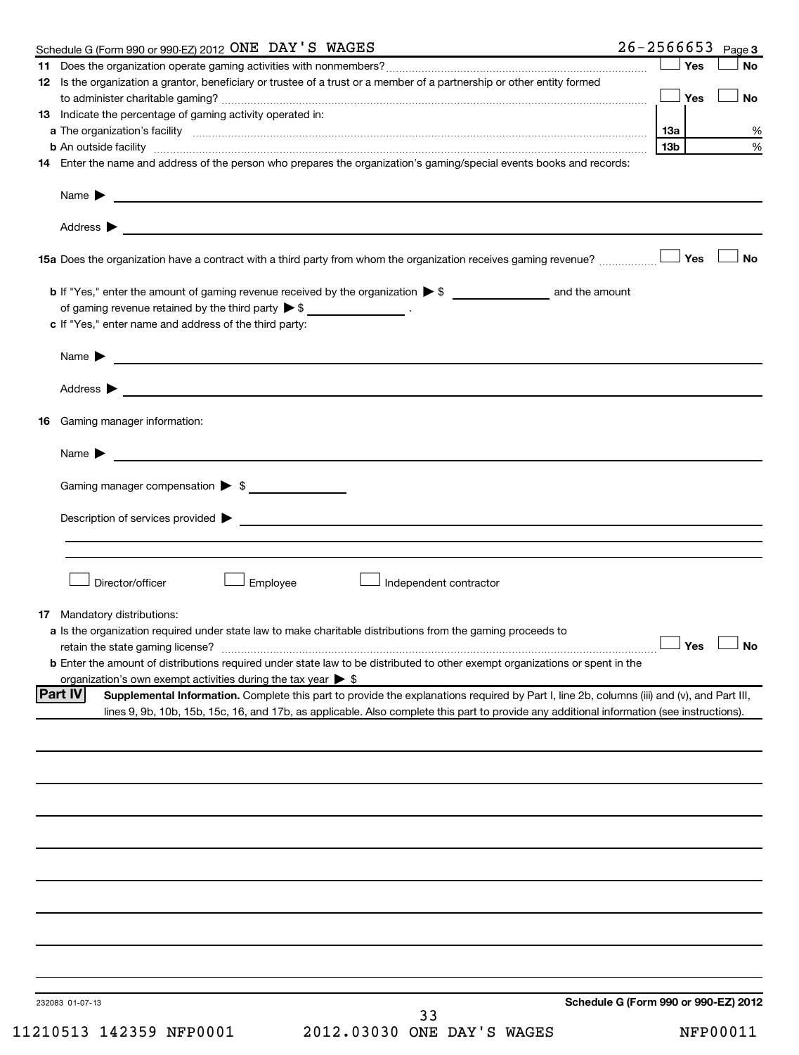| Schedule G (Form 990 or 990-EZ) 2012 ONE DAY'S WAGES                                                                                                                                                                                                                                                      |                 |     | $26 - 2566653$ Page 3 |
|-----------------------------------------------------------------------------------------------------------------------------------------------------------------------------------------------------------------------------------------------------------------------------------------------------------|-----------------|-----|-----------------------|
|                                                                                                                                                                                                                                                                                                           |                 | Yes | <b>No</b>             |
| 12 Is the organization a grantor, beneficiary or trustee of a trust or a member of a partnership or other entity formed                                                                                                                                                                                   |                 | Yes | <b>No</b>             |
| 13 Indicate the percentage of gaming activity operated in:                                                                                                                                                                                                                                                |                 |     |                       |
| a The organization's facility www.communication.communications.com/international/                                                                                                                                                                                                                         | 13a             |     | %                     |
|                                                                                                                                                                                                                                                                                                           | 13 <sub>b</sub> |     | %                     |
| 14 Enter the name and address of the person who prepares the organization's gaming/special events books and records:                                                                                                                                                                                      |                 |     |                       |
|                                                                                                                                                                                                                                                                                                           |                 |     |                       |
|                                                                                                                                                                                                                                                                                                           |                 |     |                       |
|                                                                                                                                                                                                                                                                                                           |                 | Yes | No                    |
| of gaming revenue retained by the third party $\triangleright$ \$ _________________.                                                                                                                                                                                                                      |                 |     |                       |
| c If "Yes," enter name and address of the third party:                                                                                                                                                                                                                                                    |                 |     |                       |
| Name $\blacktriangleright$ $\lrcorner$                                                                                                                                                                                                                                                                    |                 |     |                       |
|                                                                                                                                                                                                                                                                                                           |                 |     |                       |
| 16 Gaming manager information:                                                                                                                                                                                                                                                                            |                 |     |                       |
|                                                                                                                                                                                                                                                                                                           |                 |     |                       |
| Gaming manager compensation > \$                                                                                                                                                                                                                                                                          |                 |     |                       |
|                                                                                                                                                                                                                                                                                                           |                 |     |                       |
| $Description of services provided \triangleright$                                                                                                                                                                                                                                                         |                 |     |                       |
|                                                                                                                                                                                                                                                                                                           |                 |     |                       |
| Director/officer<br>Employee<br>$\perp$ Independent contractor                                                                                                                                                                                                                                            |                 |     |                       |
| <b>17</b> Mandatory distributions:                                                                                                                                                                                                                                                                        |                 |     |                       |
| a Is the organization required under state law to make charitable distributions from the gaming proceeds to                                                                                                                                                                                               |                 |     |                       |
| retain the state gaming license? <b>Construction and the state gaming license</b> ? No<br><b>b</b> Enter the amount of distributions required under state law to be distributed to other exempt organizations or spent in the                                                                             |                 |     |                       |
| organization's own exempt activities during the tax year $\triangleright$ \$                                                                                                                                                                                                                              |                 |     |                       |
| Supplemental Information. Complete this part to provide the explanations required by Part I, line 2b, columns (iii) and (v), and Part III,<br><b>Part IV</b><br>lines 9, 9b, 10b, 15b, 15c, 16, and 17b, as applicable. Also complete this part to provide any additional information (see instructions). |                 |     |                       |
|                                                                                                                                                                                                                                                                                                           |                 |     |                       |
|                                                                                                                                                                                                                                                                                                           |                 |     |                       |
|                                                                                                                                                                                                                                                                                                           |                 |     |                       |
|                                                                                                                                                                                                                                                                                                           |                 |     |                       |
|                                                                                                                                                                                                                                                                                                           |                 |     |                       |
|                                                                                                                                                                                                                                                                                                           |                 |     |                       |
|                                                                                                                                                                                                                                                                                                           |                 |     |                       |
|                                                                                                                                                                                                                                                                                                           |                 |     |                       |
|                                                                                                                                                                                                                                                                                                           |                 |     |                       |
| Schedule G (Form 990 or 990-EZ) 2012<br>232083 01-07-13                                                                                                                                                                                                                                                   |                 |     |                       |
| 33                                                                                                                                                                                                                                                                                                        |                 |     |                       |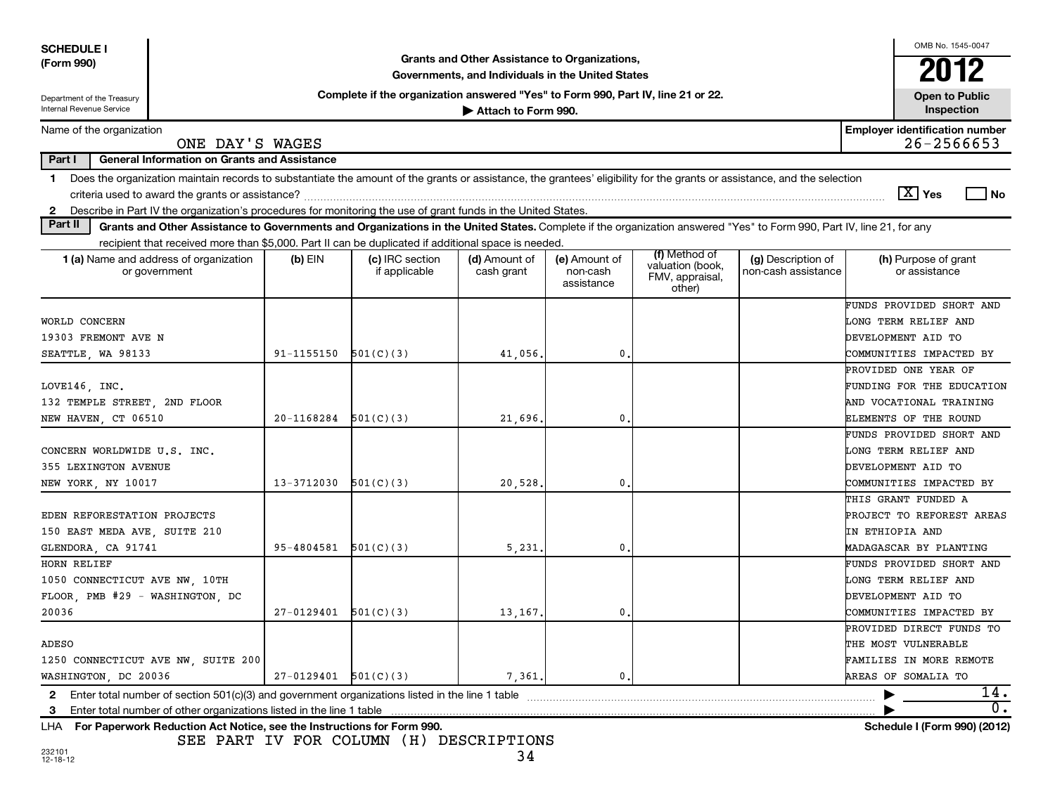| <b>SCHEDULE I</b>                                                          |                                                     |                |                                                                                                               |                                                   |                                         |                                                                |                                                                                                                                                                          | OMB No. 1545-0047                                   |       |
|----------------------------------------------------------------------------|-----------------------------------------------------|----------------|---------------------------------------------------------------------------------------------------------------|---------------------------------------------------|-----------------------------------------|----------------------------------------------------------------|--------------------------------------------------------------------------------------------------------------------------------------------------------------------------|-----------------------------------------------------|-------|
| (Form 990)                                                                 |                                                     |                |                                                                                                               | Grants and Other Assistance to Organizations,     |                                         |                                                                |                                                                                                                                                                          | 2012                                                |       |
|                                                                            |                                                     |                |                                                                                                               | Governments, and Individuals in the United States |                                         |                                                                |                                                                                                                                                                          |                                                     |       |
| Department of the Treasury                                                 |                                                     |                | Complete if the organization answered "Yes" to Form 990, Part IV, line 21 or 22.                              |                                                   |                                         |                                                                |                                                                                                                                                                          | <b>Open to Public</b>                               |       |
| <b>Internal Revenue Service</b>                                            |                                                     |                |                                                                                                               | Attach to Form 990.                               |                                         |                                                                |                                                                                                                                                                          | Inspection                                          |       |
| Name of the organization                                                   | ONE DAY'S WAGES                                     |                |                                                                                                               |                                                   |                                         |                                                                |                                                                                                                                                                          | <b>Employer identification number</b><br>26-2566653 |       |
| Part I                                                                     | <b>General Information on Grants and Assistance</b> |                |                                                                                                               |                                                   |                                         |                                                                |                                                                                                                                                                          |                                                     |       |
| 1.                                                                         |                                                     |                |                                                                                                               |                                                   |                                         |                                                                | Does the organization maintain records to substantiate the amount of the grants or assistance, the grantees' eligibility for the grants or assistance, and the selection |                                                     |       |
| criteria used to award the grants or assistance?                           |                                                     |                |                                                                                                               |                                                   |                                         |                                                                |                                                                                                                                                                          | $\boxed{\text{X}}$ Yes                              | No    |
| $\mathbf{2}$                                                               |                                                     |                | Describe in Part IV the organization's procedures for monitoring the use of grant funds in the United States. |                                                   |                                         |                                                                |                                                                                                                                                                          |                                                     |       |
| Part II                                                                    |                                                     |                |                                                                                                               |                                                   |                                         |                                                                | Grants and Other Assistance to Governments and Organizations in the United States. Complete if the organization answered "Yes" to Form 990, Part IV, line 21, for any    |                                                     |       |
|                                                                            |                                                     |                | recipient that received more than \$5,000. Part II can be duplicated if additional space is needed.           |                                                   |                                         |                                                                |                                                                                                                                                                          |                                                     |       |
| 1 (a) Name and address of organization<br>or government                    |                                                     | $(b)$ EIN      | (c) IRC section<br>if applicable                                                                              | (d) Amount of<br>cash grant                       | (e) Amount of<br>non-cash<br>assistance | (f) Method of<br>valuation (book,<br>FMV, appraisal,<br>other) | (g) Description of<br>non-cash assistance                                                                                                                                | (h) Purpose of grant<br>or assistance               |       |
|                                                                            |                                                     |                |                                                                                                               |                                                   |                                         |                                                                |                                                                                                                                                                          | FUNDS PROVIDED SHORT AND                            |       |
| WORLD CONCERN                                                              |                                                     |                |                                                                                                               |                                                   |                                         |                                                                |                                                                                                                                                                          | LONG TERM RELIEF AND                                |       |
| 19303 FREMONT AVE N                                                        |                                                     |                |                                                                                                               |                                                   |                                         |                                                                |                                                                                                                                                                          | DEVELOPMENT AID TO                                  |       |
| SEATTLE, WA 98133                                                          |                                                     | $91 - 1155150$ | 501(C)(3)                                                                                                     | 41,056                                            | $\mathbf{0}$                            |                                                                |                                                                                                                                                                          | COMMUNITIES IMPACTED BY                             |       |
|                                                                            |                                                     |                |                                                                                                               |                                                   |                                         |                                                                |                                                                                                                                                                          | PROVIDED ONE YEAR OF                                |       |
| LOVE146, INC.                                                              |                                                     |                |                                                                                                               |                                                   |                                         |                                                                |                                                                                                                                                                          | FUNDING FOR THE EDUCATION                           |       |
| 132 TEMPLE STREET, 2ND FLOOR                                               |                                                     |                |                                                                                                               |                                                   |                                         |                                                                |                                                                                                                                                                          | AND VOCATIONAL TRAINING                             |       |
| NEW HAVEN, CT 06510                                                        |                                                     | 20-1168284     | 501(C)(3)                                                                                                     | 21,696                                            | 0                                       |                                                                |                                                                                                                                                                          | ELEMENTS OF THE ROUND                               |       |
|                                                                            |                                                     |                |                                                                                                               |                                                   |                                         |                                                                |                                                                                                                                                                          | FUNDS PROVIDED SHORT AND                            |       |
| CONCERN WORLDWIDE U.S. INC.                                                |                                                     |                |                                                                                                               |                                                   |                                         |                                                                |                                                                                                                                                                          | LONG TERM RELIEF AND                                |       |
| 355 LEXINGTON AVENUE                                                       |                                                     |                |                                                                                                               |                                                   |                                         |                                                                |                                                                                                                                                                          | DEVELOPMENT AID TO                                  |       |
| NEW YORK, NY 10017                                                         |                                                     | 13-3712030     | 501(C)(3)                                                                                                     | 20,528                                            | $\mathbf{0}$                            |                                                                |                                                                                                                                                                          | COMMUNITIES IMPACTED BY                             |       |
|                                                                            |                                                     |                |                                                                                                               |                                                   |                                         |                                                                |                                                                                                                                                                          | THIS GRANT FUNDED A                                 |       |
| EDEN REFORESTATION PROJECTS                                                |                                                     |                |                                                                                                               |                                                   |                                         |                                                                |                                                                                                                                                                          | PROJECT TO REFOREST AREAS                           |       |
| 150 EAST MEDA AVE, SUITE 210                                               |                                                     |                |                                                                                                               |                                                   |                                         |                                                                |                                                                                                                                                                          | IN ETHIOPIA AND                                     |       |
| GLENDORA, CA 91741                                                         |                                                     | 95-4804581     | 501(C)(3)                                                                                                     | 5,231                                             | 0                                       |                                                                |                                                                                                                                                                          | MADAGASCAR BY PLANTING                              |       |
| HORN RELIEF                                                                |                                                     |                |                                                                                                               |                                                   |                                         |                                                                |                                                                                                                                                                          | FUNDS PROVIDED SHORT AND                            |       |
| 1050 CONNECTICUT AVE NW, 10TH                                              |                                                     |                |                                                                                                               |                                                   |                                         |                                                                |                                                                                                                                                                          | LONG TERM RELIEF AND                                |       |
| FLOOR, PMB #29 - WASHINGTON, DC                                            |                                                     |                |                                                                                                               |                                                   |                                         |                                                                |                                                                                                                                                                          | DEVELOPMENT AID TO                                  |       |
| 20036                                                                      |                                                     | $27 - 0129401$ | 501(C)(3)                                                                                                     | 13,167                                            | 0                                       |                                                                |                                                                                                                                                                          | COMMUNITIES IMPACTED BY                             |       |
|                                                                            |                                                     |                |                                                                                                               |                                                   |                                         |                                                                |                                                                                                                                                                          | PROVIDED DIRECT FUNDS TO                            |       |
| ADESO                                                                      |                                                     |                |                                                                                                               |                                                   |                                         |                                                                |                                                                                                                                                                          | THE MOST VULNERABLE                                 |       |
| 1250 CONNECTICUT AVE NW, SUITE 200                                         |                                                     |                |                                                                                                               |                                                   |                                         |                                                                |                                                                                                                                                                          | FAMILIES IN MORE REMOTE                             |       |
| WASHINGTON, DC 20036                                                       |                                                     | 27-0129401     | 501(C)(3)                                                                                                     | 7,361                                             | 0                                       |                                                                |                                                                                                                                                                          | AREAS OF SOMALIA TO                                 |       |
| $\mathbf{2}$                                                               |                                                     |                | Enter total number of section $501(c)(3)$ and government organizations listed in the line 1 table             |                                                   |                                         |                                                                |                                                                                                                                                                          |                                                     | 14.   |
| Enter total number of other organizations listed in the line 1 table<br>-3 |                                                     |                |                                                                                                               |                                                   |                                         |                                                                |                                                                                                                                                                          |                                                     | $0$ . |
| LHA For Paperwork Reduction Act Notice, see the Instructions for Form 990. |                                                     |                |                                                                                                               |                                                   |                                         |                                                                |                                                                                                                                                                          | Schedule I (Form 990) (2012)                        |       |

SEE PART IV FOR COLUMN (H) DESCRIPTIONS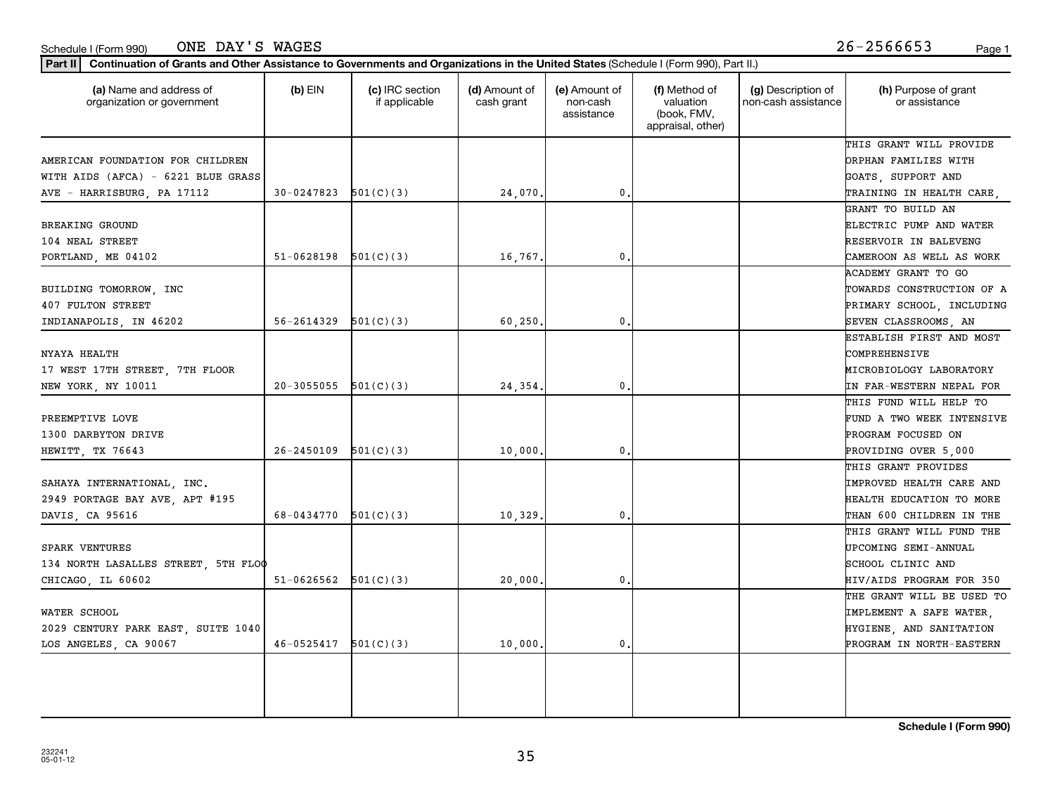| AMERICAN FOUNDATION FOR CHILDREN    |                            |           |          |    | ORPHAN FAMILIES WITH      |
|-------------------------------------|----------------------------|-----------|----------|----|---------------------------|
| WITH AIDS (AFCA) - 6221 BLUE GRASS  |                            |           |          |    | GOATS, SUPPORT AND        |
| AVE - HARRISBURG, PA 17112          | $30-0247823$ $501(C)(3)$   |           | 24,070.  | 0. | TRAINING IN HEALTH CARE,  |
|                                     |                            |           |          |    | GRANT TO BUILD AN         |
| BREAKING GROUND                     |                            |           |          |    | ELECTRIC PUMP AND WATER   |
| 104 NEAL STREET                     |                            |           |          |    | RESERVOIR IN BALEVENG     |
| PORTLAND, ME 04102                  | $51-0628198$ $501(C)(3)$   |           | 16,767.  | 0. | CAMEROON AS WELL AS WORK  |
|                                     |                            |           |          |    | ACADEMY GRANT TO GO       |
| BUILDING TOMORROW, INC              |                            |           |          |    | TOWARDS CONSTRUCTION OF A |
| 407 FULTON STREET                   |                            |           |          |    | PRIMARY SCHOOL, INCLUDING |
| INDIANAPOLIS, IN 46202              | $56 - 2614329$ $501(C)(3)$ |           | 60, 250. | 0  | SEVEN CLASSROOMS, AN      |
|                                     |                            |           |          |    | ESTABLISH FIRST AND MOST  |
| NYAYA HEALTH                        |                            |           |          |    | COMPREHENSIVE             |
| 17 WEST 17TH STREET, 7TH FLOOR      |                            |           |          |    | MICROBIOLOGY LABORATORY   |
| NEW YORK, NY 10011                  | $20-3055055$ $501(C)(3)$   |           | 24,354.  | 0  | IN FAR-WESTERN NEPAL FOR  |
|                                     |                            |           |          |    | THIS FUND WILL HELP TO    |
| PREEMPTIVE LOVE                     |                            |           |          |    | FUND A TWO WEEK INTENSIVE |
| 1300 DARBYTON DRIVE                 |                            |           |          |    | PROGRAM FOCUSED ON        |
| HEWITT, TX 76643                    | $26 - 2450109$ $501(C)(3)$ |           | 10,000.  | 0  | PROVIDING OVER 5,000      |
|                                     |                            |           |          |    | THIS GRANT PROVIDES       |
| SAHAYA INTERNATIONAL, INC.          |                            |           |          |    | IMPROVED HEALTH CARE AND  |
| 2949 PORTAGE BAY AVE, APT #195      |                            |           |          |    | HEALTH EDUCATION TO MORE  |
| DAVIS, CA 95616                     | 68-0434770                 | 501(C)(3) | 10,329.  | 0  | THAN 600 CHILDREN IN THE  |
|                                     |                            |           |          |    | THIS GRANT WILL FUND THE  |
| SPARK VENTURES                      |                            |           |          |    | UPCOMING SEMI-ANNUAL      |
| 134 NORTH LASALLES STREET, 5TH FLOO |                            |           |          |    | SCHOOL CLINIC AND         |
| CHICAGO, IL 60602                   | $51-0626562$ $501(C)(3)$   |           | 20,000.  | 0  | HIV/AIDS PROGRAM FOR 350  |
|                                     |                            |           |          |    | THE GRANT WILL BE USED TO |
| WATER SCHOOL                        |                            |           |          |    | IMPLEMENT A SAFE WATER,   |
| 2029 CENTURY PARK EAST, SUITE 1040  |                            |           |          |    | HYGIENE, AND SANITATION   |

**(a) (b) (c) (d) (e) (f) (g) (h)** Name and address of

(d) Amount of cash grant

(e) Amount of non-cash assistance

(f) Method of valuation (book, FMV, appraisal, other)

(g) Description of non-cash assistance

### Schedule I (Form 990) Page 1 ONE DAY'S WAGES 26-2566653

organization or government

**Part II Continuation of Grants and Other Assistance to Governments and Organizations in the United States**  (Schedule I (Form 990), Part II.)

if applicable

 $(b)$  EIN  $(c)$  IRC section

(h) Purpose of grant or assistance

THIS GRANT WILL PROVIDE

**Schedule I (Form 990)**

LOS ANGELES, CA 90067 46-0525417 501(C)(3) 10,000. 0. PROGRAM IN NORTH-EASTERN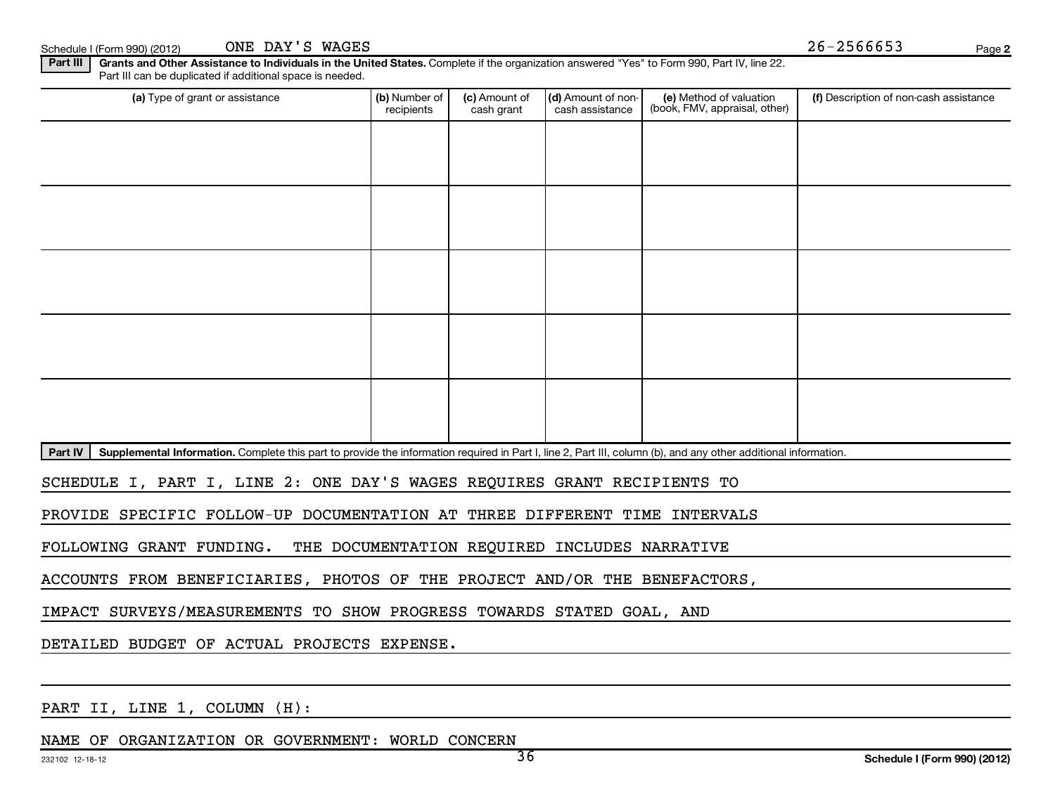ONE DAY'S WAGES

**2**

Schedule I (Form 990) (2012) ONE DAY'S WAGES  $26-2566653$ 

Part III | Grants and Other Assistance to Individuals in the United States. Complete if the organization answered "Yes" to Form 990, Part IV, line 22. Part III can be duplicated if additional space is needed.

| (a) Type of grant or assistance                                                                                                                                            | (b) Number of<br>recipients | (c) Amount of<br>cash grant | (d) Amount of non-<br>cash assistance | (e) Method of valuation<br>(book, FMV, appraisal, other) | (f) Description of non-cash assistance |
|----------------------------------------------------------------------------------------------------------------------------------------------------------------------------|-----------------------------|-----------------------------|---------------------------------------|----------------------------------------------------------|----------------------------------------|
|                                                                                                                                                                            |                             |                             |                                       |                                                          |                                        |
|                                                                                                                                                                            |                             |                             |                                       |                                                          |                                        |
|                                                                                                                                                                            |                             |                             |                                       |                                                          |                                        |
|                                                                                                                                                                            |                             |                             |                                       |                                                          |                                        |
|                                                                                                                                                                            |                             |                             |                                       |                                                          |                                        |
|                                                                                                                                                                            |                             |                             |                                       |                                                          |                                        |
|                                                                                                                                                                            |                             |                             |                                       |                                                          |                                        |
|                                                                                                                                                                            |                             |                             |                                       |                                                          |                                        |
|                                                                                                                                                                            |                             |                             |                                       |                                                          |                                        |
|                                                                                                                                                                            |                             |                             |                                       |                                                          |                                        |
| Part IV<br>Supplemental Information. Complete this part to provide the information required in Part I, line 2, Part III, column (b), and any other additional information. |                             |                             |                                       |                                                          |                                        |

SCHEDULE I, PART I, LINE 2: ONE DAY'S WAGES REQUIRES GRANT RECIPIENTS TO

PROVIDE SPECIFIC FOLLOW-UP DOCUMENTATION AT THREE DIFFERENT TIME INTERVALS

FOLLOWING GRANT FUNDING. THE DOCUMENTATION REQUIRED INCLUDES NARRATIVE

ACCOUNTS FROM BENEFICIARIES, PHOTOS OF THE PROJECT AND/OR THE BENEFACTORS,

IMPACT SURVEYS/MEASUREMENTS TO SHOW PROGRESS TOWARDS STATED GOAL, AND

DETAILED BUDGET OF ACTUAL PROJECTS EXPENSE.

PART II, LINE 1, COLUMN (H):

NAME OF ORGANIZATION OR GOVERNMENT: WORLD CONCERN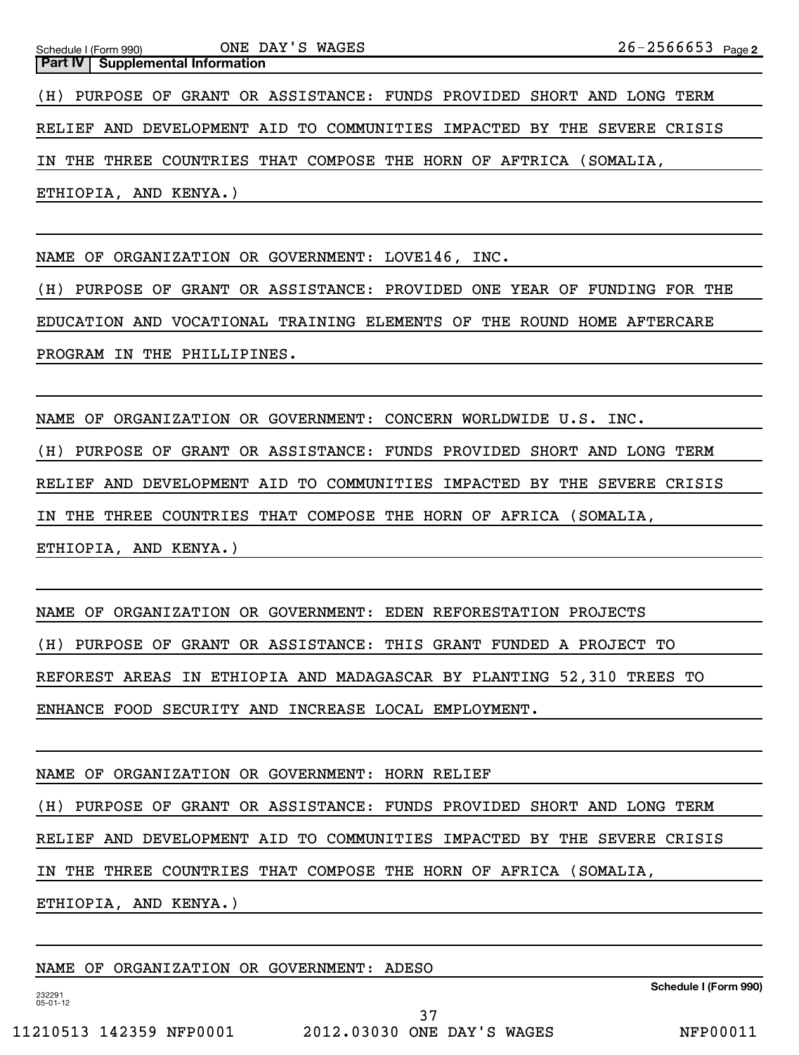Schedule I (Form 990) ONE DAY S MAGES ⊿ b − ⊿ b b b b ว *s* Page 2 **Part IV** Supplemental Information ONE DAY'S WAGES (H) PURPOSE OF GRANT OR ASSISTANCE: FUNDS PROVIDED SHORT AND LONG TERM RELIEF AND DEVELOPMENT AID TO COMMUNITIES IMPACTED BY THE SEVERE CRISIS IN THE THREE COUNTRIES THAT COMPOSE THE HORN OF AFTRICA (SOMALIA, ETHIOPIA, AND KENYA.)

NAME OF ORGANIZATION OR GOVERNMENT: LOVE146, INC.

(H) PURPOSE OF GRANT OR ASSISTANCE: PROVIDED ONE YEAR OF FUNDING FOR THE EDUCATION AND VOCATIONAL TRAINING ELEMENTS OF THE ROUND HOME AFTERCARE PROGRAM IN THE PHILLIPINES.

NAME OF ORGANIZATION OR GOVERNMENT: CONCERN WORLDWIDE U.S. INC. (H) PURPOSE OF GRANT OR ASSISTANCE: FUNDS PROVIDED SHORT AND LONG TERM RELIEF AND DEVELOPMENT AID TO COMMUNITIES IMPACTED BY THE SEVERE CRISIS IN THE THREE COUNTRIES THAT COMPOSE THE HORN OF AFRICA (SOMALIA, ETHIOPIA, AND KENYA.)

NAME OF ORGANIZATION OR GOVERNMENT: EDEN REFORESTATION PROJECTS

(H) PURPOSE OF GRANT OR ASSISTANCE: THIS GRANT FUNDED A PROJECT TO

REFOREST AREAS IN ETHIOPIA AND MADAGASCAR BY PLANTING 52,310 TREES TO

ENHANCE FOOD SECURITY AND INCREASE LOCAL EMPLOYMENT.

NAME OF ORGANIZATION OR GOVERNMENT: HORN RELIEF

(H) PURPOSE OF GRANT OR ASSISTANCE: FUNDS PROVIDED SHORT AND LONG TERM

RELIEF AND DEVELOPMENT AID TO COMMUNITIES IMPACTED BY THE SEVERE CRISIS

IN THE THREE COUNTRIES THAT COMPOSE THE HORN OF AFRICA (SOMALIA,

ETHIOPIA, AND KENYA.)

NAME OF ORGANIZATION OR GOVERNMENT: ADESO

**Schedule I (Form 990)**

232291 05-01-12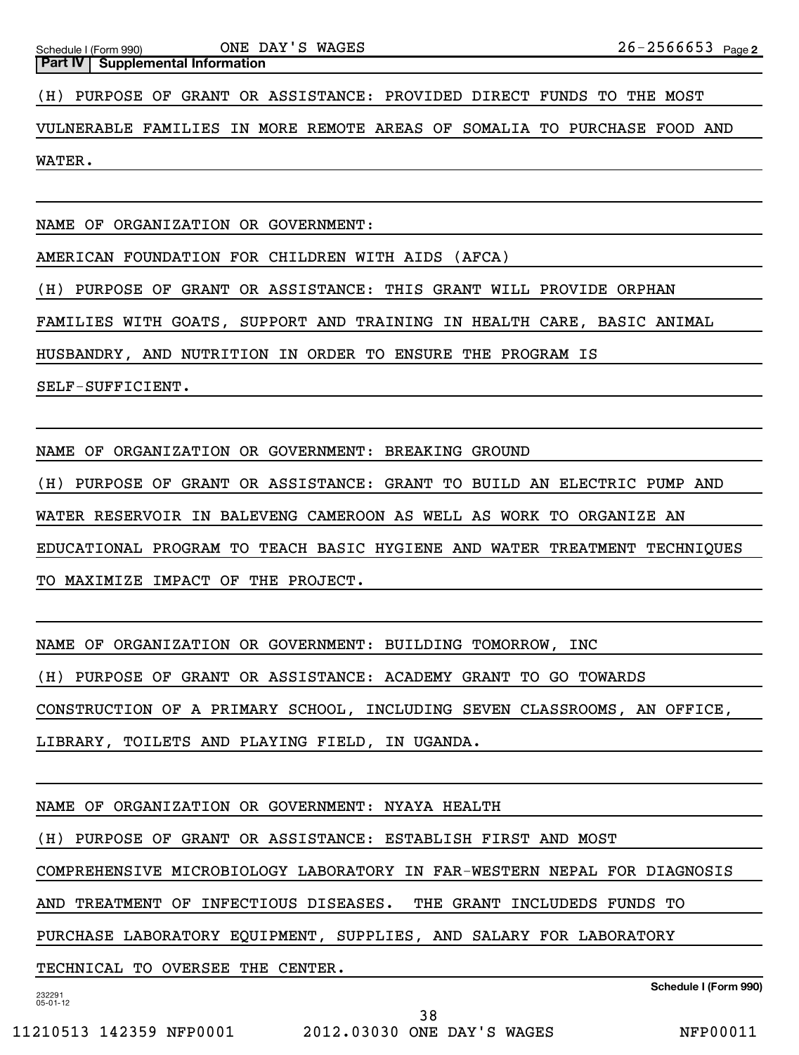**Part IV** Supplemental Information

(H) PURPOSE OF GRANT OR ASSISTANCE: PROVIDED DIRECT FUNDS TO THE MOST

VULNERABLE FAMILIES IN MORE REMOTE AREAS OF SOMALIA TO PURCHASE FOOD AND WATER.

NAME OF ORGANIZATION OR GOVERNMENT:

AMERICAN FOUNDATION FOR CHILDREN WITH AIDS (AFCA)

(H) PURPOSE OF GRANT OR ASSISTANCE: THIS GRANT WILL PROVIDE ORPHAN

FAMILIES WITH GOATS, SUPPORT AND TRAINING IN HEALTH CARE, BASIC ANIMAL

HUSBANDRY, AND NUTRITION IN ORDER TO ENSURE THE PROGRAM IS

SELF-SUFFICIENT.

NAME OF ORGANIZATION OR GOVERNMENT: BREAKING GROUND

(H) PURPOSE OF GRANT OR ASSISTANCE: GRANT TO BUILD AN ELECTRIC PUMP AND

WATER RESERVOIR IN BALEVENG CAMEROON AS WELL AS WORK TO ORGANIZE AN

EDUCATIONAL PROGRAM TO TEACH BASIC HYGIENE AND WATER TREATMENT TECHNIQUES

TO MAXIMIZE IMPACT OF THE PROJECT.

NAME OF ORGANIZATION OR GOVERNMENT: BUILDING TOMORROW, INC

(H) PURPOSE OF GRANT OR ASSISTANCE: ACADEMY GRANT TO GO TOWARDS

CONSTRUCTION OF A PRIMARY SCHOOL, INCLUDING SEVEN CLASSROOMS, AN OFFICE,

LIBRARY, TOILETS AND PLAYING FIELD, IN UGANDA.

NAME OF ORGANIZATION OR GOVERNMENT: NYAYA HEALTH

(H) PURPOSE OF GRANT OR ASSISTANCE: ESTABLISH FIRST AND MOST

COMPREHENSIVE MICROBIOLOGY LABORATORY IN FAR-WESTERN NEPAL FOR DIAGNOSIS

AND TREATMENT OF INFECTIOUS DISEASES. THE GRANT INCLUDEDS FUNDS TO

PURCHASE LABORATORY EQUIPMENT, SUPPLIES, AND SALARY FOR LABORATORY

TECHNICAL TO OVERSEE THE CENTER.

232291 05-01-12

**Schedule I (Form 990)**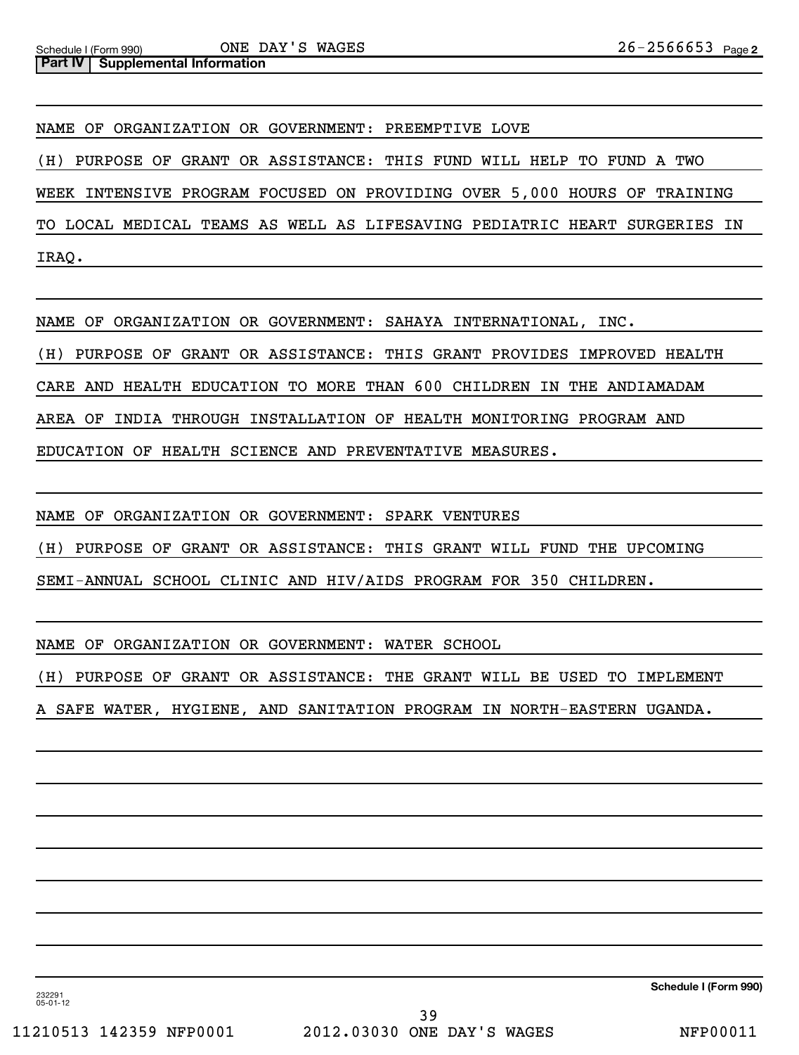**Part IV** Supplemental Information

NAME OF ORGANIZATION OR GOVERNMENT: PREEMPTIVE LOVE

(H) PURPOSE OF GRANT OR ASSISTANCE: THIS FUND WILL HELP TO FUND A TWO

WEEK INTENSIVE PROGRAM FOCUSED ON PROVIDING OVER 5,000 HOURS OF TRAINING

TO LOCAL MEDICAL TEAMS AS WELL AS LIFESAVING PEDIATRIC HEART SURGERIES IN IRAQ.

NAME OF ORGANIZATION OR GOVERNMENT: SAHAYA INTERNATIONAL, INC.

(H) PURPOSE OF GRANT OR ASSISTANCE: THIS GRANT PROVIDES IMPROVED HEALTH

CARE AND HEALTH EDUCATION TO MORE THAN 600 CHILDREN IN THE ANDIAMADAM

AREA OF INDIA THROUGH INSTALLATION OF HEALTH MONITORING PROGRAM AND

EDUCATION OF HEALTH SCIENCE AND PREVENTATIVE MEASURES.

NAME OF ORGANIZATION OR GOVERNMENT: SPARK VENTURES

(H) PURPOSE OF GRANT OR ASSISTANCE: THIS GRANT WILL FUND THE UPCOMING

SEMI-ANNUAL SCHOOL CLINIC AND HIV/AIDS PROGRAM FOR 350 CHILDREN.

NAME OF ORGANIZATION OR GOVERNMENT: WATER SCHOOL

(H) PURPOSE OF GRANT OR ASSISTANCE: THE GRANT WILL BE USED TO IMPLEMENT

A SAFE WATER, HYGIENE, AND SANITATION PROGRAM IN NORTH-EASTERN UGANDA.

**Schedule I (Form 990)**

232291 05-01-12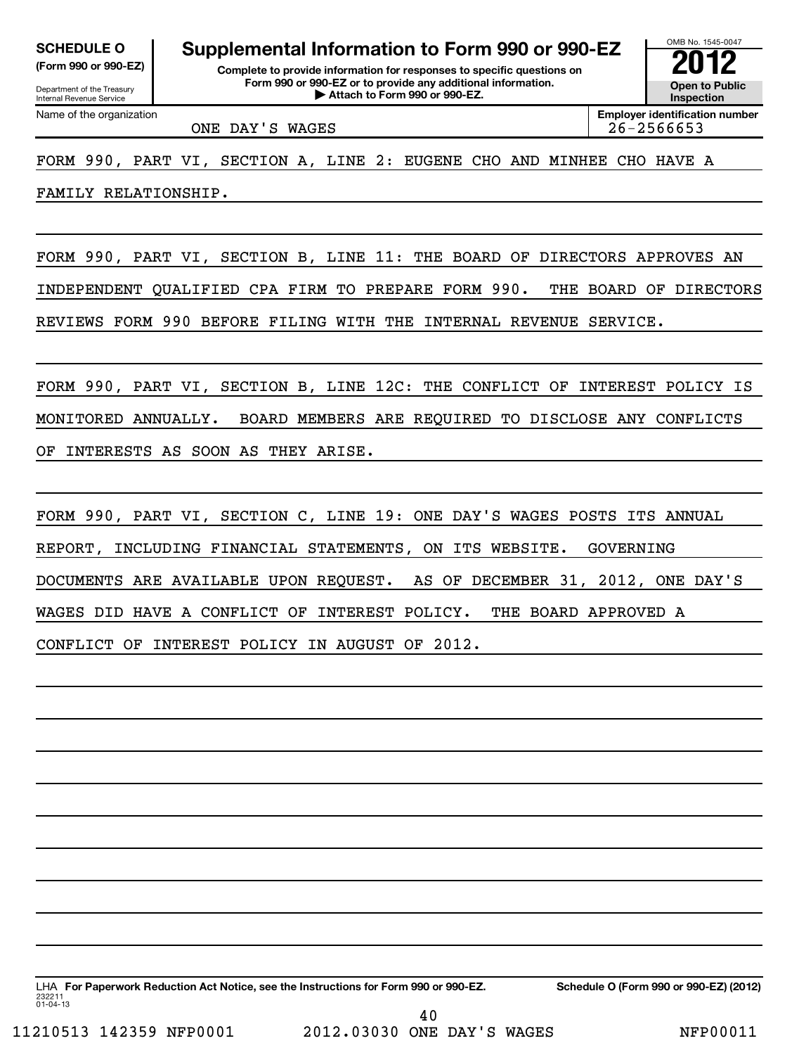Department of the Treasury Internal Revenue Service

# **SCHEDULE O Supplemental Information to Form 990 or 990-EZ 2012**

**(Form 990 or 990-EZ) Complete to provide information for responses to specific questions on Form 990 or 990-EZ or to provide any additional information.** <del>U</del> Open to Provide any additional information. <br>
→ Attach to Form 990 or 990-EZ.



Name of the organization

**Employer identification number** ONE DAY'S WAGES 26-2566653

FORM 990, PART VI, SECTION A, LINE 2: EUGENE CHO AND MINHEE CHO HAVE A

FAMILY RELATIONSHIP.

FORM 990, PART VI, SECTION B, LINE 11: THE BOARD OF DIRECTORS APPROVES AN INDEPENDENT QUALIFIED CPA FIRM TO PREPARE FORM 990. THE BOARD OF DIRECTORS REVIEWS FORM 990 BEFORE FILING WITH THE INTERNAL REVENUE SERVICE.

FORM 990, PART VI, SECTION B, LINE 12C: THE CONFLICT OF INTEREST POLICY IS MONITORED ANNUALLY. BOARD MEMBERS ARE REQUIRED TO DISCLOSE ANY CONFLICTS OF INTERESTS AS SOON AS THEY ARISE.

FORM 990, PART VI, SECTION C, LINE 19: ONE DAY'S WAGES POSTS ITS ANNUAL REPORT, INCLUDING FINANCIAL STATEMENTS, ON ITS WEBSITE. GOVERNING DOCUMENTS ARE AVAILABLE UPON REQUEST. AS OF DECEMBER 31, 2012, ONE DAY'S WAGES DID HAVE A CONFLICT OF INTEREST POLICY. THE BOARD APPROVED A CONFLICT OF INTEREST POLICY IN AUGUST OF 2012.

232211 01-04-13 LHA For Paperwork Reduction Act Notice, see the Instructions for Form 990 or 990-EZ. Schedule O (Form 990 or 990-EZ) (2012) 40